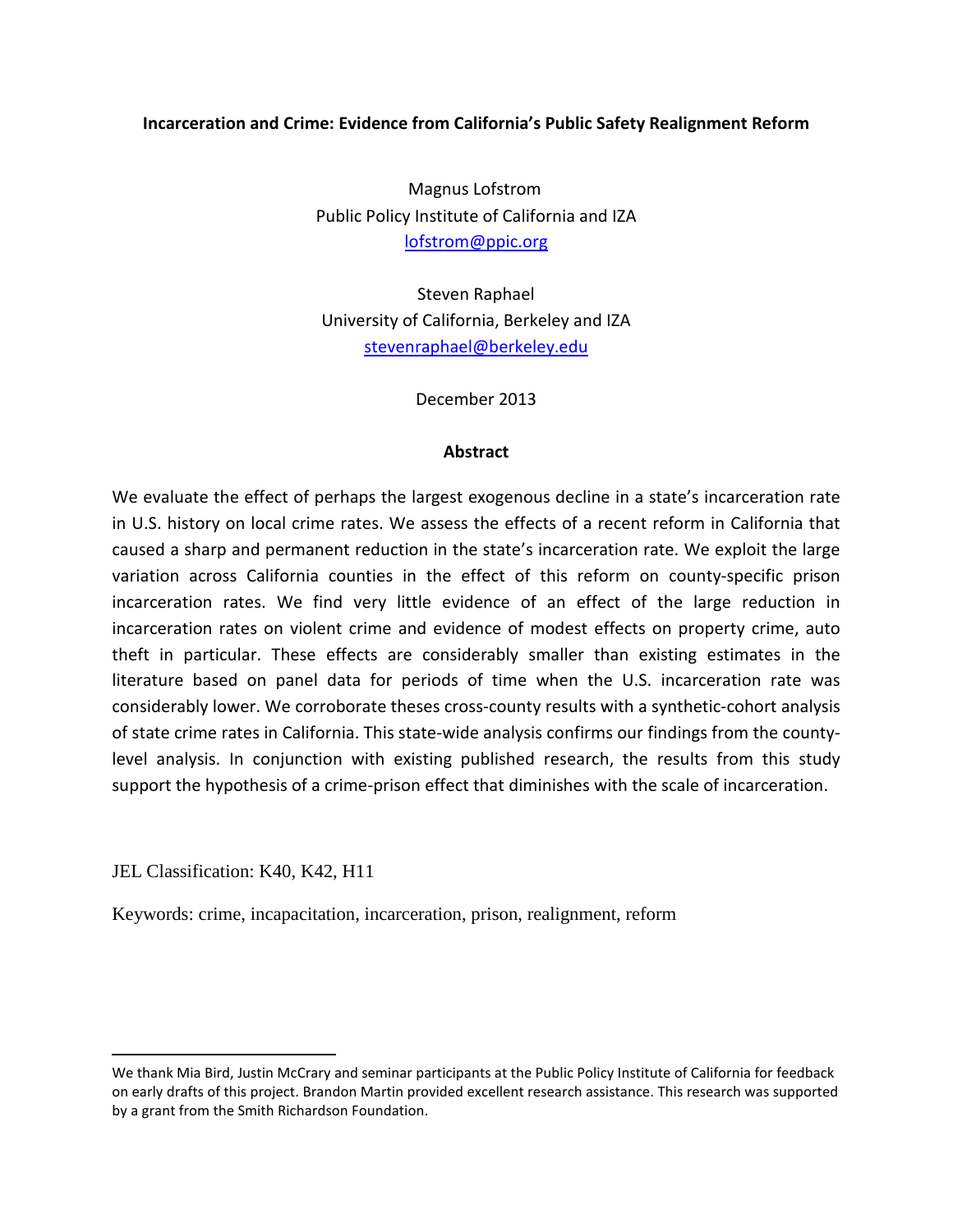## **Incarceration and Crime: Evidence from California's Public Safety Realignment Reform**

Magnus Lofstrom[\\*](#page-0-0) Public Policy Institute of California and IZA [lofstrom@ppic.org](mailto:lofstrom@ppic.org)

Steven Raphael University of California, Berkeley and IZA [stevenraphael@berkeley.edu](mailto:stevenraphael@berkeley.edu)

December 2013

### **Abstract**

We evaluate the effect of perhaps the largest exogenous decline in a state's incarceration rate in U.S. history on local crime rates. We assess the effects of a recent reform in California that caused a sharp and permanent reduction in the state's incarceration rate. We exploit the large variation across California counties in the effect of this reform on county‐specific prison incarceration rates. We find very little evidence of an effect of the large reduction in incarceration rates on violent crime and evidence of modest effects on property crime, auto theft in particular. These effects are considerably smaller than existing estimates in the literature based on panel data for periods of time when the U.S. incarceration rate was considerably lower. We corroborate theses cross‐county results with a synthetic‐cohort analysis of state crime rates in California. This state‐wide analysis confirms our findings from the county‐ level analysis. In conjunction with existing published research, the results from this study support the hypothesis of a crime-prison effect that diminishes with the scale of incarceration.

JEL Classification: K40, K42, H11

l

Keywords: crime, incapacitation, incarceration, prison, realignment, reform

<span id="page-0-0"></span>We thank Mia Bird, Justin McCrary and seminar participants at the Public Policy Institute of California for feedback on early drafts of this project. Brandon Martin provided excellent research assistance. This research was supported by a grant from the Smith Richardson Foundation.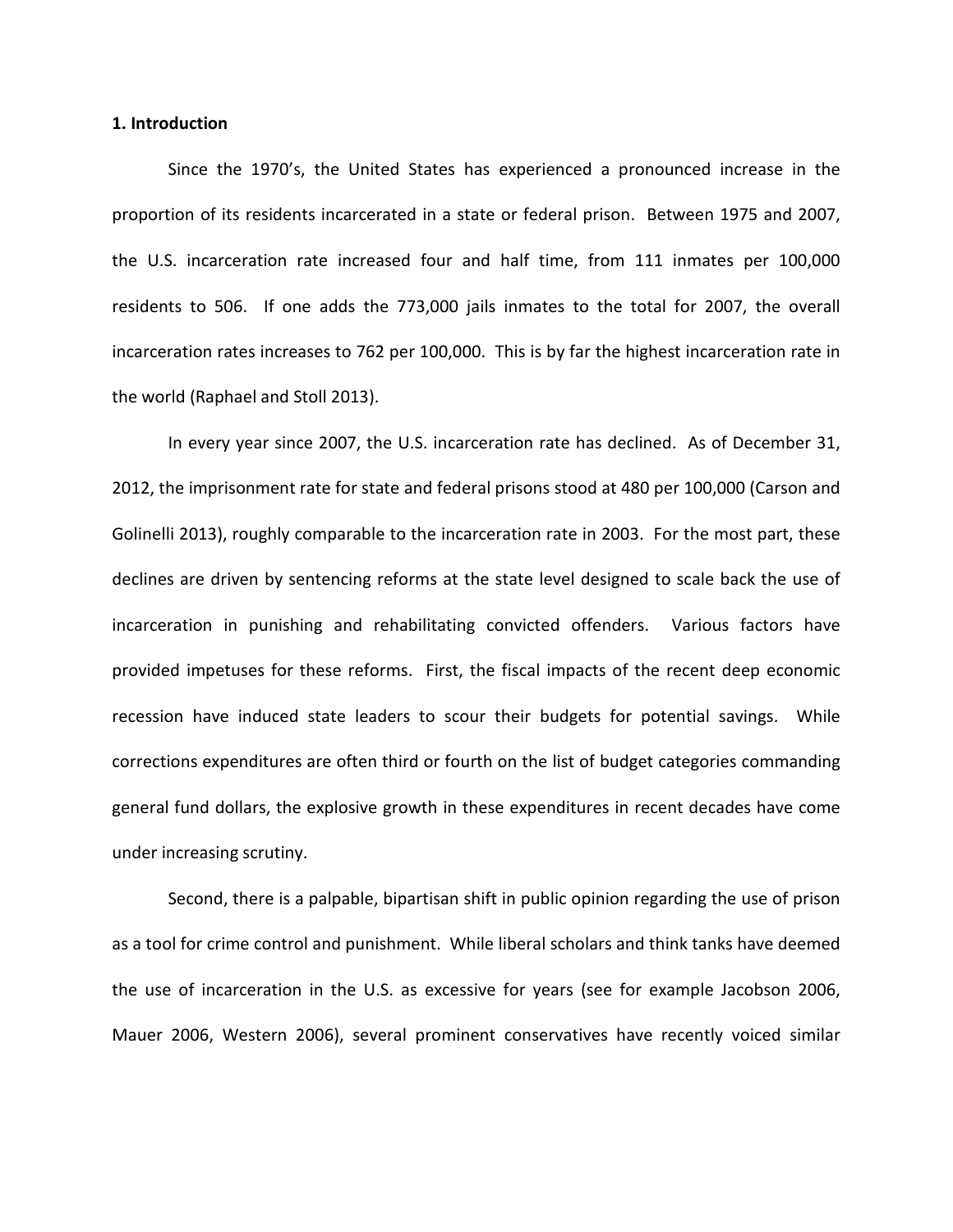#### **1. Introduction**

Since the 1970's, the United States has experienced a pronounced increase in the proportion of its residents incarcerated in a state or federal prison. Between 1975 and 2007, the U.S. incarceration rate increased four and half time, from 111 inmates per 100,000 residents to 506. If one adds the 773,000 jails inmates to the total for 2007, the overall incarceration rates increases to 762 per 100,000. This is by far the highest incarceration rate in the world (Raphael and Stoll 2013).

In every year since 2007, the U.S. incarceration rate has declined. As of December 31, 2012, the imprisonment rate for state and federal prisons stood at 480 per 100,000 (Carson and Golinelli 2013), roughly comparable to the incarceration rate in 2003. For the most part, these declines are driven by sentencing reforms at the state level designed to scale back the use of incarceration in punishing and rehabilitating convicted offenders. Various factors have provided impetuses for these reforms. First, the fiscal impacts of the recent deep economic recession have induced state leaders to scour their budgets for potential savings. While corrections expenditures are often third or fourth on the list of budget categories commanding general fund dollars, the explosive growth in these expenditures in recent decades have come under increasing scrutiny.

Second, there is a palpable, bipartisan shift in public opinion regarding the use of prison as a tool for crime control and punishment. While liberal scholars and think tanks have deemed the use of incarceration in the U.S. as excessive for years (see for example Jacobson 2006, Mauer 2006, Western 2006), several prominent conservatives have recently voiced similar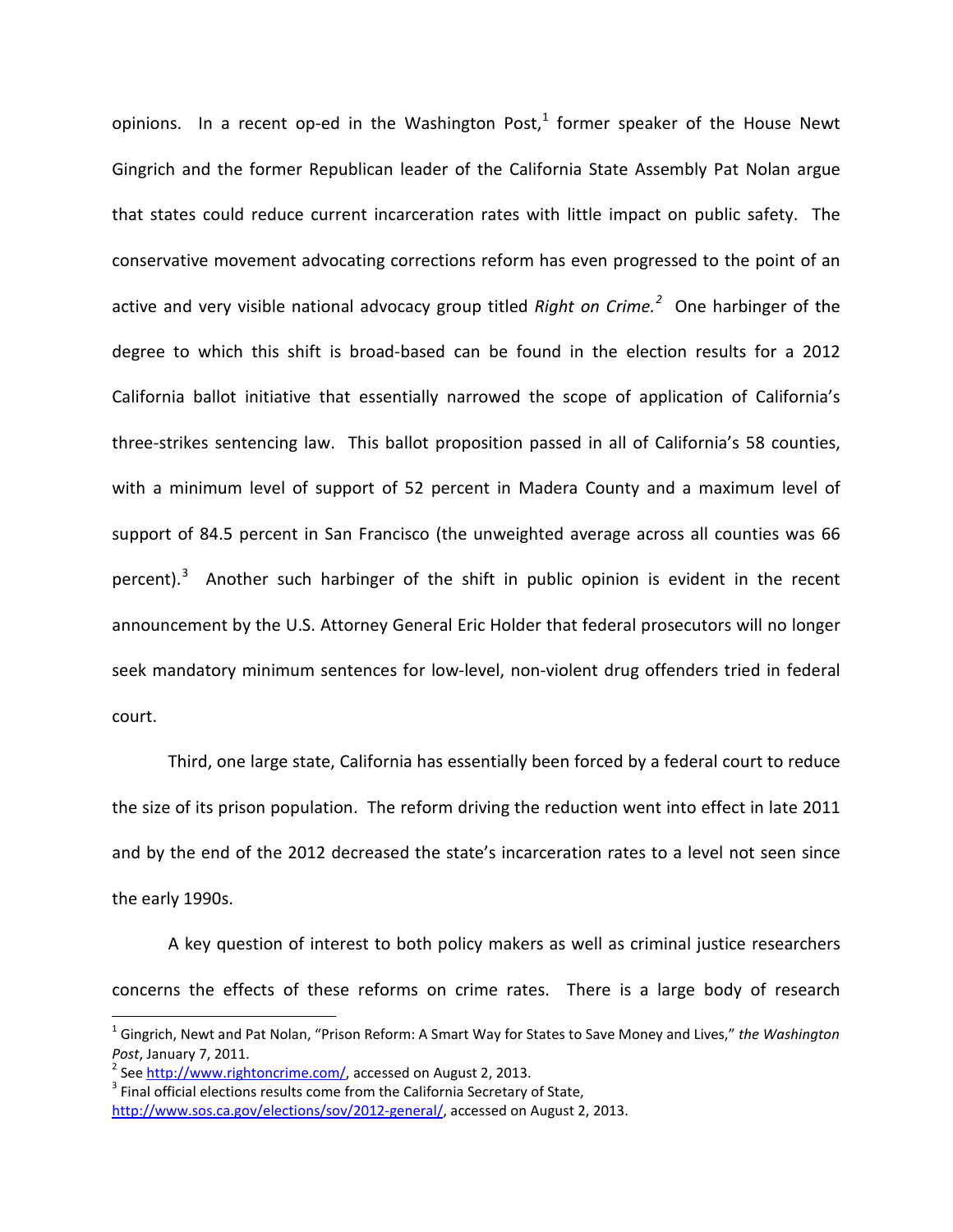opinions. In a recent op-ed in the Washington Post, $1$  former speaker of the House Newt Gingrich and the former Republican leader of the California State Assembly Pat Nolan argue that states could reduce current incarceration rates with little impact on public safety. The conservative movement advocating corrections reform has even progressed to the point of an active and very visible national advocacy group titled *Right on Crime.[2](#page-2-1)* One harbinger of the degree to which this shift is broad-based can be found in the election results for a 2012 California ballot initiative that essentially narrowed the scope of application of California's three-strikes sentencing law. This ballot proposition passed in all of California's 58 counties, with a minimum level of support of 52 percent in Madera County and a maximum level of support of 84.5 percent in San Francisco (the unweighted average across all counties was 66 percent).<sup>[3](#page-2-2)</sup> Another such harbinger of the shift in public opinion is evident in the recent announcement by the U.S. Attorney General Eric Holder that federal prosecutors will no longer seek mandatory minimum sentences for low-level, non-violent drug offenders tried in federal court.

Third, one large state, California has essentially been forced by a federal court to reduce the size of its prison population. The reform driving the reduction went into effect in late 2011 and by the end of the 2012 decreased the state's incarceration rates to a level not seen since the early 1990s.

A key question of interest to both policy makers as well as criminal justice researchers concerns the effects of these reforms on crime rates. There is a large body of research

<span id="page-2-0"></span> <sup>1</sup> Gingrich, Newt and Pat Nolan, "Prison Reform: A Smart Way for States to Save Money and Lives," *the Washington Post*, January 7, 2011.<br><sup>2</sup> See <u>http://www.rightoncrime.com/</u>, accessed on August 2, 2013.<br><sup>3</sup> Final official elections results come from the California Secretary of State,

<span id="page-2-1"></span>

<span id="page-2-2"></span>[http://www.sos.ca.gov/elections/sov/2012-general/,](http://www.sos.ca.gov/elections/sov/2012-general/) accessed on August 2, 2013.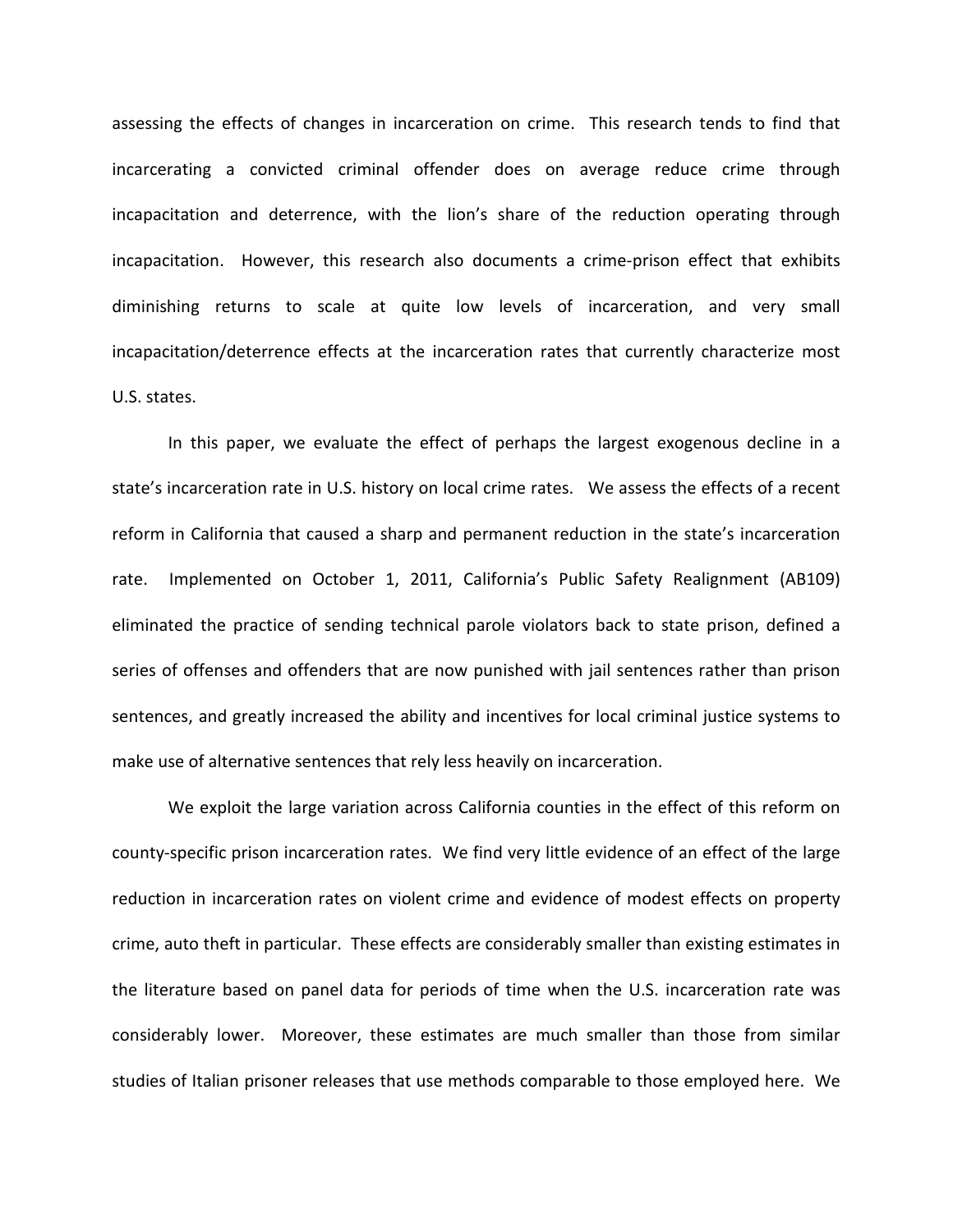assessing the effects of changes in incarceration on crime. This research tends to find that incarcerating a convicted criminal offender does on average reduce crime through incapacitation and deterrence, with the lion's share of the reduction operating through incapacitation. However, this research also documents a crime-prison effect that exhibits diminishing returns to scale at quite low levels of incarceration, and very small incapacitation/deterrence effects at the incarceration rates that currently characterize most U.S. states.

In this paper, we evaluate the effect of perhaps the largest exogenous decline in a state's incarceration rate in U.S. history on local crime rates. We assess the effects of a recent reform in California that caused a sharp and permanent reduction in the state's incarceration rate. Implemented on October 1, 2011, California's Public Safety Realignment (AB109) eliminated the practice of sending technical parole violators back to state prison, defined a series of offenses and offenders that are now punished with jail sentences rather than prison sentences, and greatly increased the ability and incentives for local criminal justice systems to make use of alternative sentences that rely less heavily on incarceration.

We exploit the large variation across California counties in the effect of this reform on county-specific prison incarceration rates. We find very little evidence of an effect of the large reduction in incarceration rates on violent crime and evidence of modest effects on property crime, auto theft in particular. These effects are considerably smaller than existing estimates in the literature based on panel data for periods of time when the U.S. incarceration rate was considerably lower. Moreover, these estimates are much smaller than those from similar studies of Italian prisoner releases that use methods comparable to those employed here. We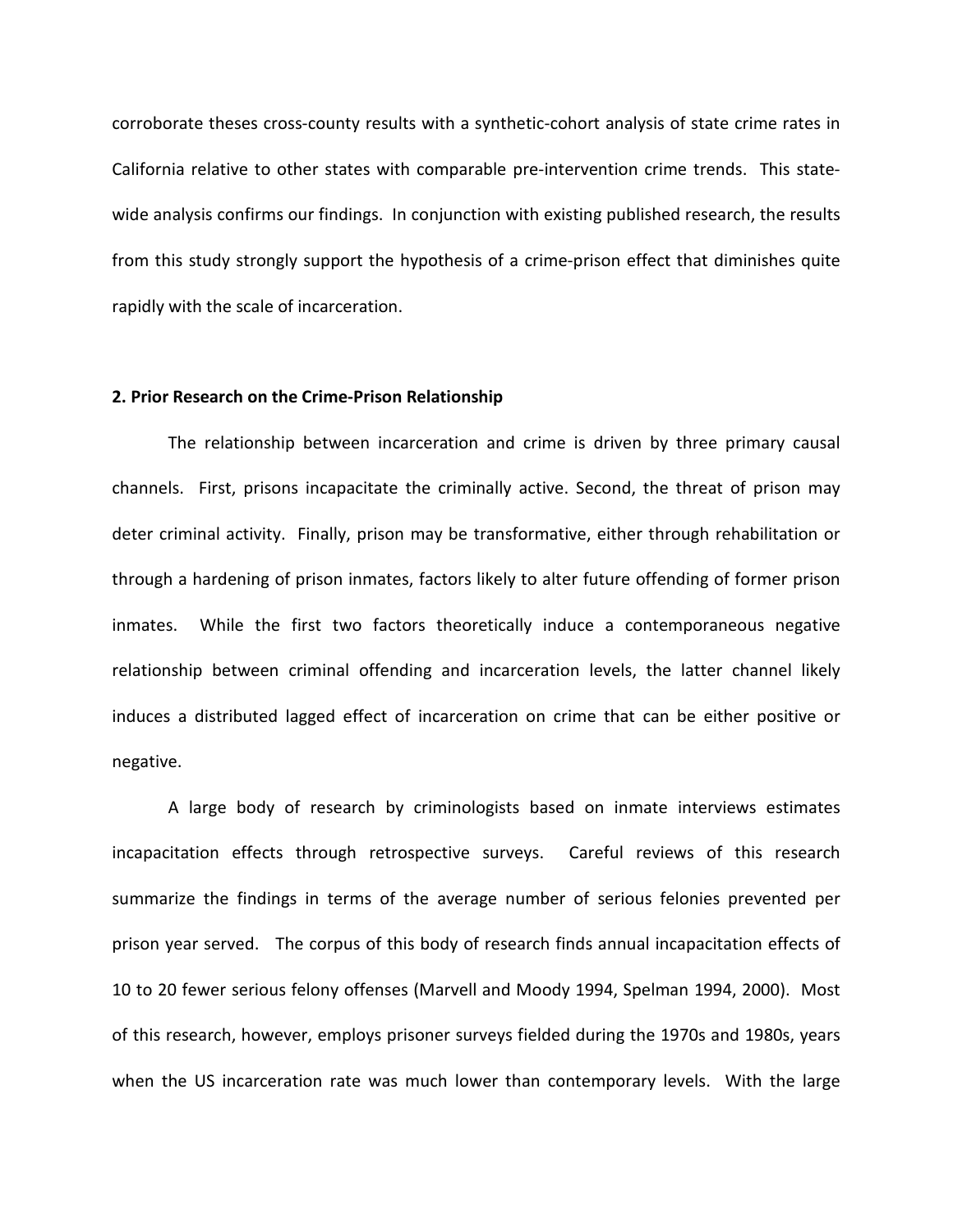corroborate theses cross-county results with a synthetic-cohort analysis of state crime rates in California relative to other states with comparable pre-intervention crime trends. This statewide analysis confirms our findings. In conjunction with existing published research, the results from this study strongly support the hypothesis of a crime-prison effect that diminishes quite rapidly with the scale of incarceration.

#### **2. Prior Research on the Crime-Prison Relationship**

The relationship between incarceration and crime is driven by three primary causal channels. First, prisons incapacitate the criminally active. Second, the threat of prison may deter criminal activity. Finally, prison may be transformative, either through rehabilitation or through a hardening of prison inmates, factors likely to alter future offending of former prison inmates. While the first two factors theoretically induce a contemporaneous negative relationship between criminal offending and incarceration levels, the latter channel likely induces a distributed lagged effect of incarceration on crime that can be either positive or negative.

A large body of research by criminologists based on inmate interviews estimates incapacitation effects through retrospective surveys. Careful reviews of this research summarize the findings in terms of the average number of serious felonies prevented per prison year served. The corpus of this body of research finds annual incapacitation effects of 10 to 20 fewer serious felony offenses (Marvell and Moody 1994, Spelman 1994, 2000). Most of this research, however, employs prisoner surveys fielded during the 1970s and 1980s, years when the US incarceration rate was much lower than contemporary levels. With the large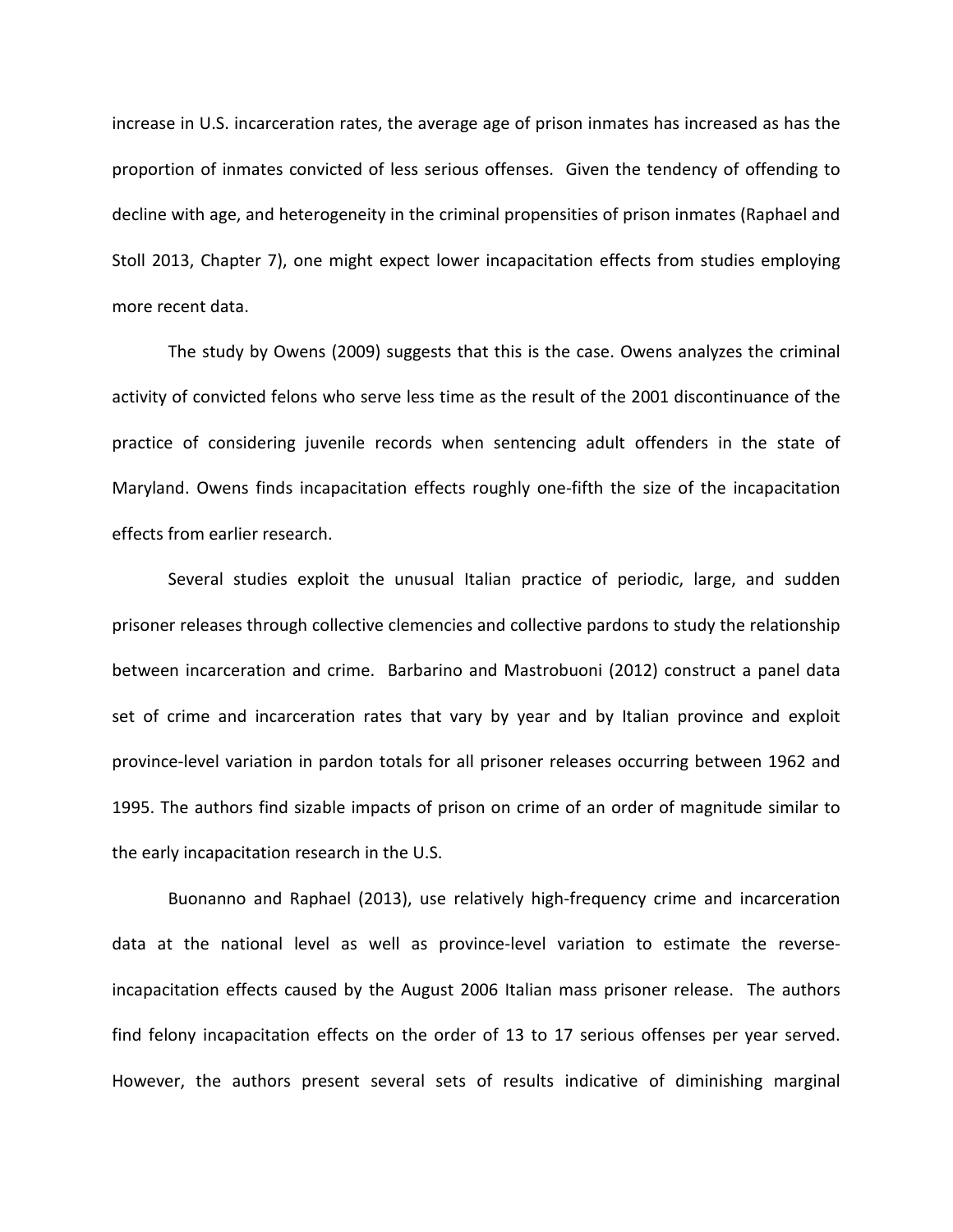increase in U.S. incarceration rates, the average age of prison inmates has increased as has the proportion of inmates convicted of less serious offenses. Given the tendency of offending to decline with age, and heterogeneity in the criminal propensities of prison inmates (Raphael and Stoll 2013, Chapter 7), one might expect lower incapacitation effects from studies employing more recent data.

The study by Owens (2009) suggests that this is the case. Owens analyzes the criminal activity of convicted felons who serve less time as the result of the 2001 discontinuance of the practice of considering juvenile records when sentencing adult offenders in the state of Maryland. Owens finds incapacitation effects roughly one-fifth the size of the incapacitation effects from earlier research.

Several studies exploit the unusual Italian practice of periodic, large, and sudden prisoner releases through collective clemencies and collective pardons to study the relationship between incarceration and crime. Barbarino and Mastrobuoni (2012) construct a panel data set of crime and incarceration rates that vary by year and by Italian province and exploit province-level variation in pardon totals for all prisoner releases occurring between 1962 and 1995. The authors find sizable impacts of prison on crime of an order of magnitude similar to the early incapacitation research in the U.S.

Buonanno and Raphael (2013), use relatively high-frequency crime and incarceration data at the national level as well as province-level variation to estimate the reverseincapacitation effects caused by the August 2006 Italian mass prisoner release. The authors find felony incapacitation effects on the order of 13 to 17 serious offenses per year served. However, the authors present several sets of results indicative of diminishing marginal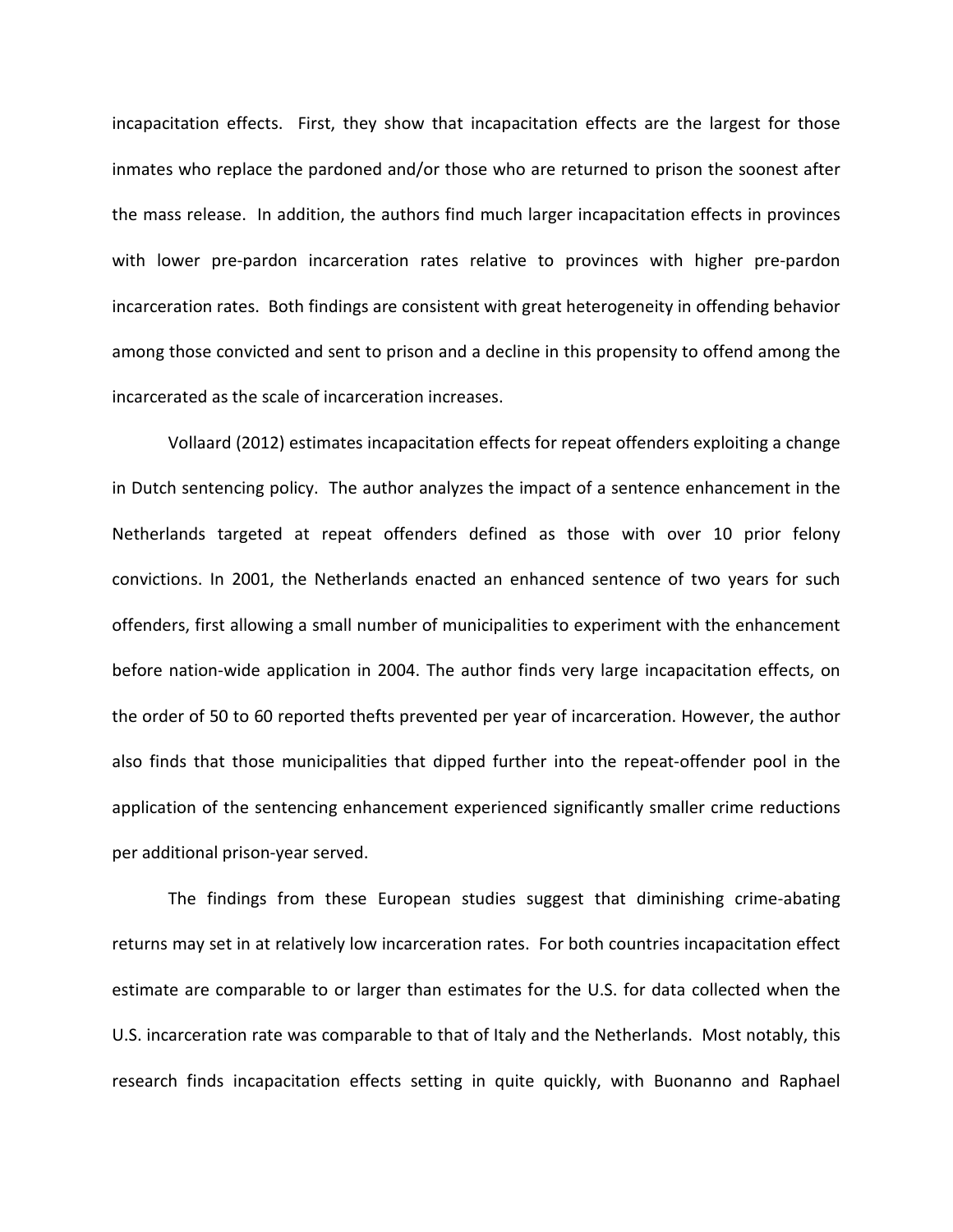incapacitation effects. First, they show that incapacitation effects are the largest for those inmates who replace the pardoned and/or those who are returned to prison the soonest after the mass release. In addition, the authors find much larger incapacitation effects in provinces with lower pre-pardon incarceration rates relative to provinces with higher pre-pardon incarceration rates. Both findings are consistent with great heterogeneity in offending behavior among those convicted and sent to prison and a decline in this propensity to offend among the incarcerated as the scale of incarceration increases.

Vollaard (2012) estimates incapacitation effects for repeat offenders exploiting a change in Dutch sentencing policy. The author analyzes the impact of a sentence enhancement in the Netherlands targeted at repeat offenders defined as those with over 10 prior felony convictions. In 2001, the Netherlands enacted an enhanced sentence of two years for such offenders, first allowing a small number of municipalities to experiment with the enhancement before nation-wide application in 2004. The author finds very large incapacitation effects, on the order of 50 to 60 reported thefts prevented per year of incarceration. However, the author also finds that those municipalities that dipped further into the repeat-offender pool in the application of the sentencing enhancement experienced significantly smaller crime reductions per additional prison-year served.

The findings from these European studies suggest that diminishing crime-abating returns may set in at relatively low incarceration rates. For both countries incapacitation effect estimate are comparable to or larger than estimates for the U.S. for data collected when the U.S. incarceration rate was comparable to that of Italy and the Netherlands. Most notably, this research finds incapacitation effects setting in quite quickly, with Buonanno and Raphael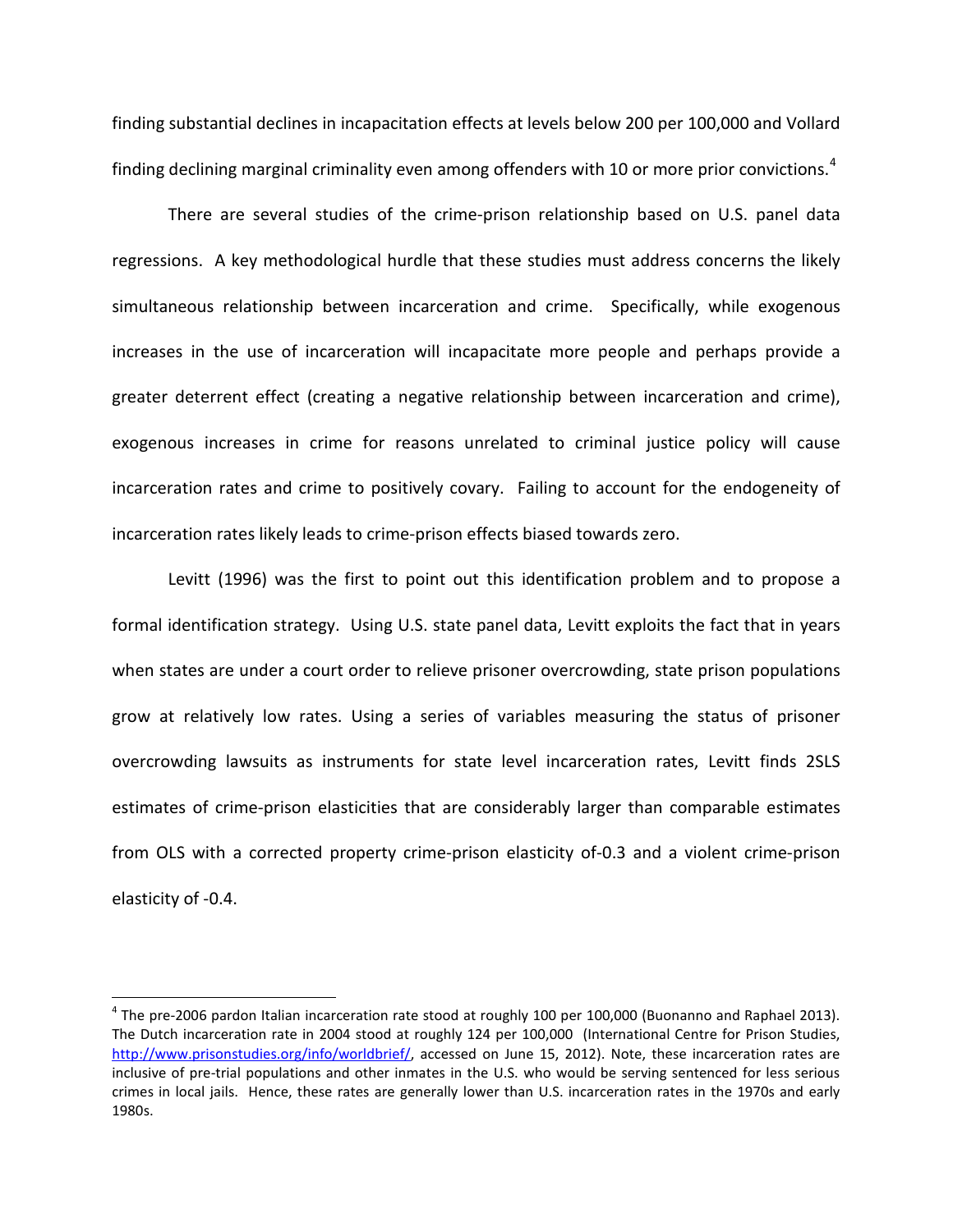finding substantial declines in incapacitation effects at levels below 200 per 100,000 and Vollard finding declining marginal criminality even among offenders with 10 or more prior convictions.<sup>[4](#page-7-0)</sup>

There are several studies of the crime-prison relationship based on U.S. panel data regressions. A key methodological hurdle that these studies must address concerns the likely simultaneous relationship between incarceration and crime. Specifically, while exogenous increases in the use of incarceration will incapacitate more people and perhaps provide a greater deterrent effect (creating a negative relationship between incarceration and crime), exogenous increases in crime for reasons unrelated to criminal justice policy will cause incarceration rates and crime to positively covary. Failing to account for the endogeneity of incarceration rates likely leads to crime-prison effects biased towards zero.

Levitt (1996) was the first to point out this identification problem and to propose a formal identification strategy. Using U.S. state panel data, Levitt exploits the fact that in years when states are under a court order to relieve prisoner overcrowding, state prison populations grow at relatively low rates. Using a series of variables measuring the status of prisoner overcrowding lawsuits as instruments for state level incarceration rates, Levitt finds 2SLS estimates of crime-prison elasticities that are considerably larger than comparable estimates from OLS with a corrected property crime-prison elasticity of-0.3 and a violent crime-prison elasticity of -0.4.

<span id="page-7-0"></span> $^4$  The pre-2006 pardon Italian incarceration rate stood at roughly 100 per 100,000 (Buonanno and Raphael 2013). The Dutch incarceration rate in 2004 stood at roughly 124 per 100,000 (International Centre for Prison Studies, [http://www.prisonstudies.org/info/worldbrief/,](http://www.prisonstudies.org/info/worldbrief/) accessed on June 15, 2012). Note, these incarceration rates are inclusive of pre-trial populations and other inmates in the U.S. who would be serving sentenced for less serious crimes in local jails. Hence, these rates are generally lower than U.S. incarceration rates in the 1970s and early 1980s.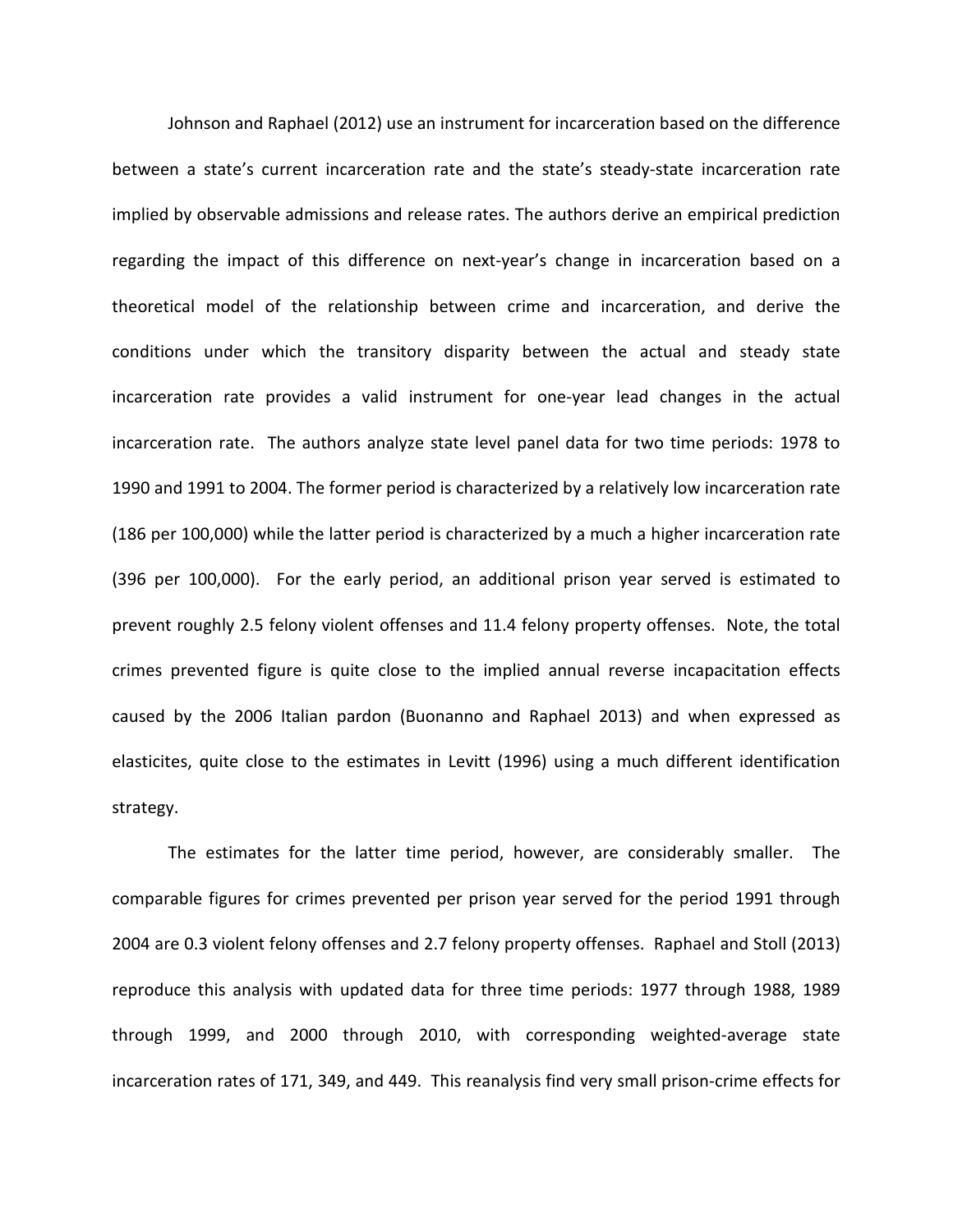Johnson and Raphael (2012) use an instrument for incarceration based on the difference between a state's current incarceration rate and the state's steady-state incarceration rate implied by observable admissions and release rates. The authors derive an empirical prediction regarding the impact of this difference on next-year's change in incarceration based on a theoretical model of the relationship between crime and incarceration, and derive the conditions under which the transitory disparity between the actual and steady state incarceration rate provides a valid instrument for one-year lead changes in the actual incarceration rate. The authors analyze state level panel data for two time periods: 1978 to 1990 and 1991 to 2004. The former period is characterized by a relatively low incarceration rate (186 per 100,000) while the latter period is characterized by a much a higher incarceration rate (396 per 100,000). For the early period, an additional prison year served is estimated to prevent roughly 2.5 felony violent offenses and 11.4 felony property offenses. Note, the total crimes prevented figure is quite close to the implied annual reverse incapacitation effects caused by the 2006 Italian pardon (Buonanno and Raphael 2013) and when expressed as elasticites, quite close to the estimates in Levitt (1996) using a much different identification strategy.

The estimates for the latter time period, however, are considerably smaller. The comparable figures for crimes prevented per prison year served for the period 1991 through 2004 are 0.3 violent felony offenses and 2.7 felony property offenses. Raphael and Stoll (2013) reproduce this analysis with updated data for three time periods: 1977 through 1988, 1989 through 1999, and 2000 through 2010, with corresponding weighted-average state incarceration rates of 171, 349, and 449. This reanalysis find very small prison-crime effects for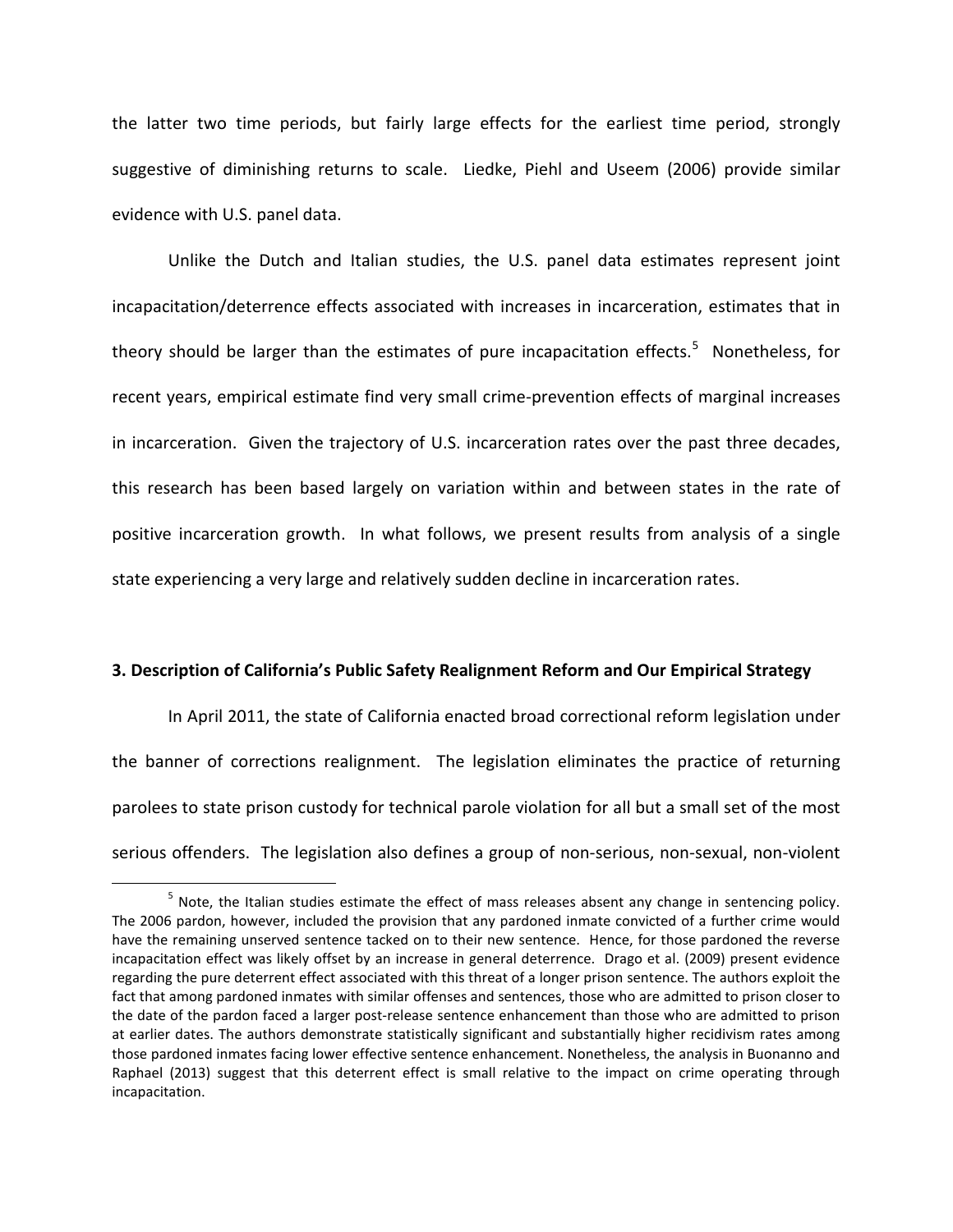the latter two time periods, but fairly large effects for the earliest time period, strongly suggestive of diminishing returns to scale. Liedke, Piehl and Useem (2006) provide similar evidence with U.S. panel data.

Unlike the Dutch and Italian studies, the U.S. panel data estimates represent joint incapacitation/deterrence effects associated with increases in incarceration, estimates that in theory should be larger than the estimates of pure incapacitation effects.<sup>[5](#page-9-0)</sup> Nonetheless, for recent years, empirical estimate find very small crime-prevention effects of marginal increases in incarceration. Given the trajectory of U.S. incarceration rates over the past three decades, this research has been based largely on variation within and between states in the rate of positive incarceration growth. In what follows, we present results from analysis of a single state experiencing a very large and relatively sudden decline in incarceration rates.

#### **3. Description of California's Public Safety Realignment Reform and Our Empirical Strategy**

In April 2011, the state of California enacted broad correctional reform legislation under the banner of corrections realignment. The legislation eliminates the practice of returning parolees to state prison custody for technical parole violation for all but a small set of the most serious offenders. The legislation also defines a group of non-serious, non-sexual, non-violent

<span id="page-9-0"></span><sup>&</sup>lt;sup>5</sup> Note, the Italian studies estimate the effect of mass releases absent any change in sentencing policy. The 2006 pardon, however, included the provision that any pardoned inmate convicted of a further crime would have the remaining unserved sentence tacked on to their new sentence. Hence, for those pardoned the reverse incapacitation effect was likely offset by an increase in general deterrence. Drago et al. (2009) present evidence regarding the pure deterrent effect associated with this threat of a longer prison sentence. The authors exploit the fact that among pardoned inmates with similar offenses and sentences, those who are admitted to prison closer to the date of the pardon faced a larger post-release sentence enhancement than those who are admitted to prison at earlier dates. The authors demonstrate statistically significant and substantially higher recidivism rates among those pardoned inmates facing lower effective sentence enhancement. Nonetheless, the analysis in Buonanno and Raphael (2013) suggest that this deterrent effect is small relative to the impact on crime operating through incapacitation.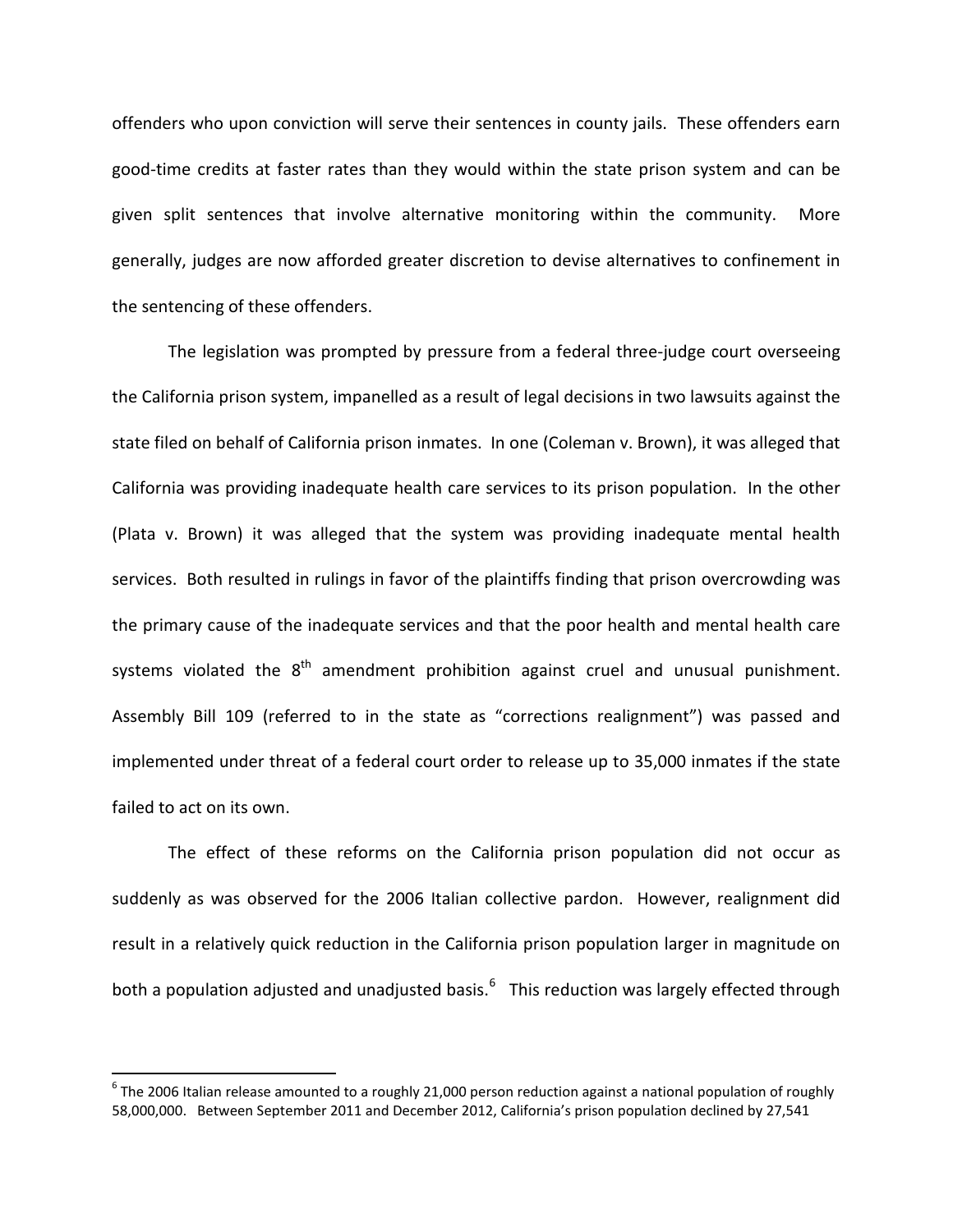offenders who upon conviction will serve their sentences in county jails. These offenders earn good-time credits at faster rates than they would within the state prison system and can be given split sentences that involve alternative monitoring within the community. More generally, judges are now afforded greater discretion to devise alternatives to confinement in the sentencing of these offenders.

The legislation was prompted by pressure from a federal three-judge court overseeing the California prison system, impanelled as a result of legal decisions in two lawsuits against the state filed on behalf of California prison inmates. In one (Coleman v. Brown), it was alleged that California was providing inadequate health care services to its prison population. In the other (Plata v. Brown) it was alleged that the system was providing inadequate mental health services. Both resulted in rulings in favor of the plaintiffs finding that prison overcrowding was the primary cause of the inadequate services and that the poor health and mental health care systems violated the  $8<sup>th</sup>$  amendment prohibition against cruel and unusual punishment. Assembly Bill 109 (referred to in the state as "corrections realignment") was passed and implemented under threat of a federal court order to release up to 35,000 inmates if the state failed to act on its own.

The effect of these reforms on the California prison population did not occur as suddenly as was observed for the 2006 Italian collective pardon. However, realignment did result in a relatively quick reduction in the California prison population larger in magnitude on both a population adjusted and unadjusted basis.<sup>[6](#page-10-0)</sup> This reduction was largely effected through

<span id="page-10-0"></span> $6$  The 2006 Italian release amounted to a roughly 21,000 person reduction against a national population of roughly 58,000,000. Between September 2011 and December 2012, California's prison population declined by 27,541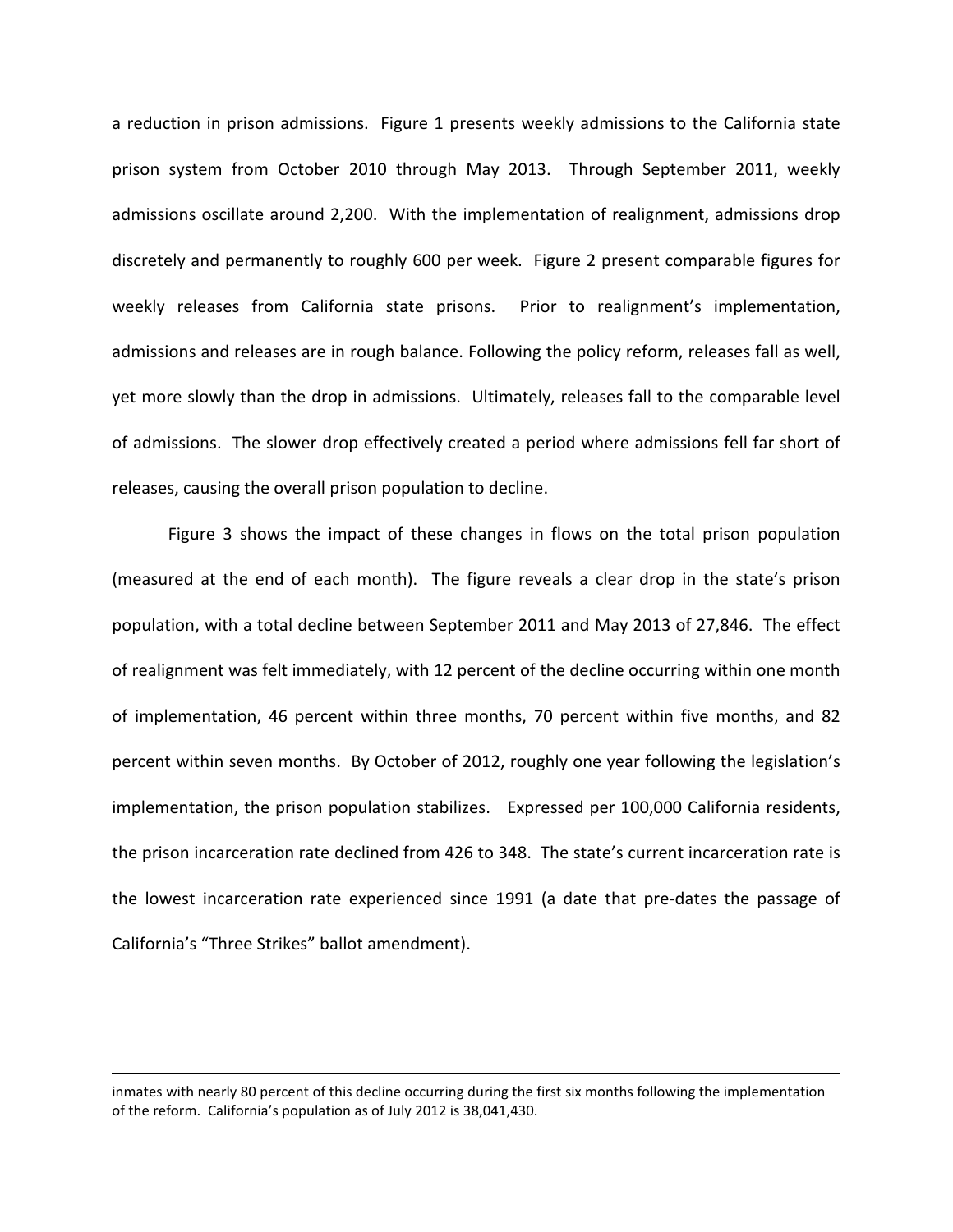a reduction in prison admissions. Figure 1 presents weekly admissions to the California state prison system from October 2010 through May 2013. Through September 2011, weekly admissions oscillate around 2,200. With the implementation of realignment, admissions drop discretely and permanently to roughly 600 per week. Figure 2 present comparable figures for weekly releases from California state prisons. Prior to realignment's implementation, admissions and releases are in rough balance. Following the policy reform, releases fall as well, yet more slowly than the drop in admissions. Ultimately, releases fall to the comparable level of admissions. The slower drop effectively created a period where admissions fell far short of releases, causing the overall prison population to decline.

Figure 3 shows the impact of these changes in flows on the total prison population (measured at the end of each month). The figure reveals a clear drop in the state's prison population, with a total decline between September 2011 and May 2013 of 27,846. The effect of realignment was felt immediately, with 12 percent of the decline occurring within one month of implementation, 46 percent within three months, 70 percent within five months, and 82 percent within seven months. By October of 2012, roughly one year following the legislation's implementation, the prison population stabilizes. Expressed per 100,000 California residents, the prison incarceration rate declined from 426 to 348. The state's current incarceration rate is the lowest incarceration rate experienced since 1991 (a date that pre-dates the passage of California's "Three Strikes" ballot amendment).

inmates with nearly 80 percent of this decline occurring during the first six months following the implementation of the reform. California's population as of July 2012 is 38,041,430.

 $\overline{\phantom{a}}$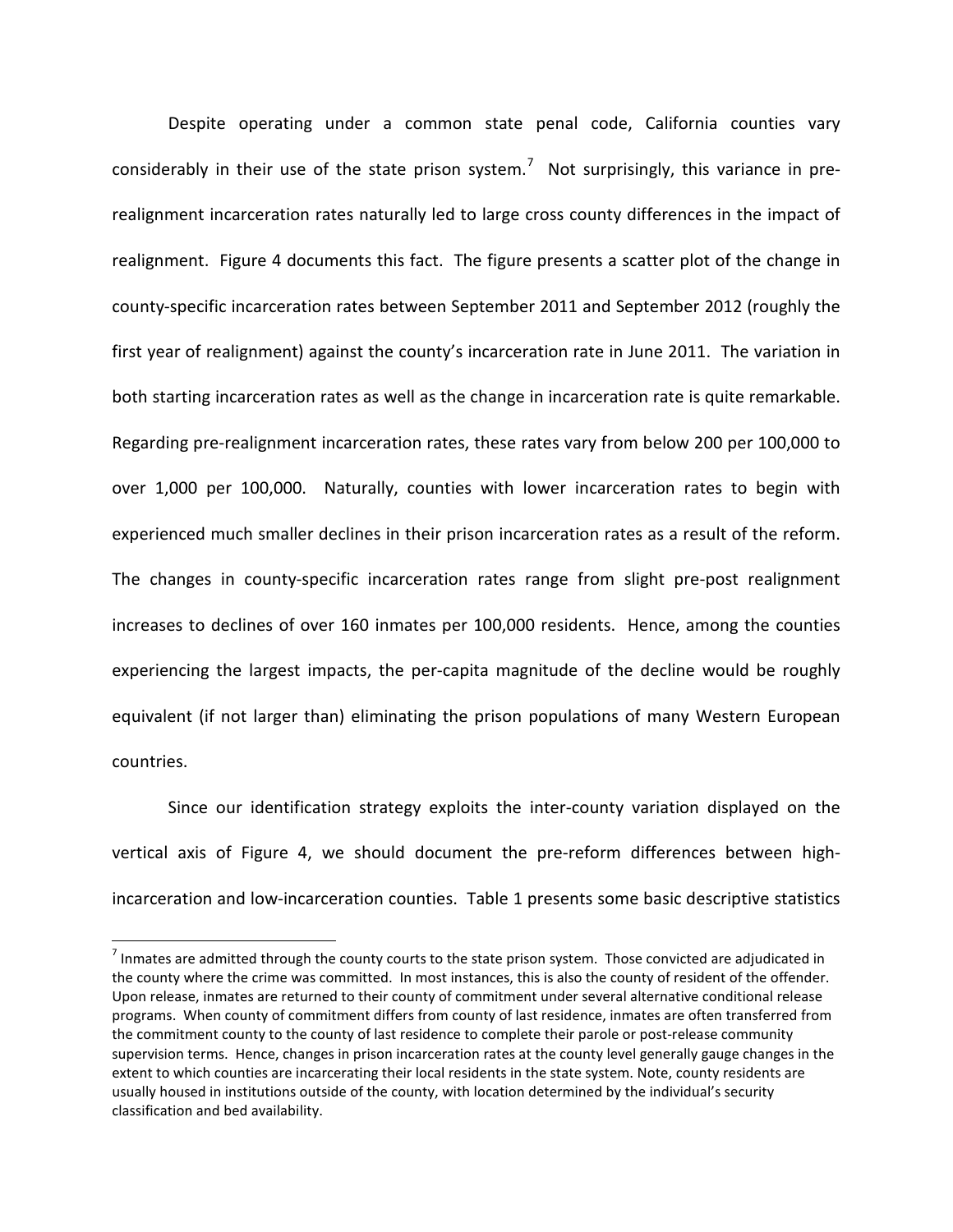Despite operating under a common state penal code, California counties vary considerably in their use of the state prison system.<sup>[7](#page-12-0)</sup> Not surprisingly, this variance in prerealignment incarceration rates naturally led to large cross county differences in the impact of realignment. Figure 4 documents this fact. The figure presents a scatter plot of the change in county-specific incarceration rates between September 2011 and September 2012 (roughly the first year of realignment) against the county's incarceration rate in June 2011. The variation in both starting incarceration rates as well as the change in incarceration rate is quite remarkable. Regarding pre-realignment incarceration rates, these rates vary from below 200 per 100,000 to over 1,000 per 100,000. Naturally, counties with lower incarceration rates to begin with experienced much smaller declines in their prison incarceration rates as a result of the reform. The changes in county-specific incarceration rates range from slight pre-post realignment increases to declines of over 160 inmates per 100,000 residents. Hence, among the counties experiencing the largest impacts, the per-capita magnitude of the decline would be roughly equivalent (if not larger than) eliminating the prison populations of many Western European countries.

Since our identification strategy exploits the inter-county variation displayed on the vertical axis of Figure 4, we should document the pre-reform differences between highincarceration and low-incarceration counties. Table 1 presents some basic descriptive statistics

<span id="page-12-0"></span> $<sup>7</sup>$  Inmates are admitted through the county courts to the state prison system. Those convicted are adjudicated in</sup> the county where the crime was committed. In most instances, this is also the county of resident of the offender. Upon release, inmates are returned to their county of commitment under several alternative conditional release programs. When county of commitment differs from county of last residence, inmates are often transferred from the commitment county to the county of last residence to complete their parole or post-release community supervision terms. Hence, changes in prison incarceration rates at the county level generally gauge changes in the extent to which counties are incarcerating their local residents in the state system. Note, county residents are usually housed in institutions outside of the county, with location determined by the individual's security classification and bed availability.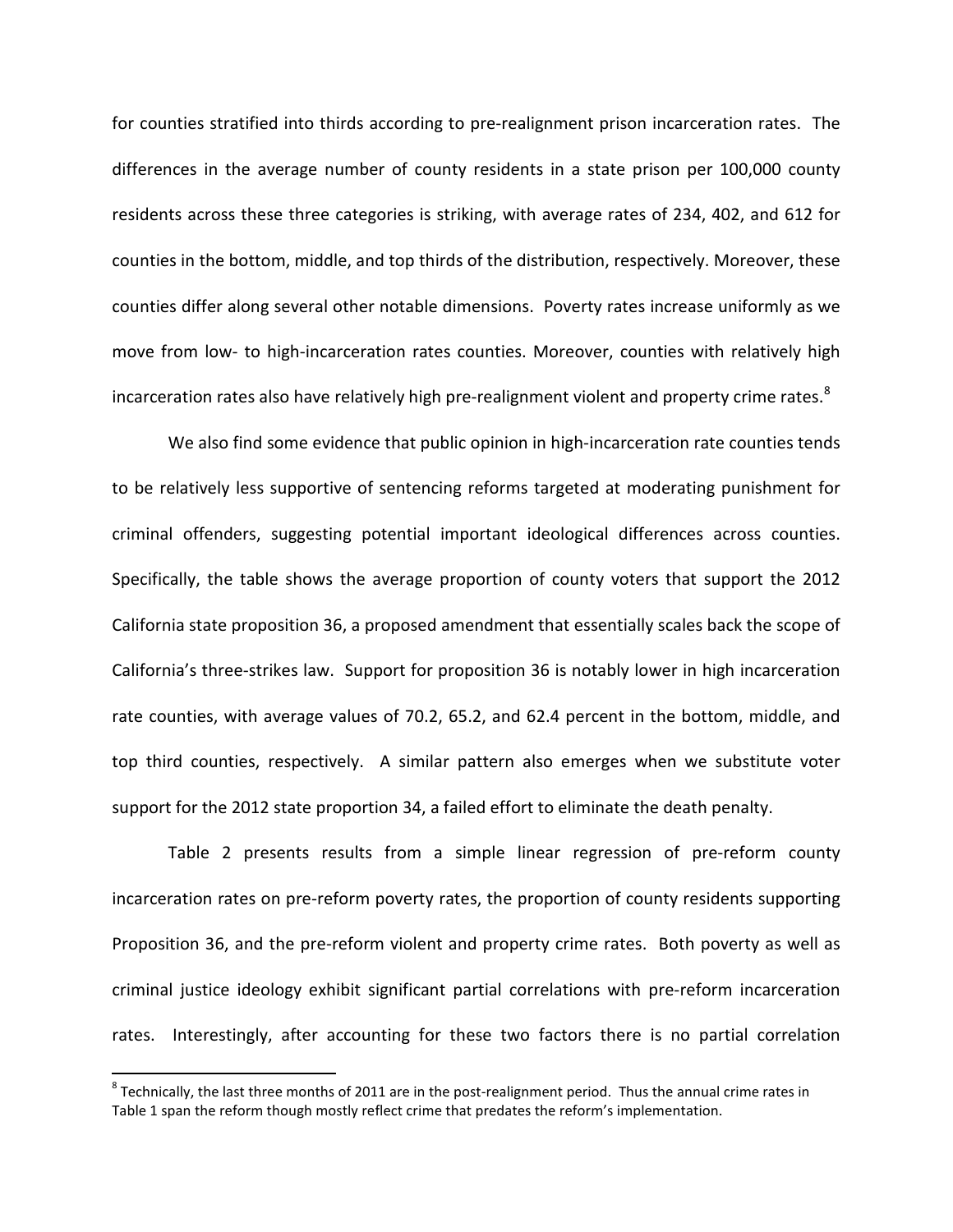for counties stratified into thirds according to pre-realignment prison incarceration rates. The differences in the average number of county residents in a state prison per 100,000 county residents across these three categories is striking, with average rates of 234, 402, and 612 for counties in the bottom, middle, and top thirds of the distribution, respectively. Moreover, these counties differ along several other notable dimensions. Poverty rates increase uniformly as we move from low- to high-incarceration rates counties. Moreover, counties with relatively high incarceration rates also have relatively high pre-realignment violent and property crime rates.<sup>[8](#page-13-0)</sup>

We also find some evidence that public opinion in high-incarceration rate counties tends to be relatively less supportive of sentencing reforms targeted at moderating punishment for criminal offenders, suggesting potential important ideological differences across counties. Specifically, the table shows the average proportion of county voters that support the 2012 California state proposition 36, a proposed amendment that essentially scales back the scope of California's three-strikes law. Support for proposition 36 is notably lower in high incarceration rate counties, with average values of 70.2, 65.2, and 62.4 percent in the bottom, middle, and top third counties, respectively. A similar pattern also emerges when we substitute voter support for the 2012 state proportion 34, a failed effort to eliminate the death penalty.

Table 2 presents results from a simple linear regression of pre-reform county incarceration rates on pre-reform poverty rates, the proportion of county residents supporting Proposition 36, and the pre-reform violent and property crime rates. Both poverty as well as criminal justice ideology exhibit significant partial correlations with pre-reform incarceration rates. Interestingly, after accounting for these two factors there is no partial correlation

<span id="page-13-0"></span> $8$  Technically, the last three months of 2011 are in the post-realignment period. Thus the annual crime rates in Table 1 span the reform though mostly reflect crime that predates the reform's implementation.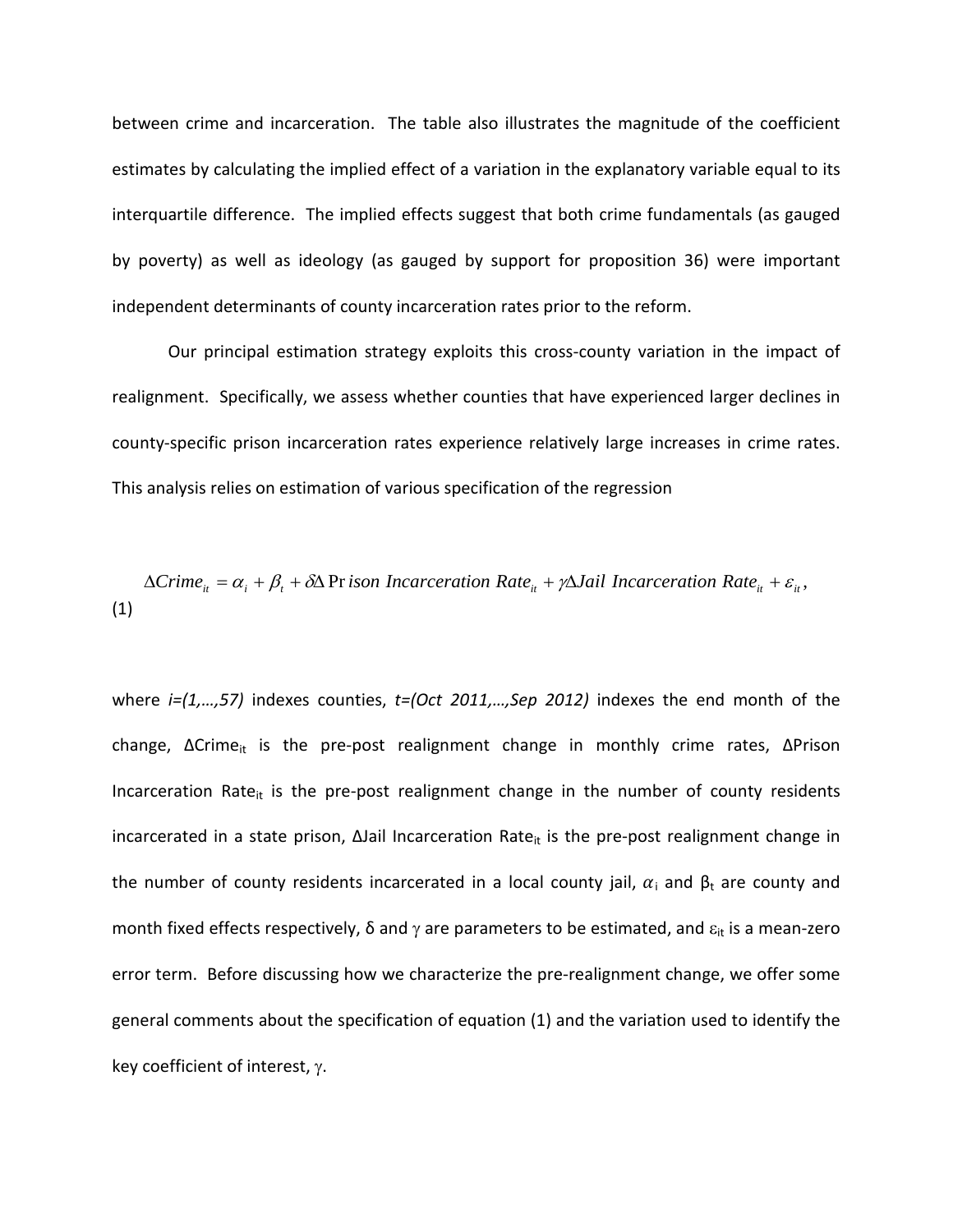between crime and incarceration. The table also illustrates the magnitude of the coefficient estimates by calculating the implied effect of a variation in the explanatory variable equal to its interquartile difference. The implied effects suggest that both crime fundamentals (as gauged by poverty) as well as ideology (as gauged by support for proposition 36) were important independent determinants of county incarceration rates prior to the reform.

Our principal estimation strategy exploits this cross-county variation in the impact of realignment. Specifically, we assess whether counties that have experienced larger declines in county-specific prison incarceration rates experience relatively large increases in crime rates. This analysis relies on estimation of various specification of the regression

$$
\Delta C \text{time}_{ii} = \alpha_i + \beta_i + \delta \Delta \text{Pr} \text{ is on Incarceration Rate}_{ii} + \gamma \Delta \text{Jail Incarceration Rate}_{ii} + \varepsilon_{ii},
$$
\n(1)

where *i=(1,…,57)* indexes counties, *t=(Oct 2011,…,Sep 2012)* indexes the end month of the change, ∆Crime<sub>it</sub> is the pre-post realignment change in monthly crime rates, ∆Prison Incarceration Rate<sub>it</sub> is the pre-post realignment change in the number of county residents incarcerated in a state prison, ∆Jail Incarceration Rate<sub>it</sub> is the pre-post realignment change in the number of county residents incarcerated in a local county jail,  $\alpha_i$  and  $\beta_t$  are county and month fixed effects respectively,  $\delta$  and  $\gamma$  are parameters to be estimated, and  $\varepsilon_{it}$  is a mean-zero error term. Before discussing how we characterize the pre-realignment change, we offer some general comments about the specification of equation (1) and the variation used to identify the key coefficient of interest, γ.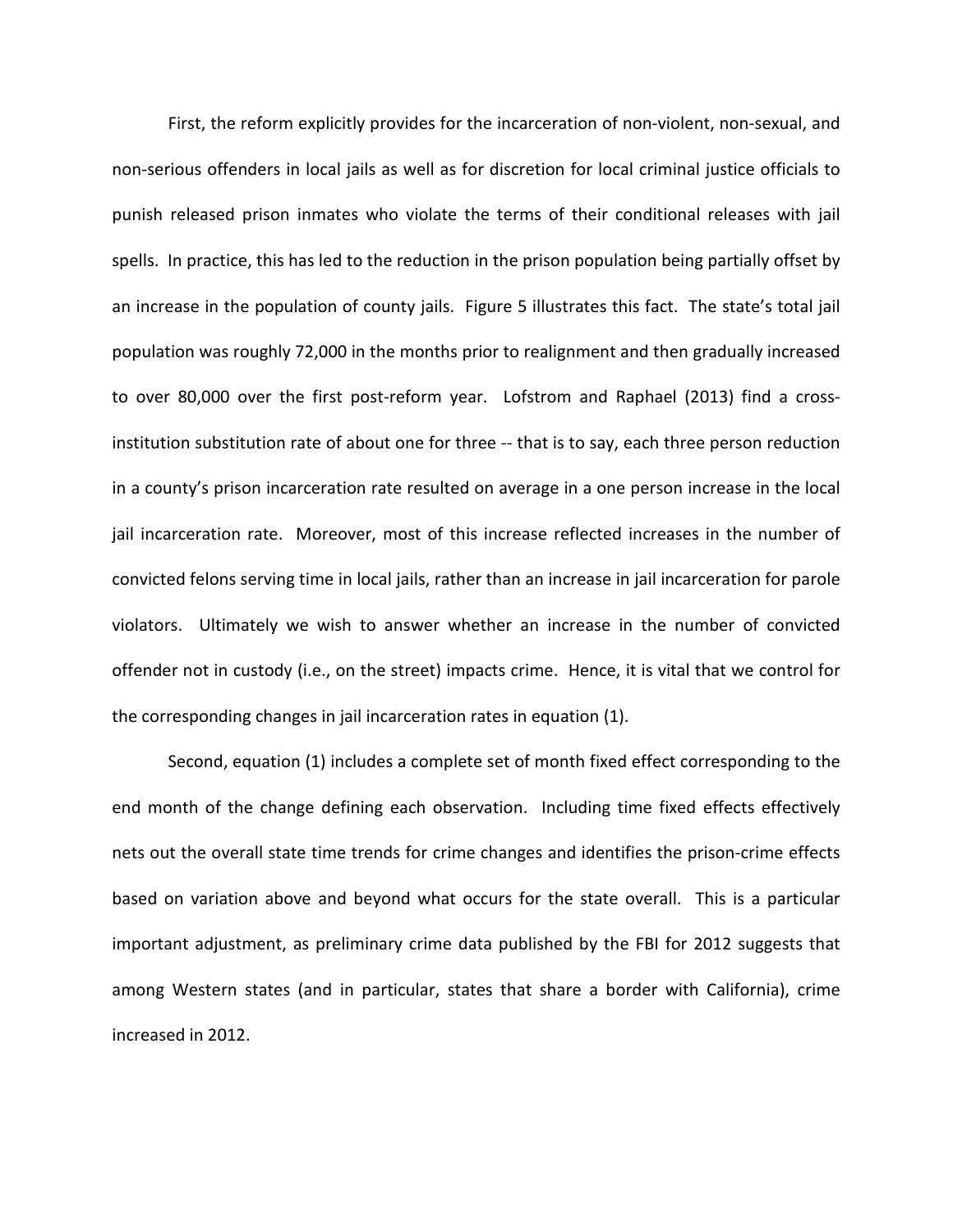First, the reform explicitly provides for the incarceration of non-violent, non-sexual, and non-serious offenders in local jails as well as for discretion for local criminal justice officials to punish released prison inmates who violate the terms of their conditional releases with jail spells. In practice, this has led to the reduction in the prison population being partially offset by an increase in the population of county jails. Figure 5 illustrates this fact. The state's total jail population was roughly 72,000 in the months prior to realignment and then gradually increased to over 80,000 over the first post-reform year. Lofstrom and Raphael (2013) find a crossinstitution substitution rate of about one for three -- that is to say, each three person reduction in a county's prison incarceration rate resulted on average in a one person increase in the local jail incarceration rate. Moreover, most of this increase reflected increases in the number of convicted felons serving time in local jails, rather than an increase in jail incarceration for parole violators. Ultimately we wish to answer whether an increase in the number of convicted offender not in custody (i.e., on the street) impacts crime. Hence, it is vital that we control for the corresponding changes in jail incarceration rates in equation (1).

Second, equation (1) includes a complete set of month fixed effect corresponding to the end month of the change defining each observation. Including time fixed effects effectively nets out the overall state time trends for crime changes and identifies the prison-crime effects based on variation above and beyond what occurs for the state overall. This is a particular important adjustment, as preliminary crime data published by the FBI for 2012 suggests that among Western states (and in particular, states that share a border with California), crime increased in 2012.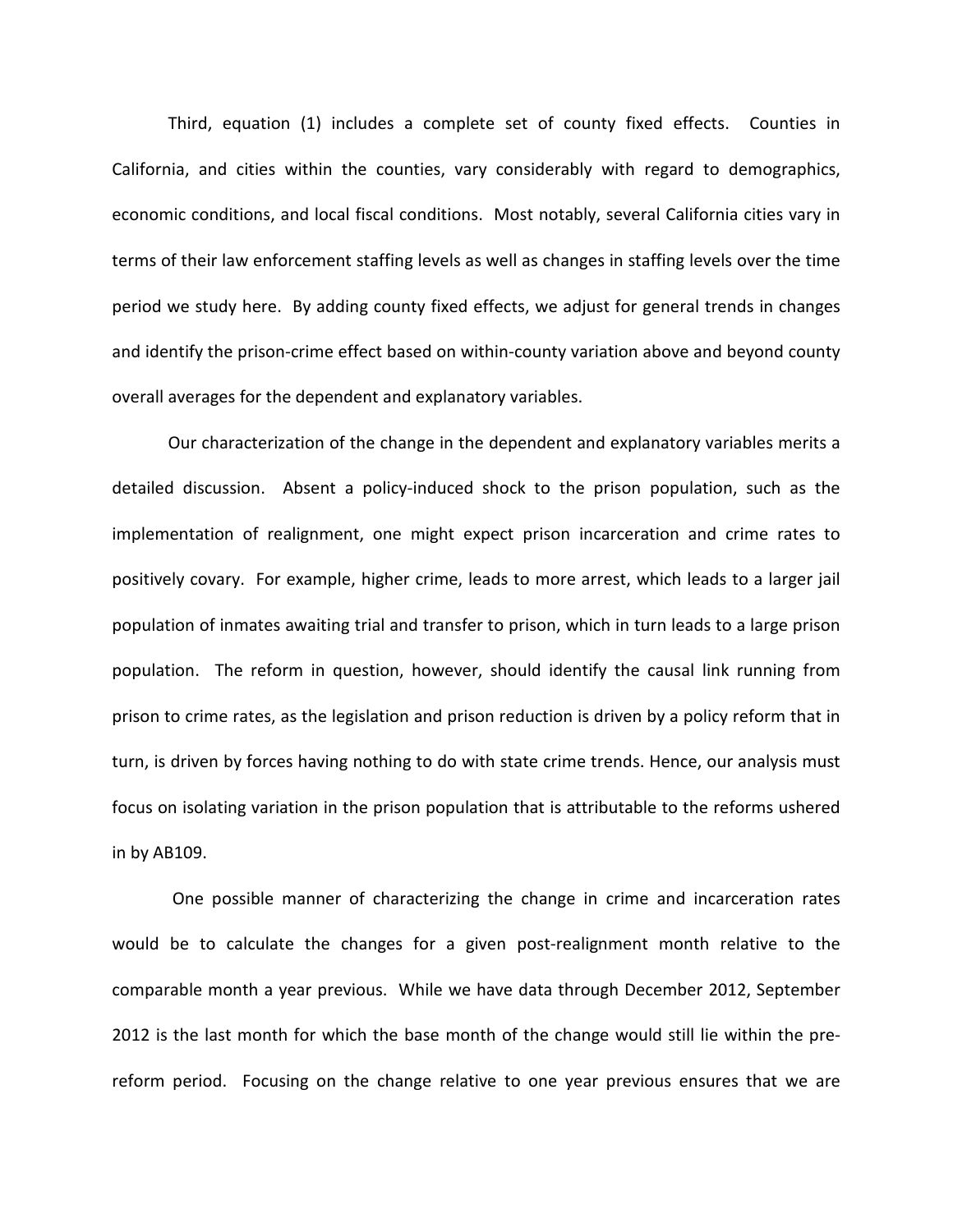Third, equation (1) includes a complete set of county fixed effects. Counties in California, and cities within the counties, vary considerably with regard to demographics, economic conditions, and local fiscal conditions. Most notably, several California cities vary in terms of their law enforcement staffing levels as well as changes in staffing levels over the time period we study here. By adding county fixed effects, we adjust for general trends in changes and identify the prison-crime effect based on within-county variation above and beyond county overall averages for the dependent and explanatory variables.

Our characterization of the change in the dependent and explanatory variables merits a detailed discussion. Absent a policy-induced shock to the prison population, such as the implementation of realignment, one might expect prison incarceration and crime rates to positively covary. For example, higher crime, leads to more arrest, which leads to a larger jail population of inmates awaiting trial and transfer to prison, which in turn leads to a large prison population. The reform in question, however, should identify the causal link running from prison to crime rates, as the legislation and prison reduction is driven by a policy reform that in turn, is driven by forces having nothing to do with state crime trends. Hence, our analysis must focus on isolating variation in the prison population that is attributable to the reforms ushered in by AB109.

One possible manner of characterizing the change in crime and incarceration rates would be to calculate the changes for a given post-realignment month relative to the comparable month a year previous. While we have data through December 2012, September 2012 is the last month for which the base month of the change would still lie within the prereform period. Focusing on the change relative to one year previous ensures that we are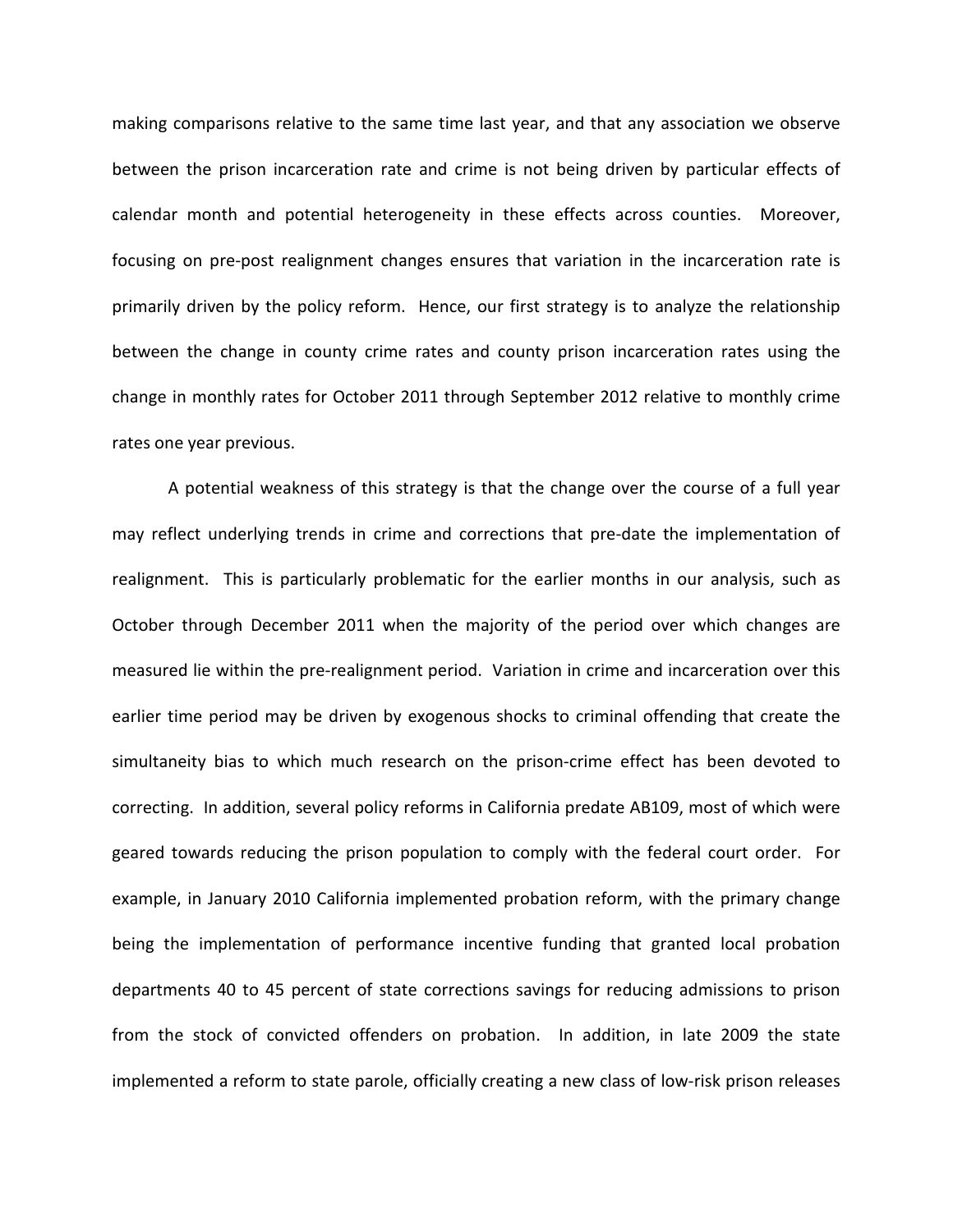making comparisons relative to the same time last year, and that any association we observe between the prison incarceration rate and crime is not being driven by particular effects of calendar month and potential heterogeneity in these effects across counties. Moreover, focusing on pre-post realignment changes ensures that variation in the incarceration rate is primarily driven by the policy reform. Hence, our first strategy is to analyze the relationship between the change in county crime rates and county prison incarceration rates using the change in monthly rates for October 2011 through September 2012 relative to monthly crime rates one year previous.

A potential weakness of this strategy is that the change over the course of a full year may reflect underlying trends in crime and corrections that pre-date the implementation of realignment. This is particularly problematic for the earlier months in our analysis, such as October through December 2011 when the majority of the period over which changes are measured lie within the pre-realignment period. Variation in crime and incarceration over this earlier time period may be driven by exogenous shocks to criminal offending that create the simultaneity bias to which much research on the prison-crime effect has been devoted to correcting. In addition, several policy reforms in California predate AB109, most of which were geared towards reducing the prison population to comply with the federal court order. For example, in January 2010 California implemented probation reform, with the primary change being the implementation of performance incentive funding that granted local probation departments 40 to 45 percent of state corrections savings for reducing admissions to prison from the stock of convicted offenders on probation. In addition, in late 2009 the state implemented a reform to state parole, officially creating a new class of low-risk prison releases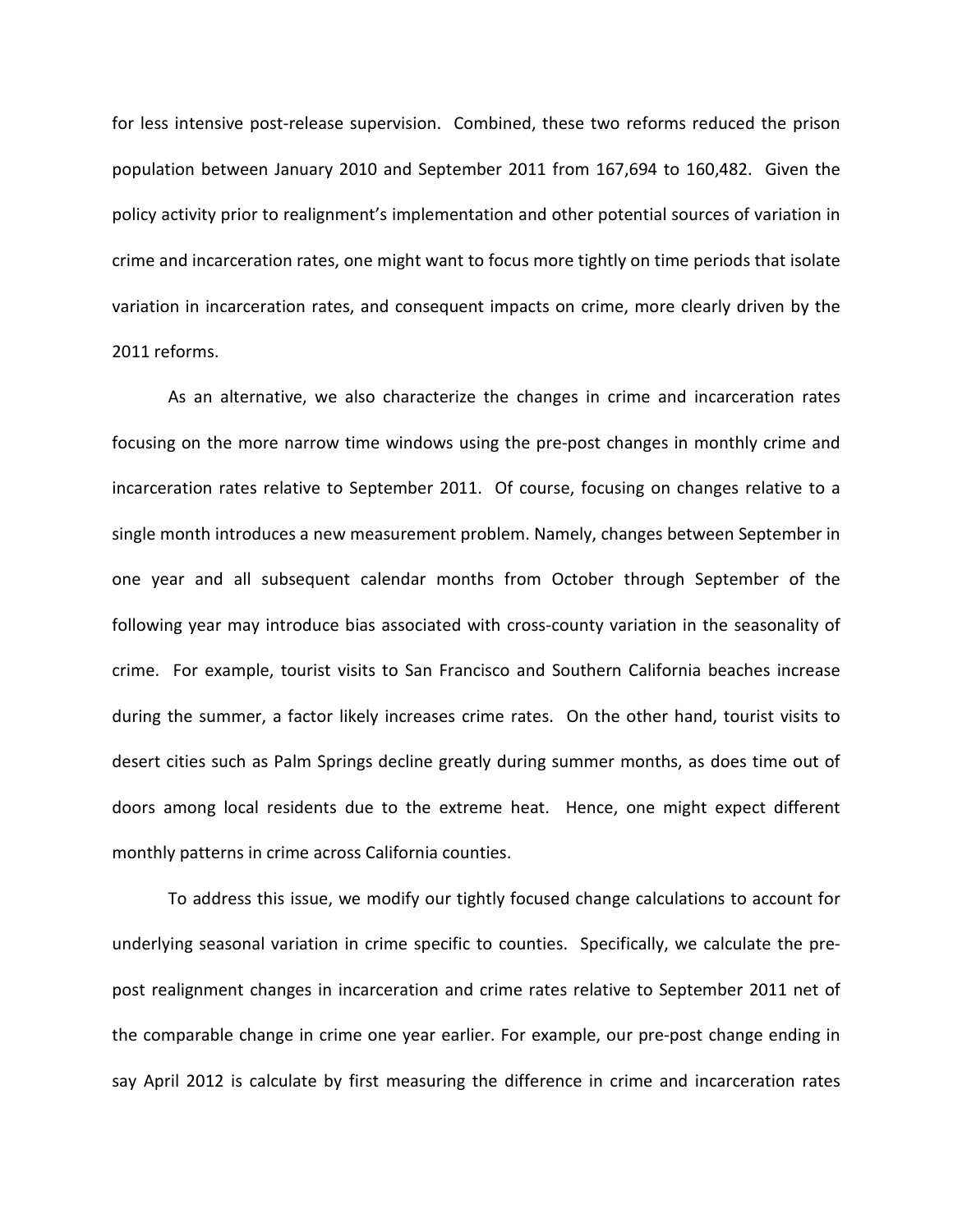for less intensive post-release supervision. Combined, these two reforms reduced the prison population between January 2010 and September 2011 from 167,694 to 160,482. Given the policy activity prior to realignment's implementation and other potential sources of variation in crime and incarceration rates, one might want to focus more tightly on time periods that isolate variation in incarceration rates, and consequent impacts on crime, more clearly driven by the 2011 reforms.

As an alternative, we also characterize the changes in crime and incarceration rates focusing on the more narrow time windows using the pre-post changes in monthly crime and incarceration rates relative to September 2011. Of course, focusing on changes relative to a single month introduces a new measurement problem. Namely, changes between September in one year and all subsequent calendar months from October through September of the following year may introduce bias associated with cross-county variation in the seasonality of crime. For example, tourist visits to San Francisco and Southern California beaches increase during the summer, a factor likely increases crime rates. On the other hand, tourist visits to desert cities such as Palm Springs decline greatly during summer months, as does time out of doors among local residents due to the extreme heat. Hence, one might expect different monthly patterns in crime across California counties.

To address this issue, we modify our tightly focused change calculations to account for underlying seasonal variation in crime specific to counties. Specifically, we calculate the prepost realignment changes in incarceration and crime rates relative to September 2011 net of the comparable change in crime one year earlier. For example, our pre-post change ending in say April 2012 is calculate by first measuring the difference in crime and incarceration rates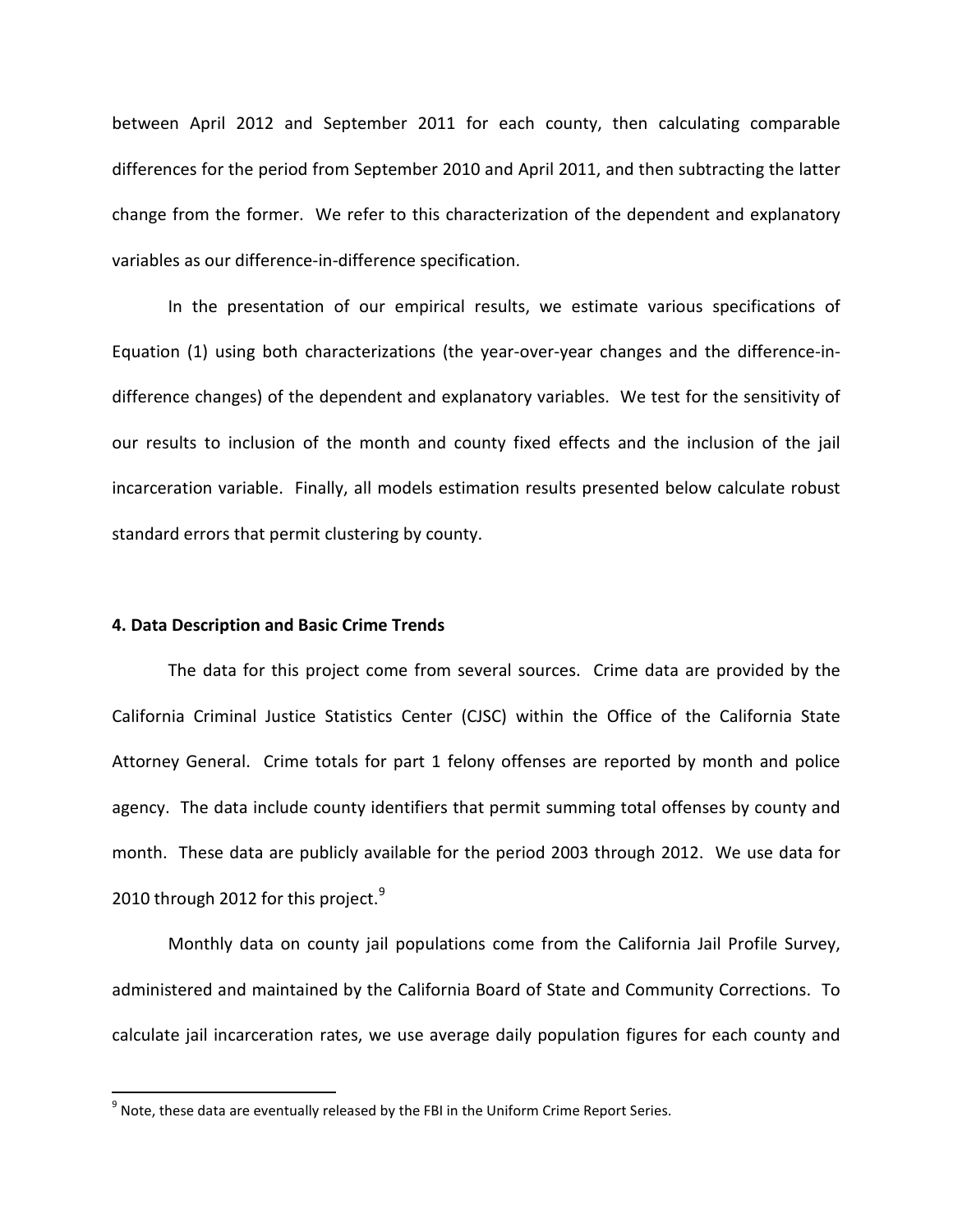between April 2012 and September 2011 for each county, then calculating comparable differences for the period from September 2010 and April 2011, and then subtracting the latter change from the former. We refer to this characterization of the dependent and explanatory variables as our difference-in-difference specification.

In the presentation of our empirical results, we estimate various specifications of Equation (1) using both characterizations (the year-over-year changes and the difference-indifference changes) of the dependent and explanatory variables. We test for the sensitivity of our results to inclusion of the month and county fixed effects and the inclusion of the jail incarceration variable. Finally, all models estimation results presented below calculate robust standard errors that permit clustering by county.

#### **4. Data Description and Basic Crime Trends**

The data for this project come from several sources. Crime data are provided by the California Criminal Justice Statistics Center (CJSC) within the Office of the California State Attorney General. Crime totals for part 1 felony offenses are reported by month and police agency. The data include county identifiers that permit summing total offenses by county and month. These data are publicly available for the period 2003 through 2012. We use data for 2010 through 2012 for this project. $9$ 

Monthly data on county jail populations come from the California Jail Profile Survey, administered and maintained by the California Board of State and Community Corrections. To calculate jail incarceration rates, we use average daily population figures for each county and

<span id="page-19-0"></span> $9$  Note, these data are eventually released by the FBI in the Uniform Crime Report Series.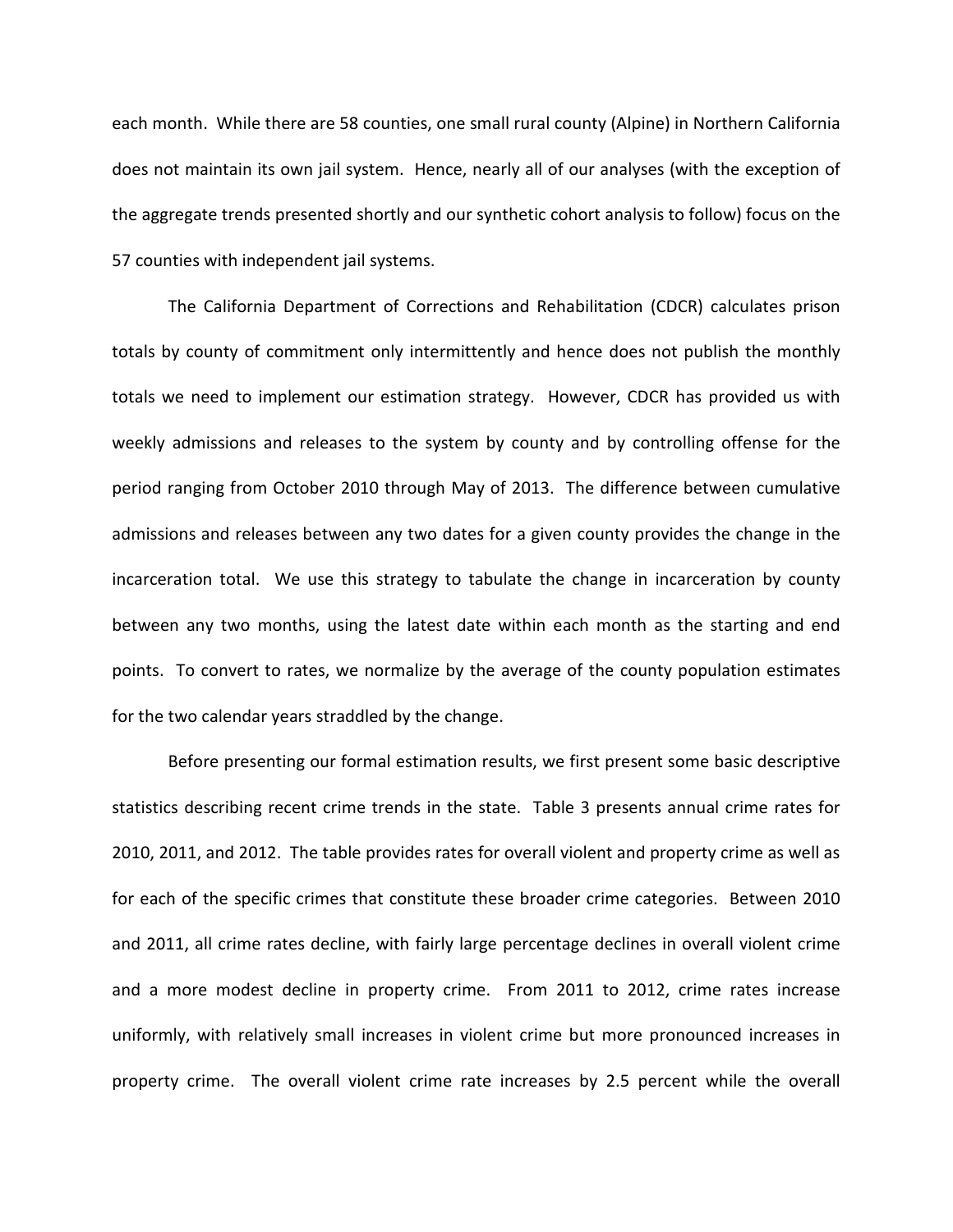each month. While there are 58 counties, one small rural county (Alpine) in Northern California does not maintain its own jail system. Hence, nearly all of our analyses (with the exception of the aggregate trends presented shortly and our synthetic cohort analysis to follow) focus on the 57 counties with independent jail systems.

The California Department of Corrections and Rehabilitation (CDCR) calculates prison totals by county of commitment only intermittently and hence does not publish the monthly totals we need to implement our estimation strategy. However, CDCR has provided us with weekly admissions and releases to the system by county and by controlling offense for the period ranging from October 2010 through May of 2013. The difference between cumulative admissions and releases between any two dates for a given county provides the change in the incarceration total. We use this strategy to tabulate the change in incarceration by county between any two months, using the latest date within each month as the starting and end points. To convert to rates, we normalize by the average of the county population estimates for the two calendar years straddled by the change.

Before presenting our formal estimation results, we first present some basic descriptive statistics describing recent crime trends in the state. Table 3 presents annual crime rates for 2010, 2011, and 2012. The table provides rates for overall violent and property crime as well as for each of the specific crimes that constitute these broader crime categories. Between 2010 and 2011, all crime rates decline, with fairly large percentage declines in overall violent crime and a more modest decline in property crime. From 2011 to 2012, crime rates increase uniformly, with relatively small increases in violent crime but more pronounced increases in property crime. The overall violent crime rate increases by 2.5 percent while the overall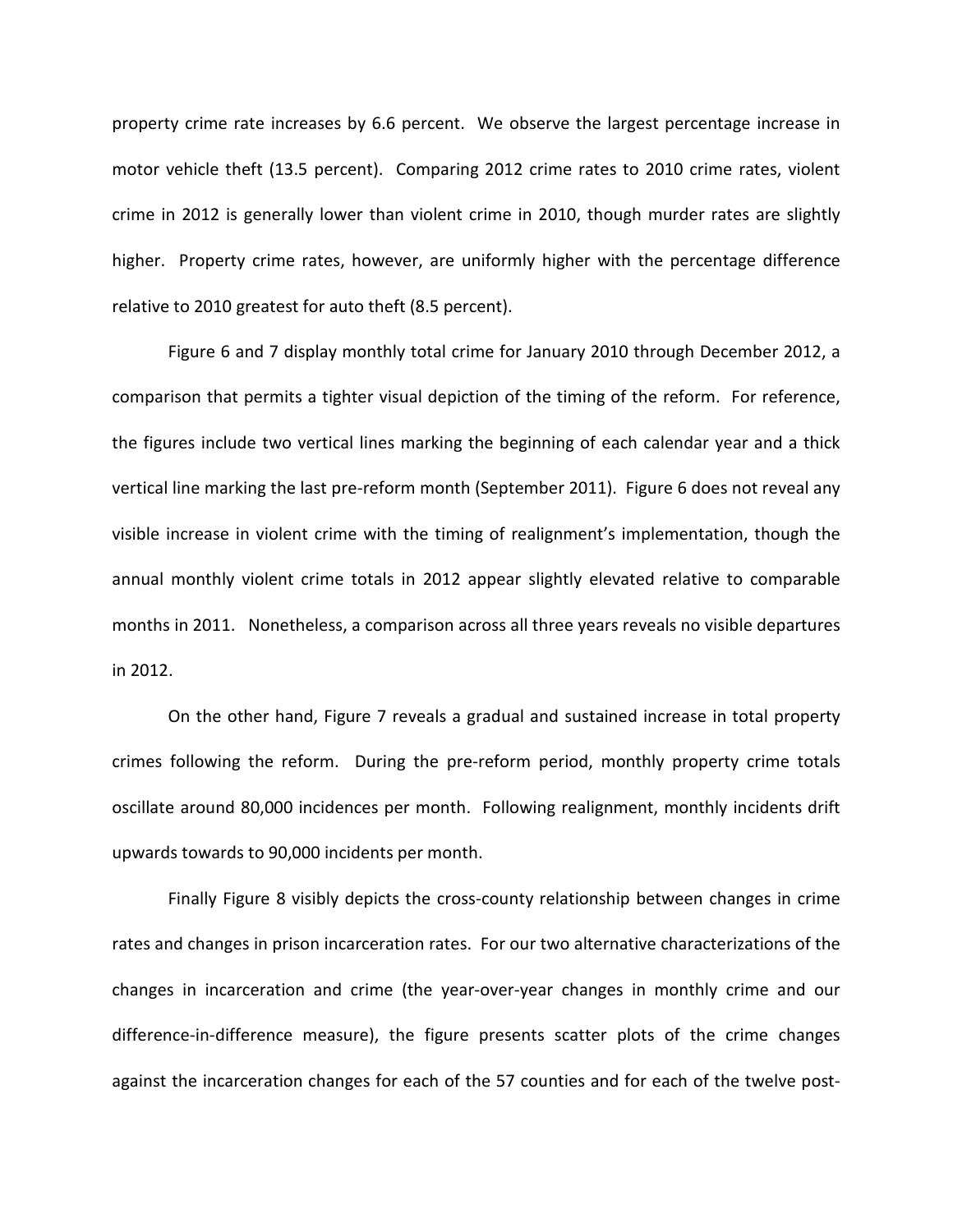property crime rate increases by 6.6 percent. We observe the largest percentage increase in motor vehicle theft (13.5 percent). Comparing 2012 crime rates to 2010 crime rates, violent crime in 2012 is generally lower than violent crime in 2010, though murder rates are slightly higher. Property crime rates, however, are uniformly higher with the percentage difference relative to 2010 greatest for auto theft (8.5 percent).

Figure 6 and 7 display monthly total crime for January 2010 through December 2012, a comparison that permits a tighter visual depiction of the timing of the reform. For reference, the figures include two vertical lines marking the beginning of each calendar year and a thick vertical line marking the last pre-reform month (September 2011). Figure 6 does not reveal any visible increase in violent crime with the timing of realignment's implementation, though the annual monthly violent crime totals in 2012 appear slightly elevated relative to comparable months in 2011. Nonetheless, a comparison across all three years reveals no visible departures in 2012.

On the other hand, Figure 7 reveals a gradual and sustained increase in total property crimes following the reform. During the pre-reform period, monthly property crime totals oscillate around 80,000 incidences per month. Following realignment, monthly incidents drift upwards towards to 90,000 incidents per month.

Finally Figure 8 visibly depicts the cross-county relationship between changes in crime rates and changes in prison incarceration rates. For our two alternative characterizations of the changes in incarceration and crime (the year-over-year changes in monthly crime and our difference-in-difference measure), the figure presents scatter plots of the crime changes against the incarceration changes for each of the 57 counties and for each of the twelve post-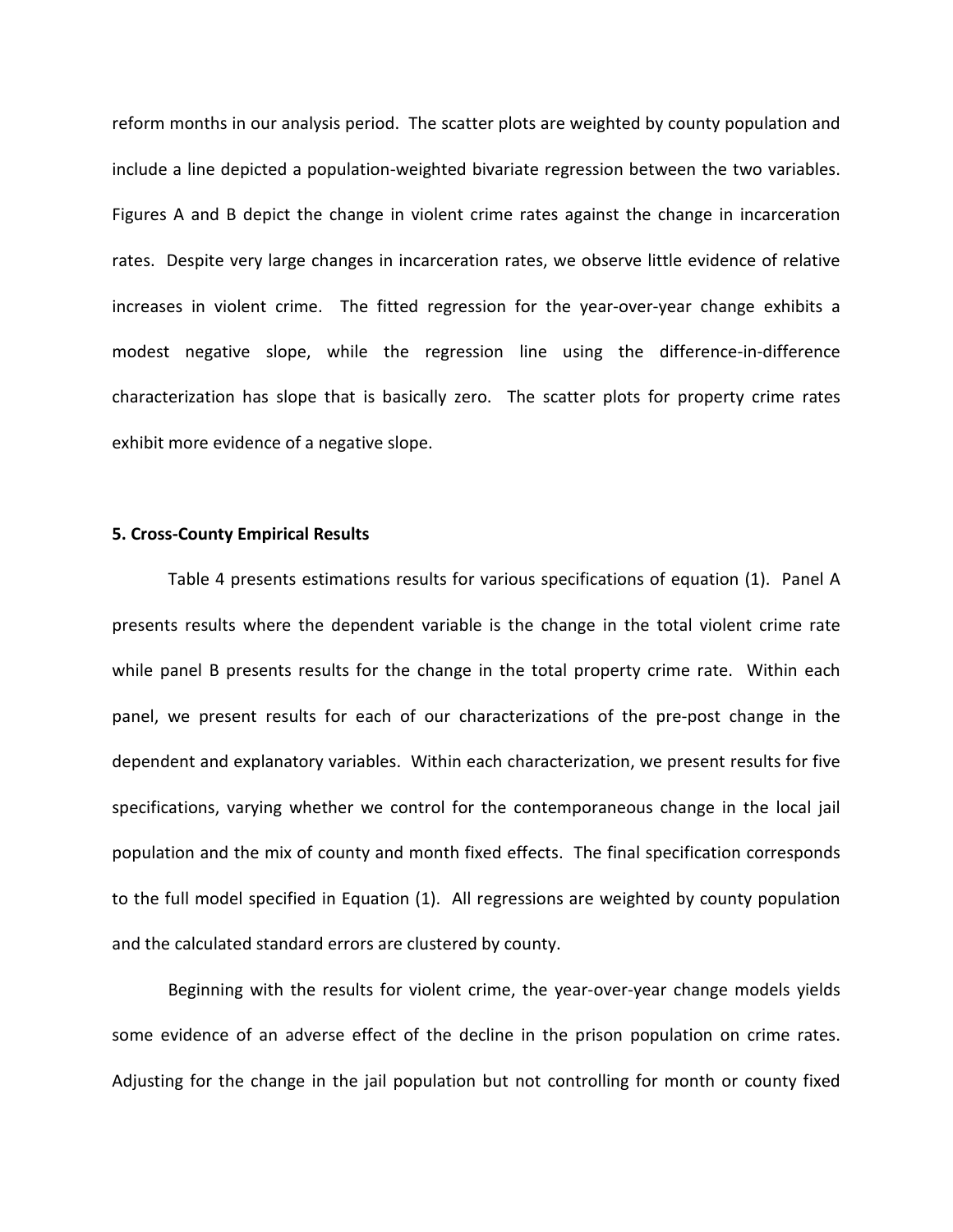reform months in our analysis period. The scatter plots are weighted by county population and include a line depicted a population-weighted bivariate regression between the two variables. Figures A and B depict the change in violent crime rates against the change in incarceration rates. Despite very large changes in incarceration rates, we observe little evidence of relative increases in violent crime. The fitted regression for the year-over-year change exhibits a modest negative slope, while the regression line using the difference-in-difference characterization has slope that is basically zero. The scatter plots for property crime rates exhibit more evidence of a negative slope.

### **5. Cross-County Empirical Results**

Table 4 presents estimations results for various specifications of equation (1). Panel A presents results where the dependent variable is the change in the total violent crime rate while panel B presents results for the change in the total property crime rate. Within each panel, we present results for each of our characterizations of the pre-post change in the dependent and explanatory variables. Within each characterization, we present results for five specifications, varying whether we control for the contemporaneous change in the local jail population and the mix of county and month fixed effects. The final specification corresponds to the full model specified in Equation (1). All regressions are weighted by county population and the calculated standard errors are clustered by county.

Beginning with the results for violent crime, the year-over-year change models yields some evidence of an adverse effect of the decline in the prison population on crime rates. Adjusting for the change in the jail population but not controlling for month or county fixed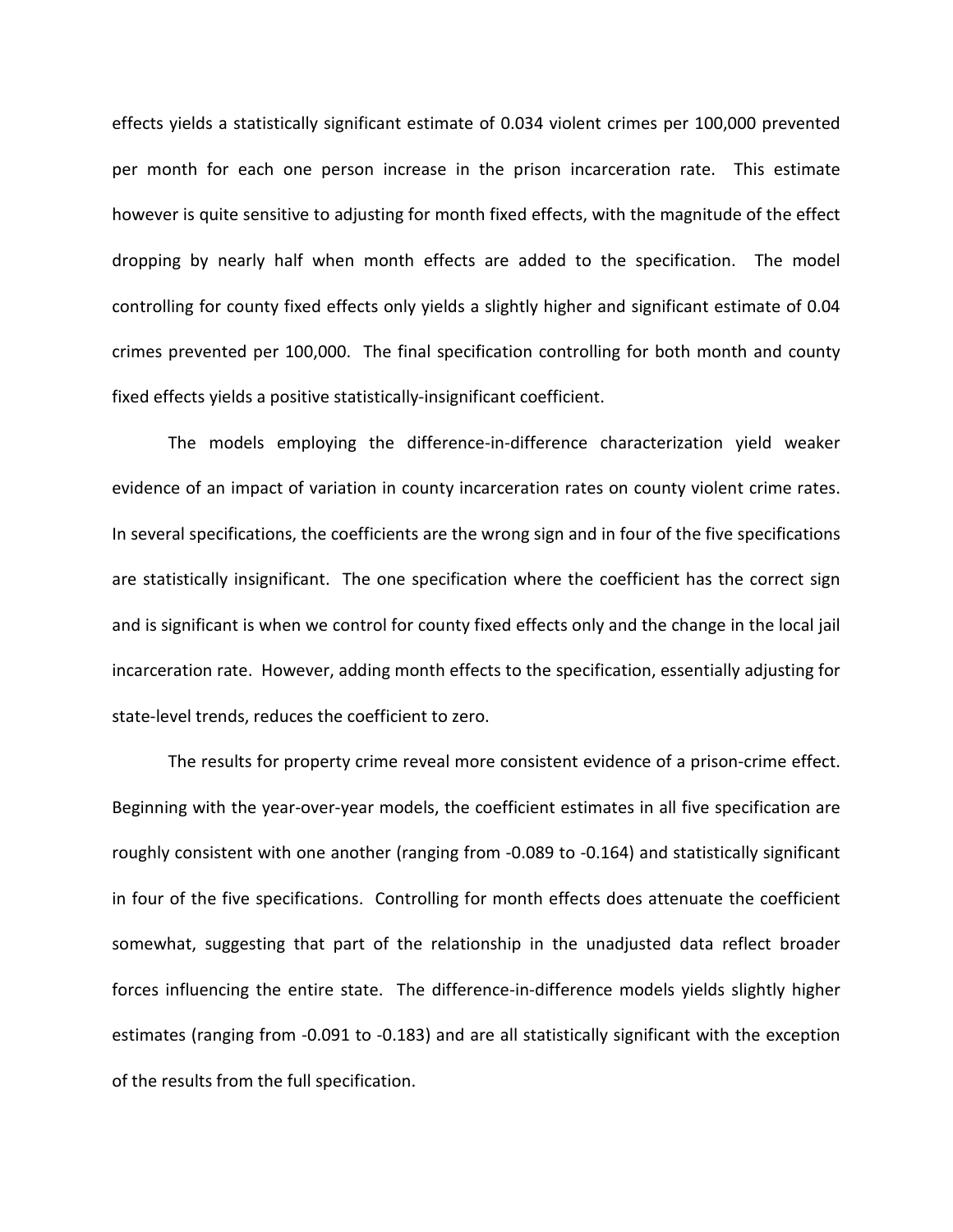effects yields a statistically significant estimate of 0.034 violent crimes per 100,000 prevented per month for each one person increase in the prison incarceration rate. This estimate however is quite sensitive to adjusting for month fixed effects, with the magnitude of the effect dropping by nearly half when month effects are added to the specification. The model controlling for county fixed effects only yields a slightly higher and significant estimate of 0.04 crimes prevented per 100,000. The final specification controlling for both month and county fixed effects yields a positive statistically-insignificant coefficient.

The models employing the difference-in-difference characterization yield weaker evidence of an impact of variation in county incarceration rates on county violent crime rates. In several specifications, the coefficients are the wrong sign and in four of the five specifications are statistically insignificant. The one specification where the coefficient has the correct sign and is significant is when we control for county fixed effects only and the change in the local jail incarceration rate. However, adding month effects to the specification, essentially adjusting for state-level trends, reduces the coefficient to zero.

The results for property crime reveal more consistent evidence of a prison-crime effect. Beginning with the year-over-year models, the coefficient estimates in all five specification are roughly consistent with one another (ranging from -0.089 to -0.164) and statistically significant in four of the five specifications. Controlling for month effects does attenuate the coefficient somewhat, suggesting that part of the relationship in the unadjusted data reflect broader forces influencing the entire state. The difference-in-difference models yields slightly higher estimates (ranging from -0.091 to -0.183) and are all statistically significant with the exception of the results from the full specification.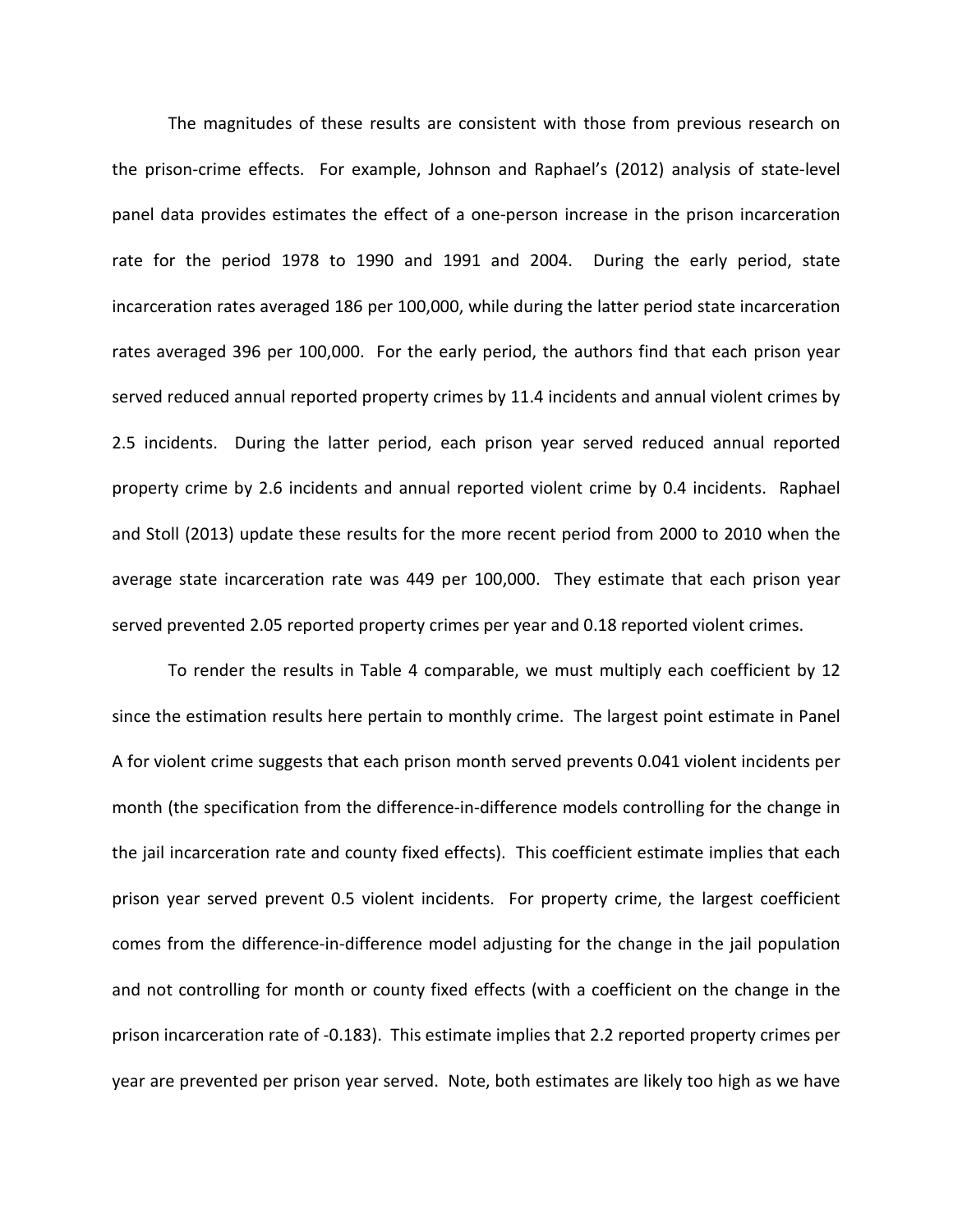The magnitudes of these results are consistent with those from previous research on the prison-crime effects. For example, Johnson and Raphael's (2012) analysis of state-level panel data provides estimates the effect of a one-person increase in the prison incarceration rate for the period 1978 to 1990 and 1991 and 2004. During the early period, state incarceration rates averaged 186 per 100,000, while during the latter period state incarceration rates averaged 396 per 100,000. For the early period, the authors find that each prison year served reduced annual reported property crimes by 11.4 incidents and annual violent crimes by 2.5 incidents. During the latter period, each prison year served reduced annual reported property crime by 2.6 incidents and annual reported violent crime by 0.4 incidents. Raphael and Stoll (2013) update these results for the more recent period from 2000 to 2010 when the average state incarceration rate was 449 per 100,000. They estimate that each prison year served prevented 2.05 reported property crimes per year and 0.18 reported violent crimes.

To render the results in Table 4 comparable, we must multiply each coefficient by 12 since the estimation results here pertain to monthly crime. The largest point estimate in Panel A for violent crime suggests that each prison month served prevents 0.041 violent incidents per month (the specification from the difference-in-difference models controlling for the change in the jail incarceration rate and county fixed effects). This coefficient estimate implies that each prison year served prevent 0.5 violent incidents. For property crime, the largest coefficient comes from the difference-in-difference model adjusting for the change in the jail population and not controlling for month or county fixed effects (with a coefficient on the change in the prison incarceration rate of -0.183). This estimate implies that 2.2 reported property crimes per year are prevented per prison year served. Note, both estimates are likely too high as we have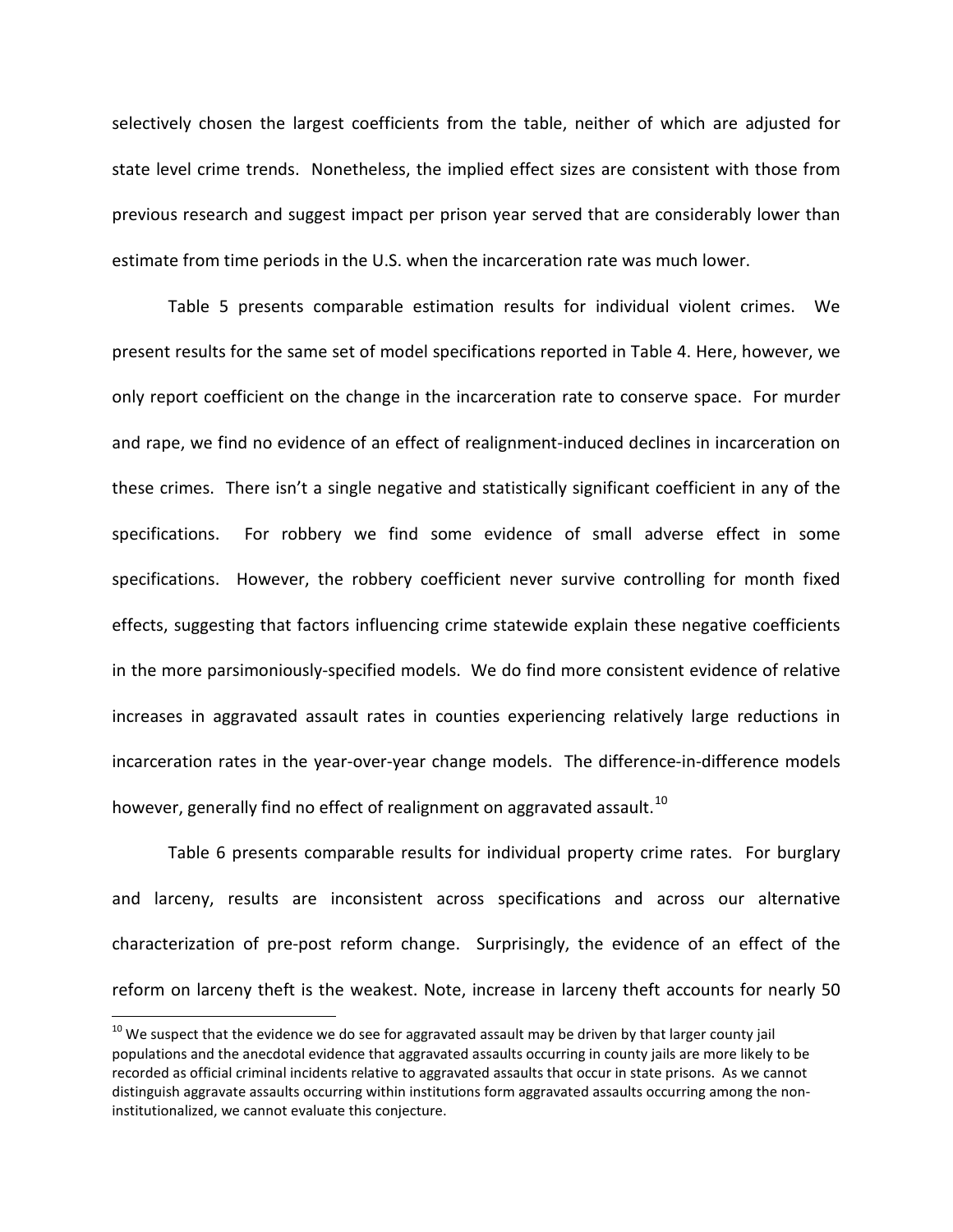selectively chosen the largest coefficients from the table, neither of which are adjusted for state level crime trends. Nonetheless, the implied effect sizes are consistent with those from previous research and suggest impact per prison year served that are considerably lower than estimate from time periods in the U.S. when the incarceration rate was much lower.

Table 5 presents comparable estimation results for individual violent crimes. We present results for the same set of model specifications reported in Table 4. Here, however, we only report coefficient on the change in the incarceration rate to conserve space. For murder and rape, we find no evidence of an effect of realignment-induced declines in incarceration on these crimes. There isn't a single negative and statistically significant coefficient in any of the specifications. For robbery we find some evidence of small adverse effect in some specifications. However, the robbery coefficient never survive controlling for month fixed effects, suggesting that factors influencing crime statewide explain these negative coefficients in the more parsimoniously-specified models. We do find more consistent evidence of relative increases in aggravated assault rates in counties experiencing relatively large reductions in incarceration rates in the year-over-year change models. The difference-in-difference models however, generally find no effect of realignment on aggravated assault.<sup>[10](#page-25-0)</sup>

Table 6 presents comparable results for individual property crime rates. For burglary and larceny, results are inconsistent across specifications and across our alternative characterization of pre-post reform change. Surprisingly, the evidence of an effect of the reform on larceny theft is the weakest. Note, increase in larceny theft accounts for nearly 50

<span id="page-25-0"></span> $10$  We suspect that the evidence we do see for aggravated assault may be driven by that larger county jail populations and the anecdotal evidence that aggravated assaults occurring in county jails are more likely to be recorded as official criminal incidents relative to aggravated assaults that occur in state prisons. As we cannot distinguish aggravate assaults occurring within institutions form aggravated assaults occurring among the noninstitutionalized, we cannot evaluate this conjecture.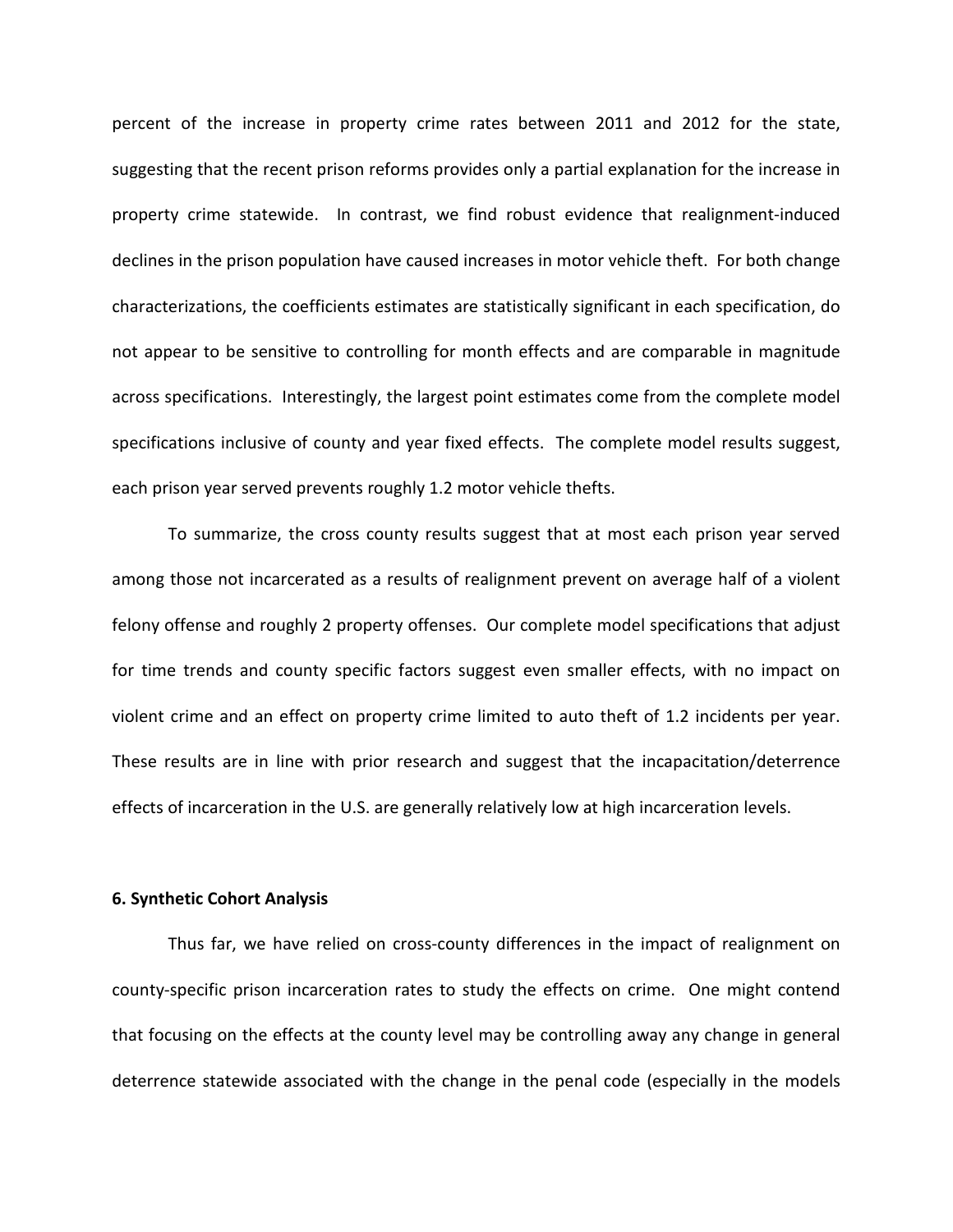percent of the increase in property crime rates between 2011 and 2012 for the state, suggesting that the recent prison reforms provides only a partial explanation for the increase in property crime statewide. In contrast, we find robust evidence that realignment-induced declines in the prison population have caused increases in motor vehicle theft. For both change characterizations, the coefficients estimates are statistically significant in each specification, do not appear to be sensitive to controlling for month effects and are comparable in magnitude across specifications. Interestingly, the largest point estimates come from the complete model specifications inclusive of county and year fixed effects. The complete model results suggest, each prison year served prevents roughly 1.2 motor vehicle thefts.

To summarize, the cross county results suggest that at most each prison year served among those not incarcerated as a results of realignment prevent on average half of a violent felony offense and roughly 2 property offenses. Our complete model specifications that adjust for time trends and county specific factors suggest even smaller effects, with no impact on violent crime and an effect on property crime limited to auto theft of 1.2 incidents per year. These results are in line with prior research and suggest that the incapacitation/deterrence effects of incarceration in the U.S. are generally relatively low at high incarceration levels.

#### **6. Synthetic Cohort Analysis**

Thus far, we have relied on cross-county differences in the impact of realignment on county-specific prison incarceration rates to study the effects on crime. One might contend that focusing on the effects at the county level may be controlling away any change in general deterrence statewide associated with the change in the penal code (especially in the models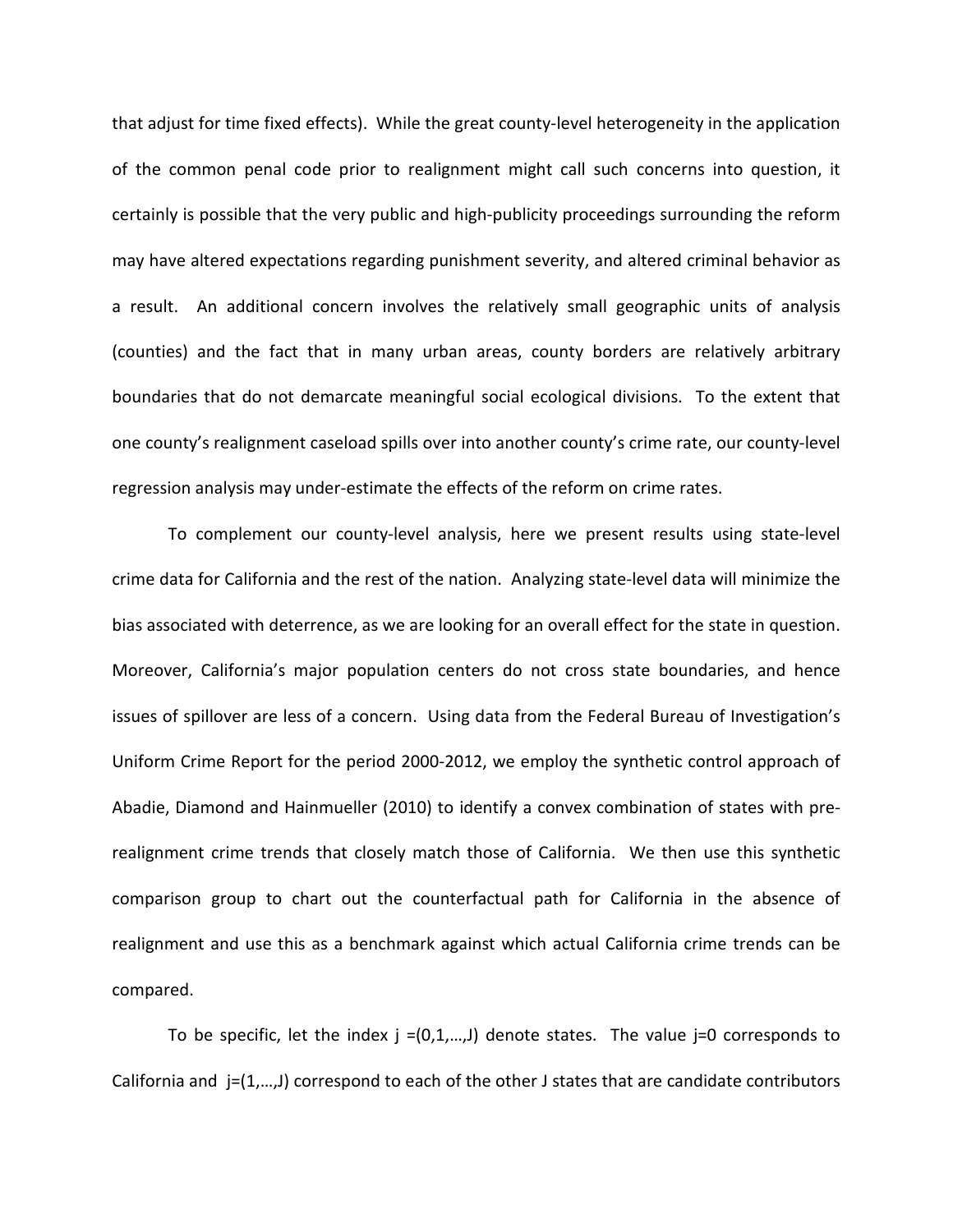that adjust for time fixed effects). While the great county-level heterogeneity in the application of the common penal code prior to realignment might call such concerns into question, it certainly is possible that the very public and high-publicity proceedings surrounding the reform may have altered expectations regarding punishment severity, and altered criminal behavior as a result. An additional concern involves the relatively small geographic units of analysis (counties) and the fact that in many urban areas, county borders are relatively arbitrary boundaries that do not demarcate meaningful social ecological divisions. To the extent that one county's realignment caseload spills over into another county's crime rate, our county-level regression analysis may under-estimate the effects of the reform on crime rates.

To complement our county-level analysis, here we present results using state-level crime data for California and the rest of the nation. Analyzing state-level data will minimize the bias associated with deterrence, as we are looking for an overall effect for the state in question. Moreover, California's major population centers do not cross state boundaries, and hence issues of spillover are less of a concern. Using data from the Federal Bureau of Investigation's Uniform Crime Report for the period 2000-2012, we employ the synthetic control approach of Abadie, Diamond and Hainmueller (2010) to identify a convex combination of states with prerealignment crime trends that closely match those of California. We then use this synthetic comparison group to chart out the counterfactual path for California in the absence of realignment and use this as a benchmark against which actual California crime trends can be compared.

To be specific, let the index  $j = (0,1,...,J)$  denote states. The value  $j=0$  corresponds to California and j=(1,…,J) correspond to each of the other J states that are candidate contributors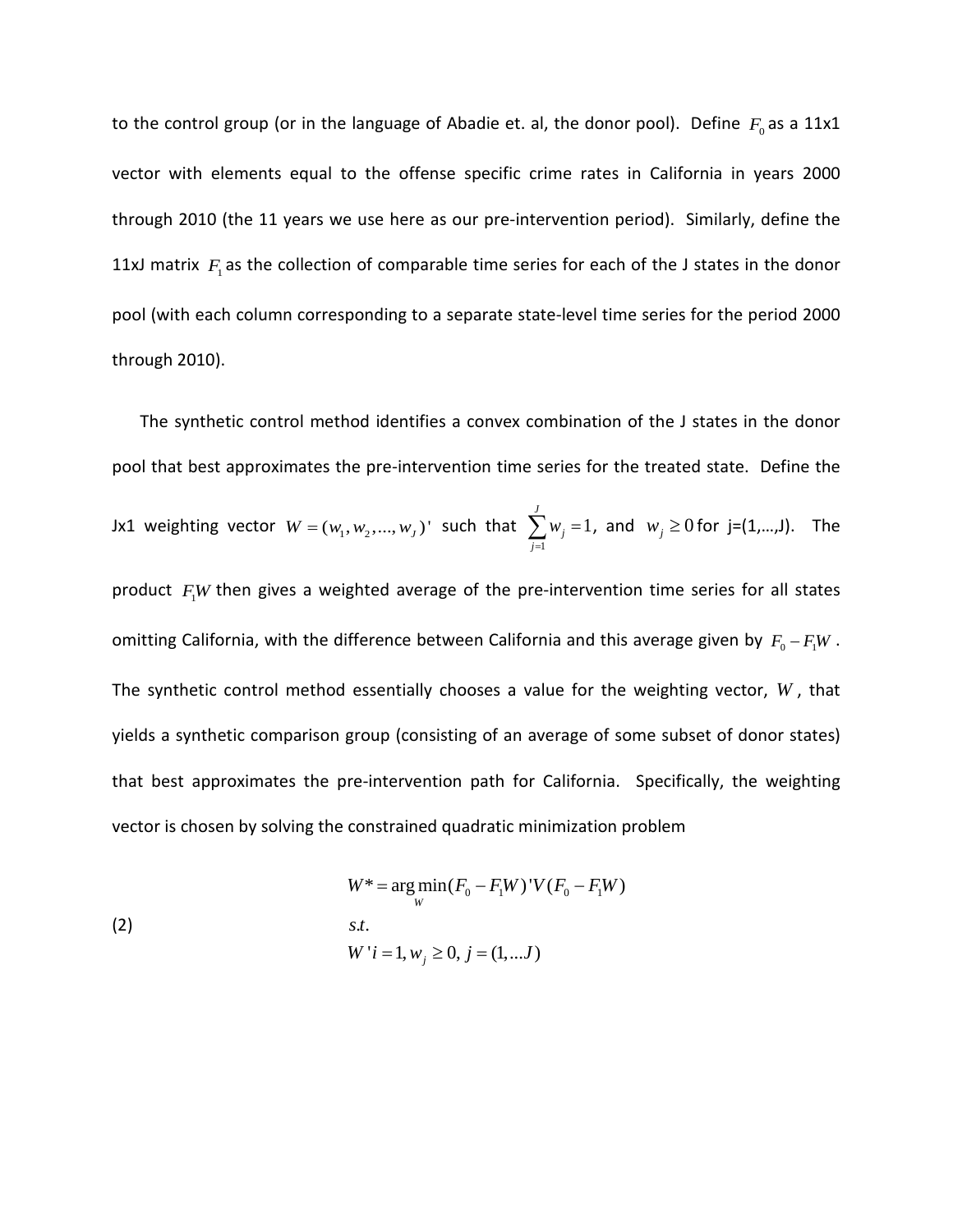to the control group (or in the language of Abadie et. al, the donor pool). Define  $F_0$  as a 11x1 vector with elements equal to the offense specific crime rates in California in years 2000 through 2010 (the 11 years we use here as our pre-intervention period). Similarly, define the 11xJ matrix  $F_1$  as the collection of comparable time series for each of the J states in the donor pool (with each column corresponding to a separate state-level time series for the period 2000 through 2010).

The synthetic control method identifies a convex combination of the J states in the donor pool that best approximates the pre-intervention time series for the treated state. Define the Jx1 weighting vector  $W = (w_1, w_2, ..., w_J)$ ' such that  $\sum_{j=1}^J$ 1 *J j j w*  $\sum_{j=1} w_j = 1$ , and  $w_j \ge 0$  for j=(1,...,J). The product  $F<sub>1</sub>W$  then gives a weighted average of the pre-intervention time series for all states omitting California, with the difference between California and this average given by  $F_0 - F_1 W$ . The synthetic control method essentially chooses a value for the weighting vector, *W* , that yields a synthetic comparison group (consisting of an average of some subset of donor states) that best approximates the pre-intervention path for California. Specifically, the weighting vector is chosen by solving the constrained quadratic minimization problem

(2) 
$$
W^* = \underset{W}{\arg \min} (F_0 - F_1 W)^{\dagger} V (F_0 - F_1 W)
$$

$$
s.t. W^{\dagger} i = 1, w_j \ge 0, j = (1, ... J)
$$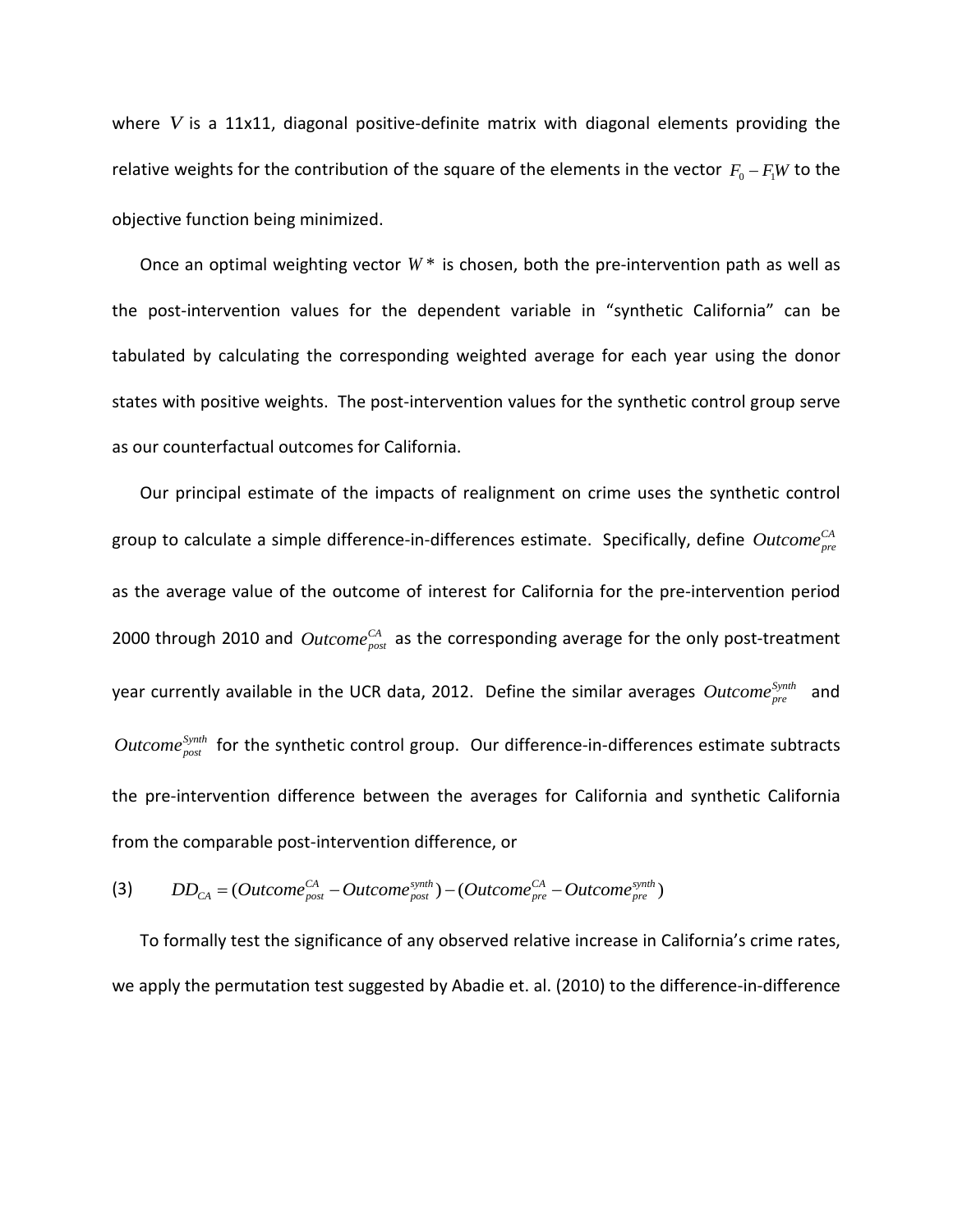where *V* is a 11x11, diagonal positive-definite matrix with diagonal elements providing the relative weights for the contribution of the square of the elements in the vector  $F_0 - F_1W$  to the objective function being minimized.

Once an optimal weighting vector  $W^*$  is chosen, both the pre-intervention path as well as the post-intervention values for the dependent variable in "synthetic California" can be tabulated by calculating the corresponding weighted average for each year using the donor states with positive weights. The post-intervention values for the synthetic control group serve as our counterfactual outcomes for California.

Our principal estimate of the impacts of realignment on crime uses the synthetic control group to calculate a simple difference-in-differences estimate. Specifically, define Outcome<sup>CA</sup> as the average value of the outcome of interest for California for the pre-intervention period 2000 through 2010 and *Outcome*<sup>CA</sup> as the corresponding average for the only post-treatment year currently available in the UCR data, 2012. Define the similar averages *Outcome*<sup>Synth</sup> and  $Outcome_{post}^{Synth}$  for the synthetic control group. Our difference-in-differences estimate subtracts the pre-intervention difference between the averages for California and synthetic California from the comparable post-intervention difference, or

(3) 
$$
DD_{CA} = (Outcome_{post}^{CA} - Outcome_{post}^{synth}) - (Outcome_{pre}^{CA} - Outcome_{pre}^{synth})
$$

To formally test the significance of any observed relative increase in California's crime rates, we apply the permutation test suggested by Abadie et. al. (2010) to the difference-in-difference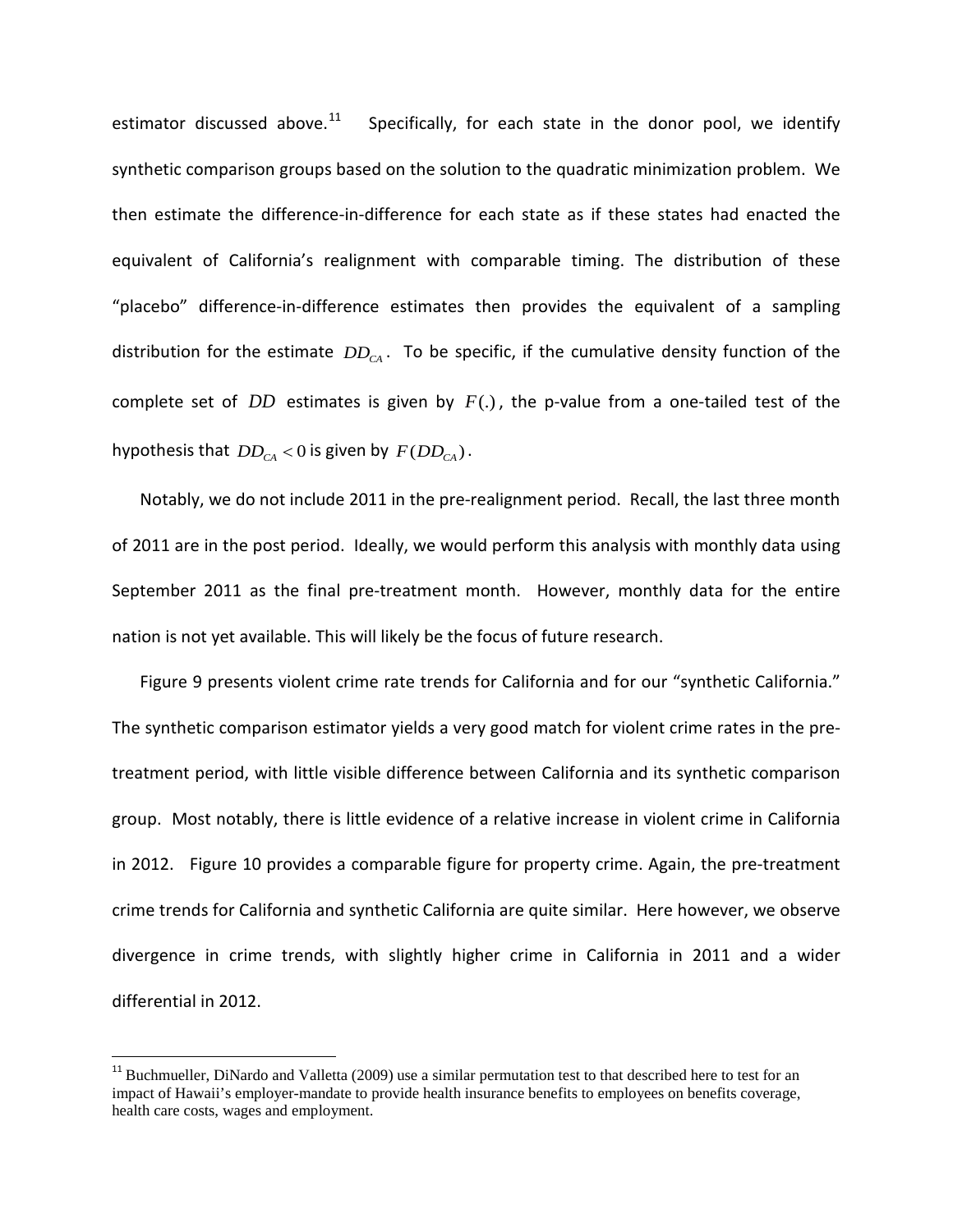estimator discussed above.<sup>[11](#page-30-0)</sup> Specifically, for each state in the donor pool, we identify synthetic comparison groups based on the solution to the quadratic minimization problem. We then estimate the difference-in-difference for each state as if these states had enacted the equivalent of California's realignment with comparable timing. The distribution of these "placebo" difference-in-difference estimates then provides the equivalent of a sampling distribution for the estimate  $DD_{CA}$ . To be specific, if the cumulative density function of the complete set of *DD* estimates is given by *F*(.) , the p-value from a one-tailed test of the hypothesis that  $DD_{CA} < 0$  is given by  $F(DD_{CA})$ .

Notably, we do not include 2011 in the pre-realignment period. Recall, the last three month of 2011 are in the post period. Ideally, we would perform this analysis with monthly data using September 2011 as the final pre-treatment month. However, monthly data for the entire nation is not yet available. This will likely be the focus of future research.

Figure 9 presents violent crime rate trends for California and for our "synthetic California." The synthetic comparison estimator yields a very good match for violent crime rates in the pretreatment period, with little visible difference between California and its synthetic comparison group. Most notably, there is little evidence of a relative increase in violent crime in California in 2012. Figure 10 provides a comparable figure for property crime. Again, the pre-treatment crime trends for California and synthetic California are quite similar. Here however, we observe divergence in crime trends, with slightly higher crime in California in 2011 and a wider differential in 2012.

<span id="page-30-0"></span><sup>&</sup>lt;sup>11</sup> Buchmueller, DiNardo and Valletta (2009) use a similar permutation test to that described here to test for an impact of Hawaii's employer-mandate to provide health insurance benefits to employees on benefits coverage, health care costs, wages and employment.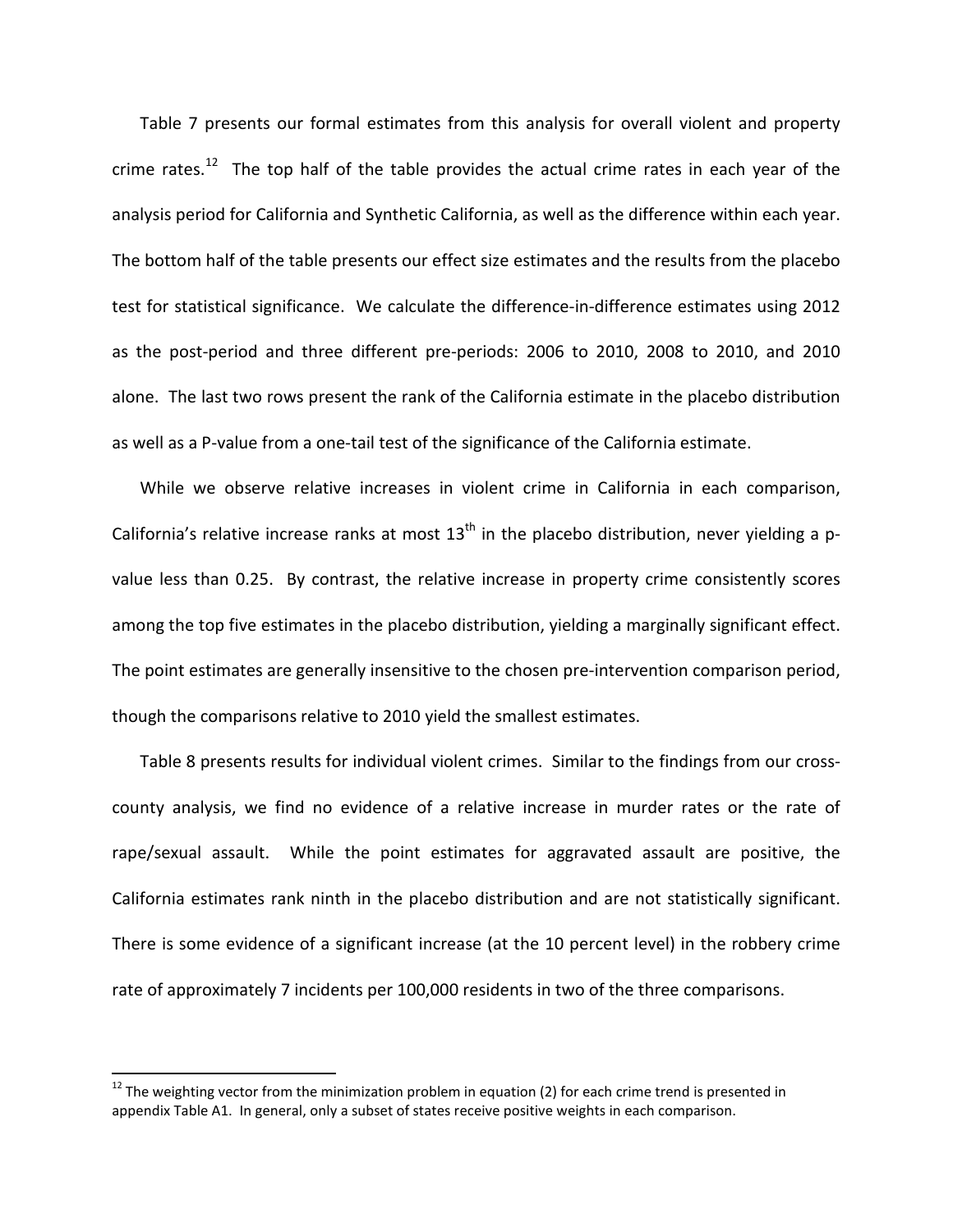Table 7 presents our formal estimates from this analysis for overall violent and property crime rates.<sup>[12](#page-31-0)</sup> The top half of the table provides the actual crime rates in each year of the analysis period for California and Synthetic California, as well as the difference within each year. The bottom half of the table presents our effect size estimates and the results from the placebo test for statistical significance. We calculate the difference-in-difference estimates using 2012 as the post-period and three different pre-periods: 2006 to 2010, 2008 to 2010, and 2010 alone. The last two rows present the rank of the California estimate in the placebo distribution as well as a P-value from a one-tail test of the significance of the California estimate.

While we observe relative increases in violent crime in California in each comparison, California's relative increase ranks at most  $13<sup>th</sup>$  in the placebo distribution, never yielding a pvalue less than 0.25. By contrast, the relative increase in property crime consistently scores among the top five estimates in the placebo distribution, yielding a marginally significant effect. The point estimates are generally insensitive to the chosen pre-intervention comparison period, though the comparisons relative to 2010 yield the smallest estimates.

Table 8 presents results for individual violent crimes. Similar to the findings from our crosscounty analysis, we find no evidence of a relative increase in murder rates or the rate of rape/sexual assault. While the point estimates for aggravated assault are positive, the California estimates rank ninth in the placebo distribution and are not statistically significant. There is some evidence of a significant increase (at the 10 percent level) in the robbery crime rate of approximately 7 incidents per 100,000 residents in two of the three comparisons.

<span id="page-31-0"></span> $12$  The weighting vector from the minimization problem in equation (2) for each crime trend is presented in appendix Table A1. In general, only a subset of states receive positive weights in each comparison.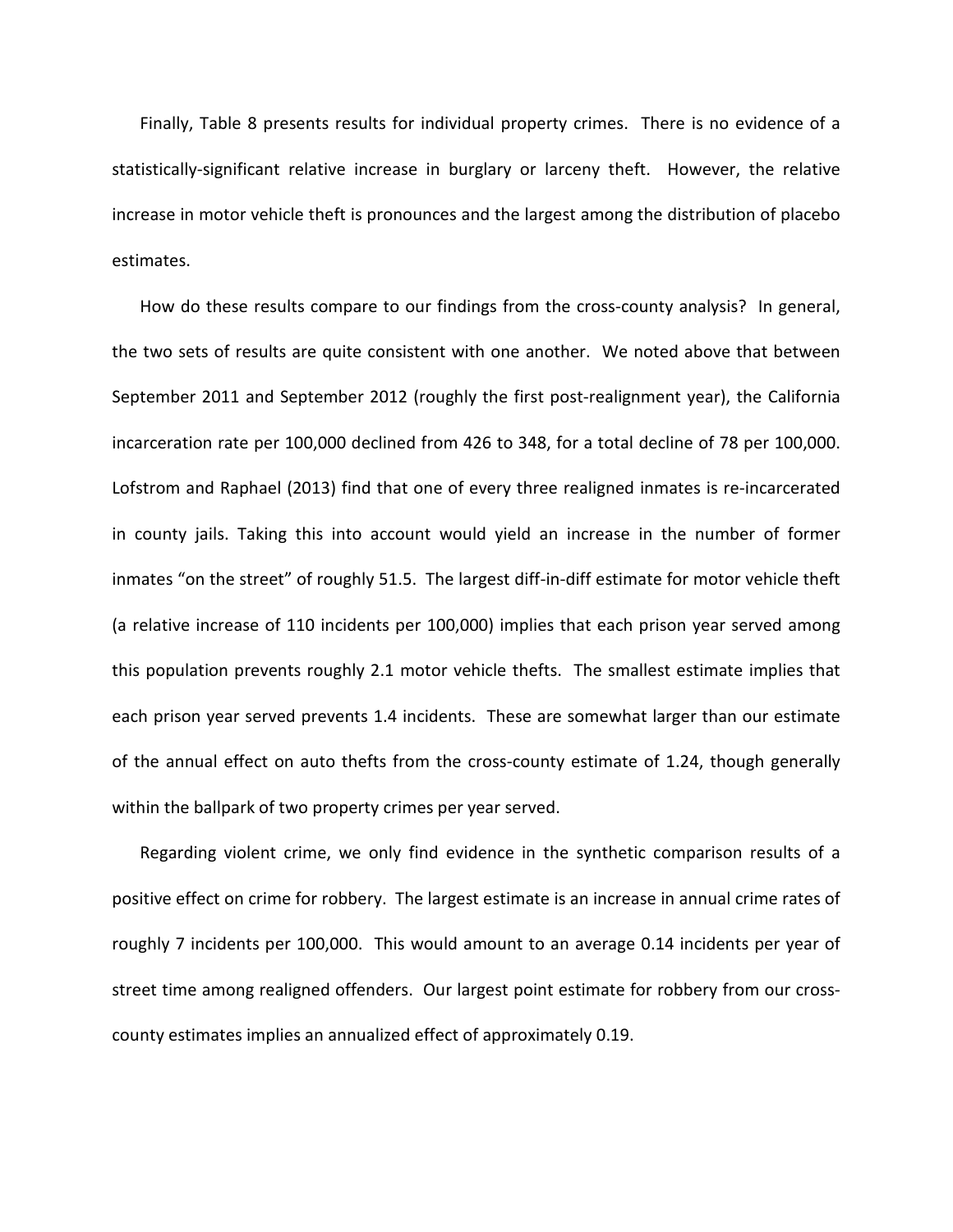Finally, Table 8 presents results for individual property crimes. There is no evidence of a statistically-significant relative increase in burglary or larceny theft. However, the relative increase in motor vehicle theft is pronounces and the largest among the distribution of placebo estimates.

How do these results compare to our findings from the cross-county analysis? In general, the two sets of results are quite consistent with one another. We noted above that between September 2011 and September 2012 (roughly the first post-realignment year), the California incarceration rate per 100,000 declined from 426 to 348, for a total decline of 78 per 100,000. Lofstrom and Raphael (2013) find that one of every three realigned inmates is re-incarcerated in county jails. Taking this into account would yield an increase in the number of former inmates "on the street" of roughly 51.5. The largest diff-in-diff estimate for motor vehicle theft (a relative increase of 110 incidents per 100,000) implies that each prison year served among this population prevents roughly 2.1 motor vehicle thefts. The smallest estimate implies that each prison year served prevents 1.4 incidents. These are somewhat larger than our estimate of the annual effect on auto thefts from the cross-county estimate of 1.24, though generally within the ballpark of two property crimes per year served.

Regarding violent crime, we only find evidence in the synthetic comparison results of a positive effect on crime for robbery. The largest estimate is an increase in annual crime rates of roughly 7 incidents per 100,000. This would amount to an average 0.14 incidents per year of street time among realigned offenders. Our largest point estimate for robbery from our crosscounty estimates implies an annualized effect of approximately 0.19.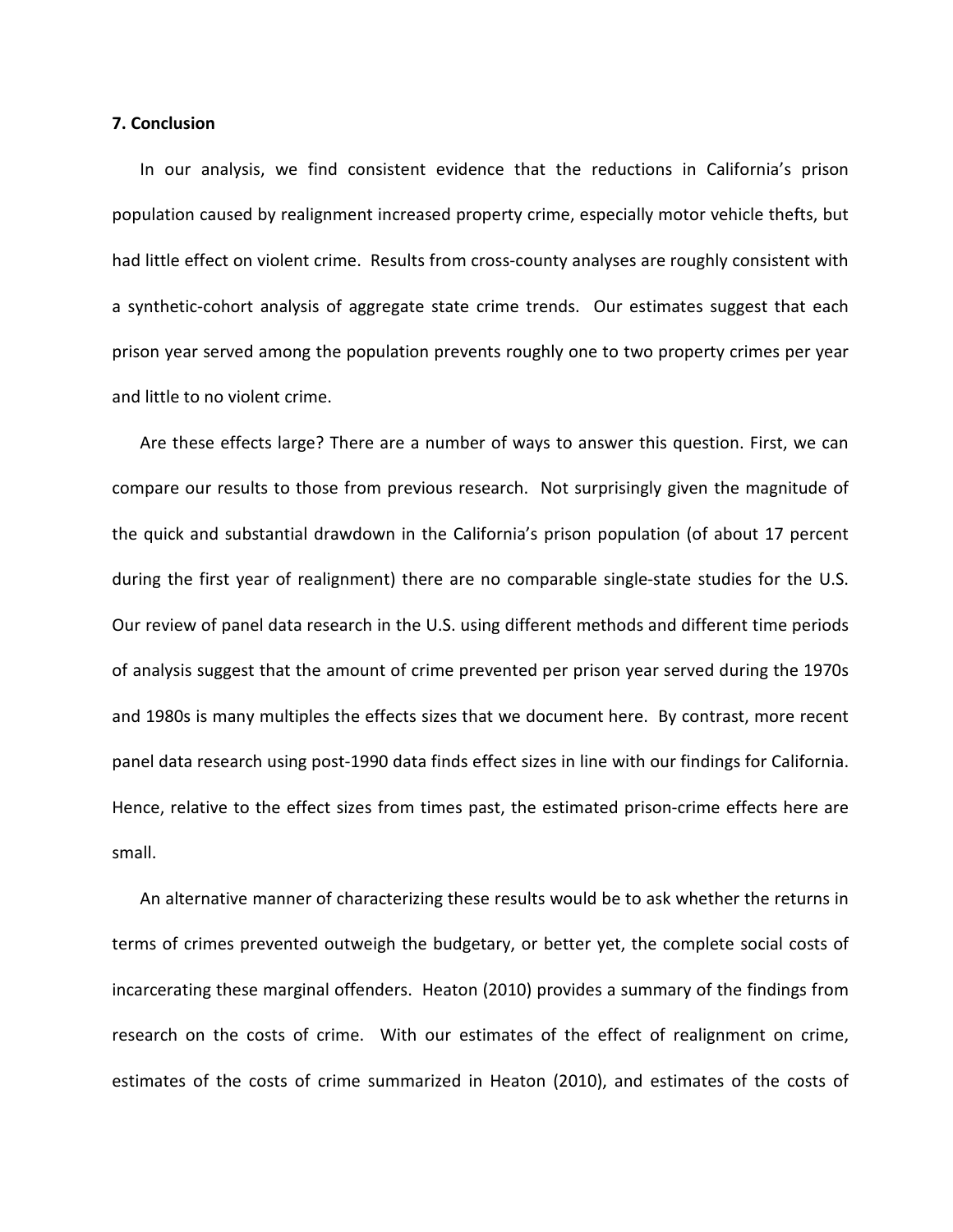#### **7. Conclusion**

In our analysis, we find consistent evidence that the reductions in California's prison population caused by realignment increased property crime, especially motor vehicle thefts, but had little effect on violent crime. Results from cross-county analyses are roughly consistent with a synthetic-cohort analysis of aggregate state crime trends. Our estimates suggest that each prison year served among the population prevents roughly one to two property crimes per year and little to no violent crime.

Are these effects large? There are a number of ways to answer this question. First, we can compare our results to those from previous research. Not surprisingly given the magnitude of the quick and substantial drawdown in the California's prison population (of about 17 percent during the first year of realignment) there are no comparable single-state studies for the U.S. Our review of panel data research in the U.S. using different methods and different time periods of analysis suggest that the amount of crime prevented per prison year served during the 1970s and 1980s is many multiples the effects sizes that we document here. By contrast, more recent panel data research using post-1990 data finds effect sizes in line with our findings for California. Hence, relative to the effect sizes from times past, the estimated prison-crime effects here are small.

An alternative manner of characterizing these results would be to ask whether the returns in terms of crimes prevented outweigh the budgetary, or better yet, the complete social costs of incarcerating these marginal offenders. Heaton (2010) provides a summary of the findings from research on the costs of crime. With our estimates of the effect of realignment on crime, estimates of the costs of crime summarized in Heaton (2010), and estimates of the costs of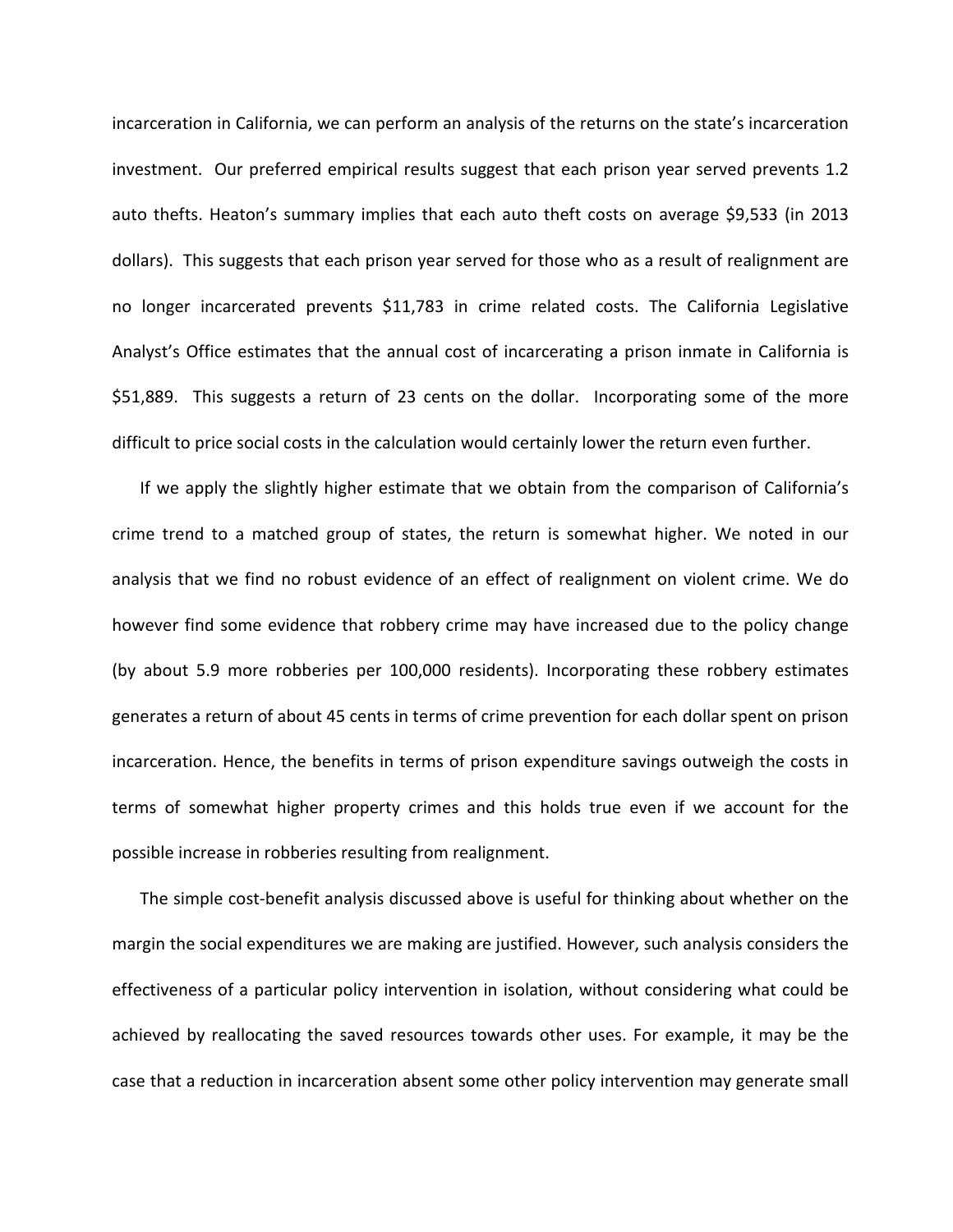incarceration in California, we can perform an analysis of the returns on the state's incarceration investment. Our preferred empirical results suggest that each prison year served prevents 1.2 auto thefts. Heaton's summary implies that each auto theft costs on average \$9,533 (in 2013 dollars). This suggests that each prison year served for those who as a result of realignment are no longer incarcerated prevents \$11,783 in crime related costs. The California Legislative Analyst's Office estimates that the annual cost of incarcerating a prison inmate in California is \$51,889. This suggests a return of 23 cents on the dollar. Incorporating some of the more difficult to price social costs in the calculation would certainly lower the return even further.

If we apply the slightly higher estimate that we obtain from the comparison of California's crime trend to a matched group of states, the return is somewhat higher. We noted in our analysis that we find no robust evidence of an effect of realignment on violent crime. We do however find some evidence that robbery crime may have increased due to the policy change (by about 5.9 more robberies per 100,000 residents). Incorporating these robbery estimates generates a return of about 45 cents in terms of crime prevention for each dollar spent on prison incarceration. Hence, the benefits in terms of prison expenditure savings outweigh the costs in terms of somewhat higher property crimes and this holds true even if we account for the possible increase in robberies resulting from realignment.

The simple cost-benefit analysis discussed above is useful for thinking about whether on the margin the social expenditures we are making are justified. However, such analysis considers the effectiveness of a particular policy intervention in isolation, without considering what could be achieved by reallocating the saved resources towards other uses. For example, it may be the case that a reduction in incarceration absent some other policy intervention may generate small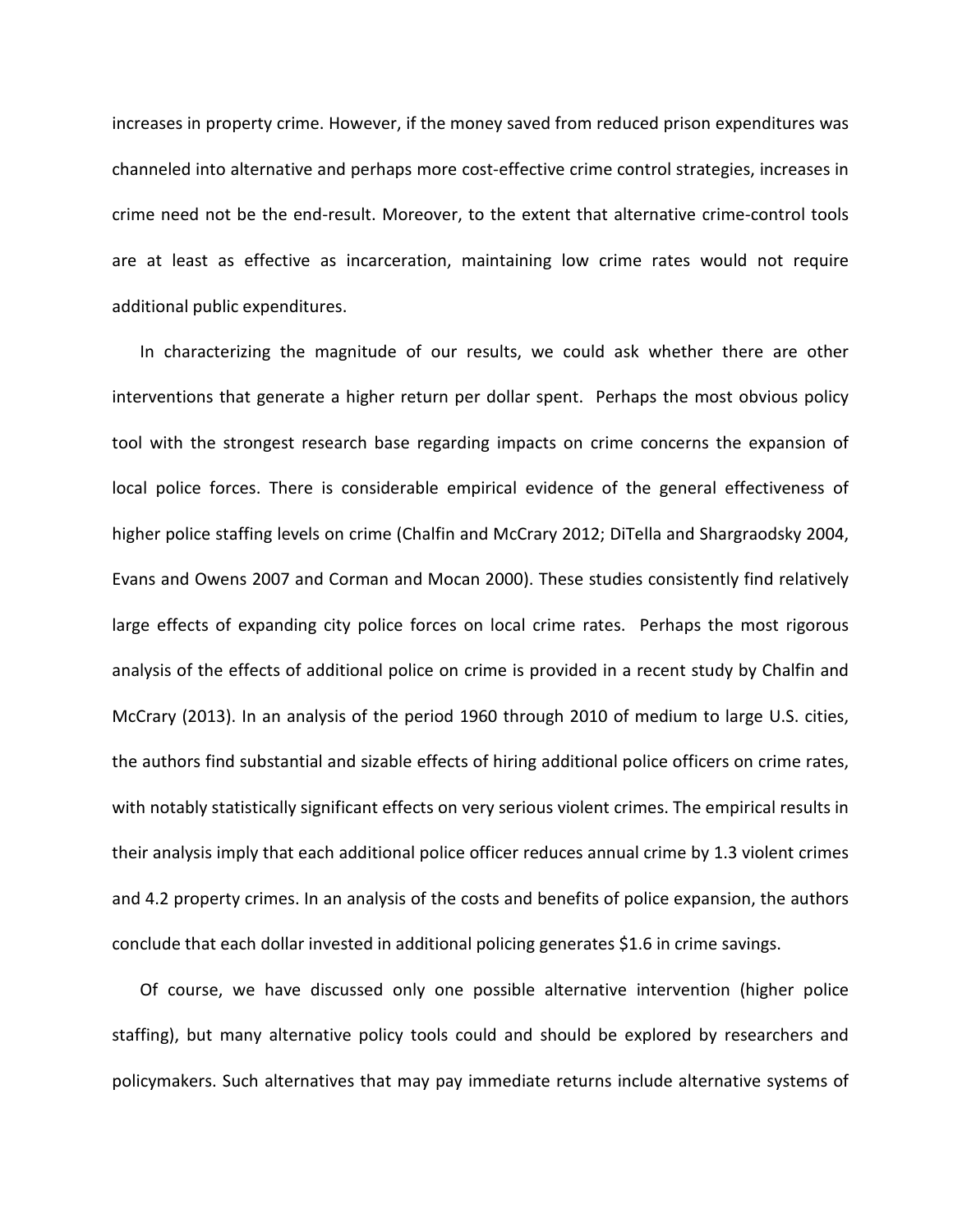increases in property crime. However, if the money saved from reduced prison expenditures was channeled into alternative and perhaps more cost-effective crime control strategies, increases in crime need not be the end-result. Moreover, to the extent that alternative crime-control tools are at least as effective as incarceration, maintaining low crime rates would not require additional public expenditures.

In characterizing the magnitude of our results, we could ask whether there are other interventions that generate a higher return per dollar spent. Perhaps the most obvious policy tool with the strongest research base regarding impacts on crime concerns the expansion of local police forces. There is considerable empirical evidence of the general effectiveness of higher police staffing levels on crime (Chalfin and McCrary 2012; DiTella and Shargraodsky 2004, Evans and Owens 2007 and Corman and Mocan 2000). These studies consistently find relatively large effects of expanding city police forces on local crime rates. Perhaps the most rigorous analysis of the effects of additional police on crime is provided in a recent study by Chalfin and McCrary (2013). In an analysis of the period 1960 through 2010 of medium to large U.S. cities, the authors find substantial and sizable effects of hiring additional police officers on crime rates, with notably statistically significant effects on very serious violent crimes. The empirical results in their analysis imply that each additional police officer reduces annual crime by 1.3 violent crimes and 4.2 property crimes. In an analysis of the costs and benefits of police expansion, the authors conclude that each dollar invested in additional policing generates \$1.6 in crime savings.

Of course, we have discussed only one possible alternative intervention (higher police staffing), but many alternative policy tools could and should be explored by researchers and policymakers. Such alternatives that may pay immediate returns include alternative systems of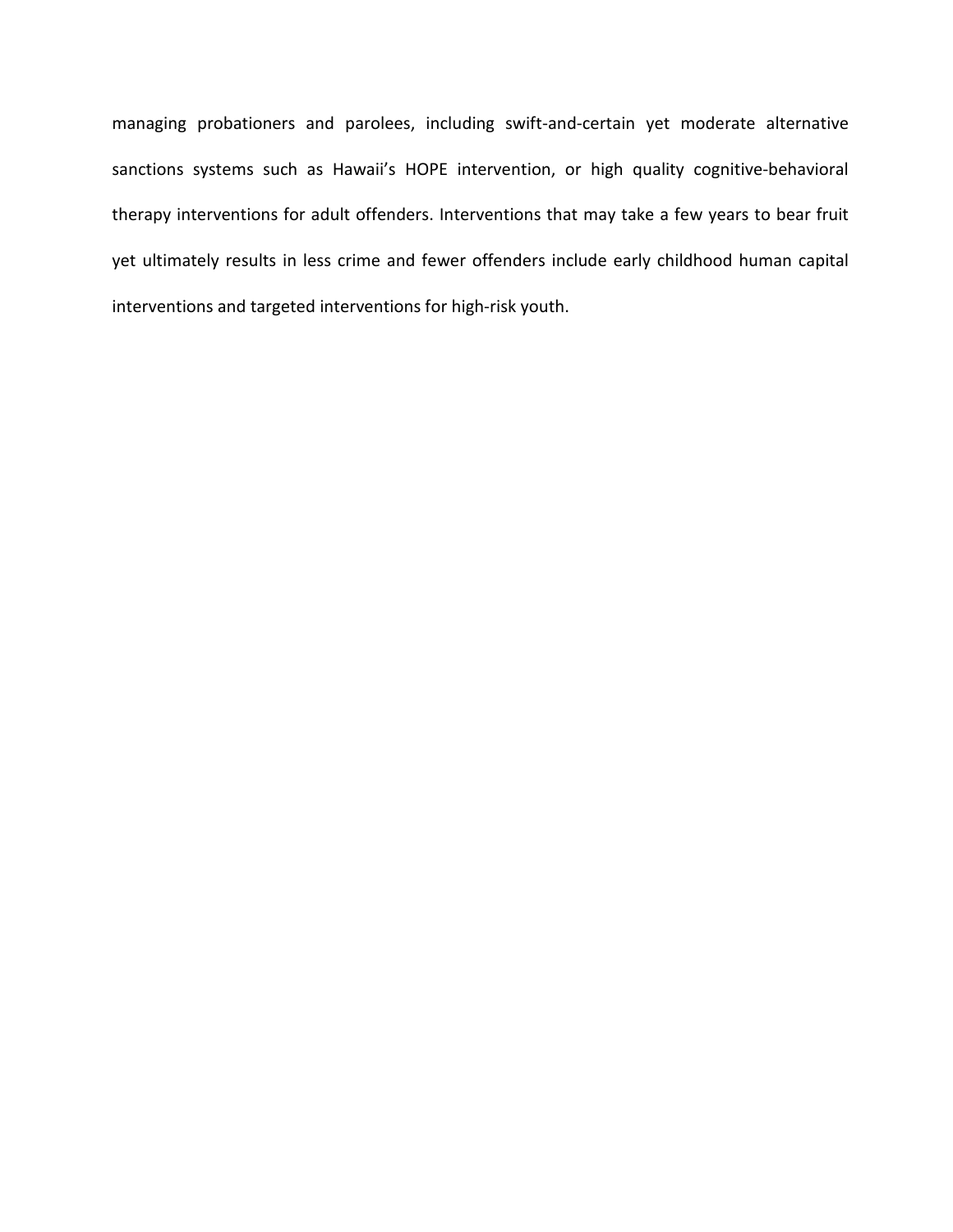managing probationers and parolees, including swift-and-certain yet moderate alternative sanctions systems such as Hawaii's HOPE intervention, or high quality cognitive-behavioral therapy interventions for adult offenders. Interventions that may take a few years to bear fruit yet ultimately results in less crime and fewer offenders include early childhood human capital interventions and targeted interventions for high-risk youth.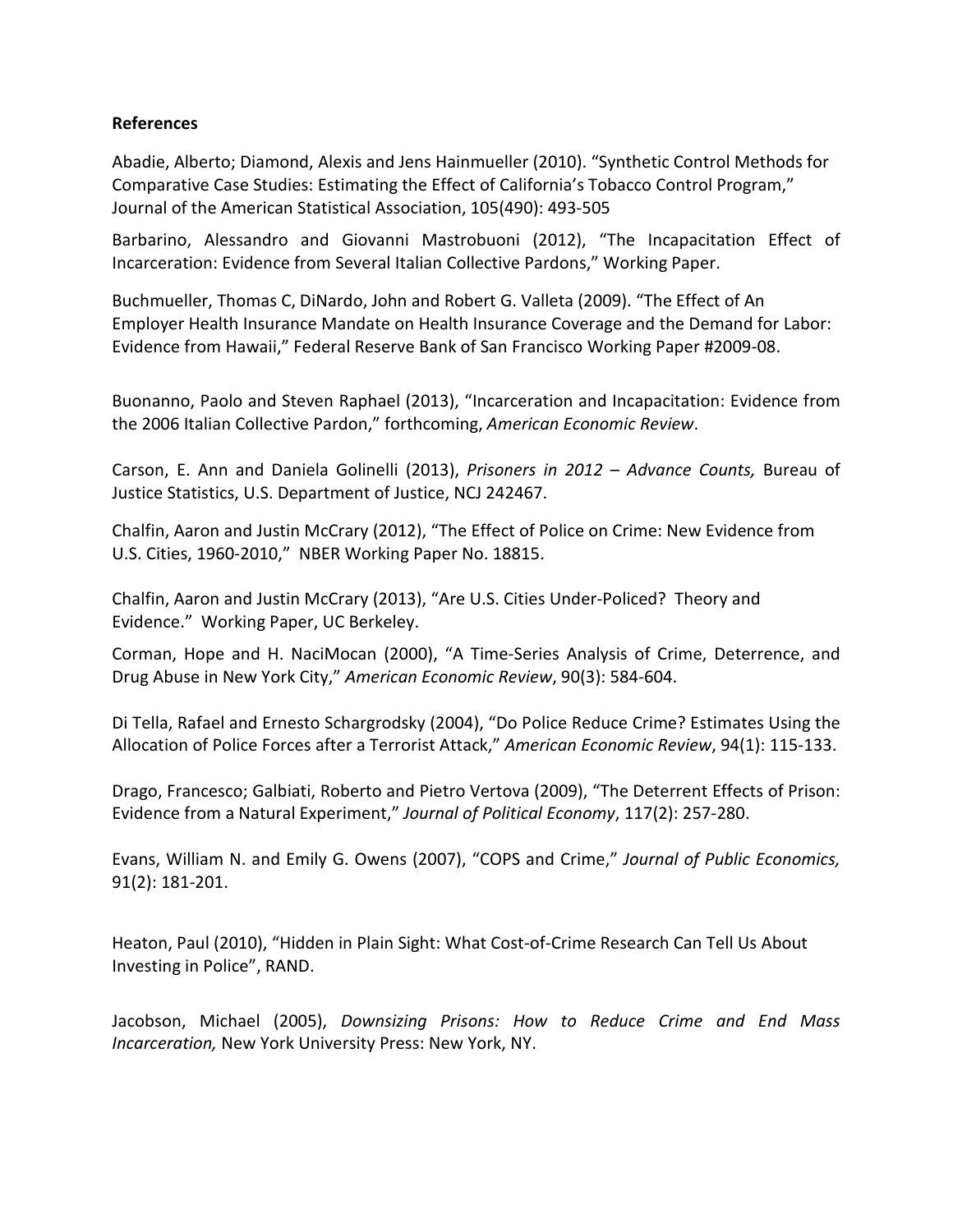## **References**

Abadie, Alberto; Diamond, Alexis and Jens Hainmueller (2010). "Synthetic Control Methods for Comparative Case Studies: Estimating the Effect of California's Tobacco Control Program," Journal of the American Statistical Association, 105(490): 493-505

Barbarino, Alessandro and Giovanni Mastrobuoni (2012), "The Incapacitation Effect of Incarceration: Evidence from Several Italian Collective Pardons," Working Paper.

Buchmueller, Thomas C, DiNardo, John and Robert G. Valleta (2009). "The Effect of An Employer Health Insurance Mandate on Health Insurance Coverage and the Demand for Labor: Evidence from Hawaii," Federal Reserve Bank of San Francisco Working Paper #2009-08.

Buonanno, Paolo and Steven Raphael (2013), "Incarceration and Incapacitation: Evidence from the 2006 Italian Collective Pardon," forthcoming, *American Economic Review*.

Carson, E. Ann and Daniela Golinelli (2013), *Prisoners in 2012 – Advance Counts,* Bureau of Justice Statistics, U.S. Department of Justice, NCJ 242467.

Chalfin, Aaron and Justin McCrary (2012), "The Effect of Police on Crime: New Evidence from U.S. Cities, 1960-2010," NBER Working Paper No. 18815.

Chalfin, Aaron and Justin McCrary (2013), "Are U.S. Cities Under-Policed? Theory and Evidence." Working Paper, UC Berkeley.

Corman, Hope and H. NaciMocan (2000), "A Time-Series Analysis of Crime, Deterrence, and Drug Abuse in New York City," *American Economic Review*, 90(3): 584-604.

Di Tella, Rafael and Ernesto Schargrodsky (2004), "Do Police Reduce Crime? Estimates Using the Allocation of Police Forces after a Terrorist Attack," *American Economic Review*, 94(1): 115-133.

Drago, Francesco; Galbiati, Roberto and Pietro Vertova (2009), "The Deterrent Effects of Prison: Evidence from a Natural Experiment," *Journal of Political Economy*, 117(2): 257-280.

Evans, William N. and Emily G. Owens (2007), "COPS and Crime," *Journal of Public Economics,* 91(2): 181-201.

Heaton, Paul (2010), "Hidden in Plain Sight: What Cost-of-Crime Research Can Tell Us About Investing in Police", RAND.

Jacobson, Michael (2005), *Downsizing Prisons: How to Reduce Crime and End Mass Incarceration,* New York University Press: New York, NY.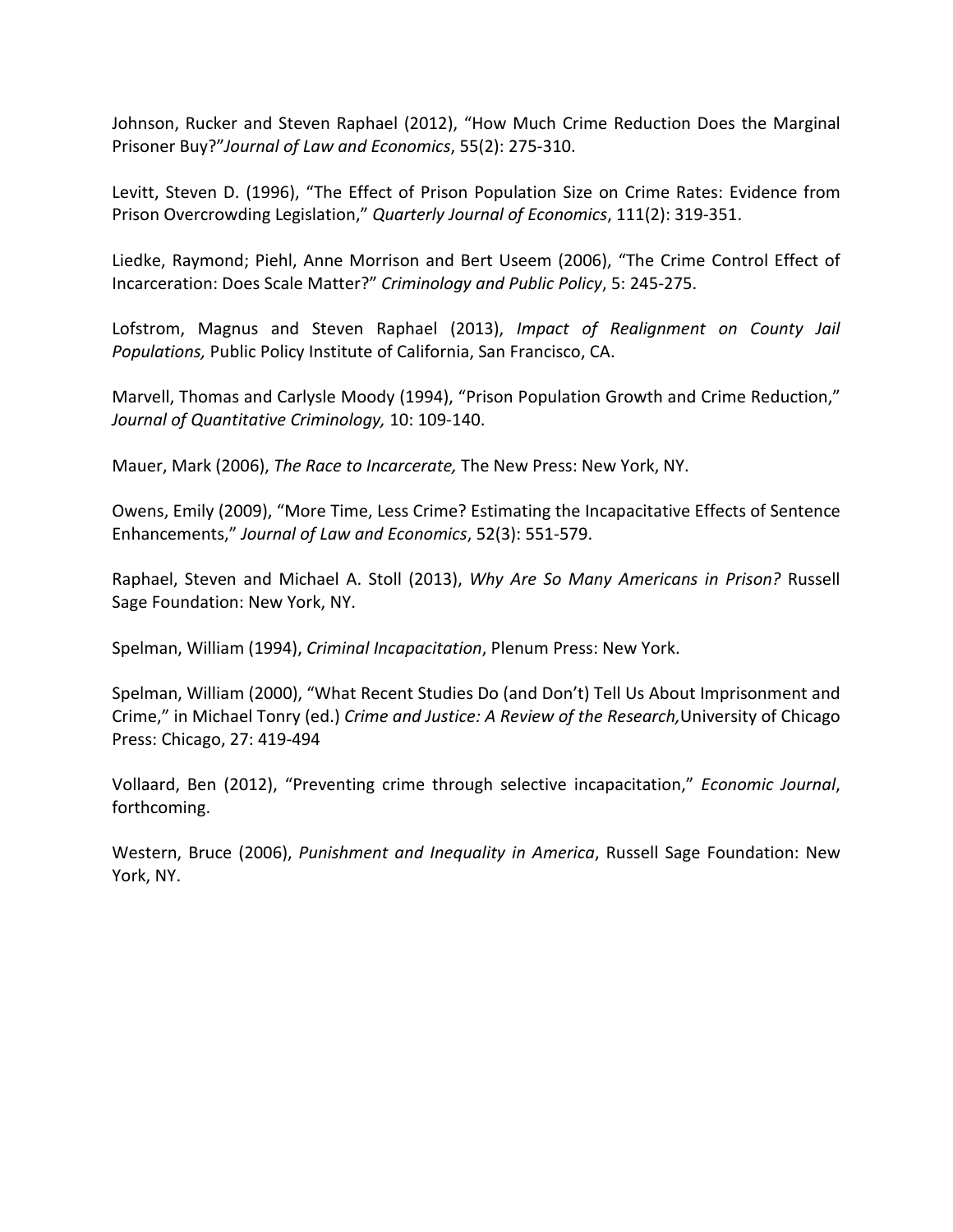Johnson, Rucker and Steven Raphael (2012), "How Much Crime Reduction Does the Marginal Prisoner Buy?"*Journal of Law and Economics*, 55(2): 275-310.

Levitt, Steven D. (1996), "The Effect of Prison Population Size on Crime Rates: Evidence from Prison Overcrowding Legislation," *Quarterly Journal of Economics*, 111(2): 319-351.

Liedke, Raymond; Piehl, Anne Morrison and Bert Useem (2006), "The Crime Control Effect of Incarceration: Does Scale Matter?" *Criminology and Public Policy*, 5: 245-275.

Lofstrom, Magnus and Steven Raphael (2013), *Impact of Realignment on County Jail Populations,* Public Policy Institute of California, San Francisco, CA.

Marvell, Thomas and Carlysle Moody (1994), "Prison Population Growth and Crime Reduction," *Journal of Quantitative Criminology,* 10: 109-140.

Mauer, Mark (2006), *The Race to Incarcerate,* The New Press: New York, NY.

Owens, Emily (2009), "More Time, Less Crime? Estimating the Incapacitative Effects of Sentence Enhancements," *Journal of Law and Economics*, 52(3): 551-579.

Raphael, Steven and Michael A. Stoll (2013), *Why Are So Many Americans in Prison?* Russell Sage Foundation: New York, NY.

Spelman, William (1994), *Criminal Incapacitation*, Plenum Press: New York.

Spelman, William (2000), "What Recent Studies Do (and Don't) Tell Us About Imprisonment and Crime," in Michael Tonry (ed.) *Crime and Justice: A Review of the Research,*University of Chicago Press: Chicago, 27: 419-494

Vollaard, Ben (2012), "Preventing crime through selective incapacitation," *Economic Journal*, forthcoming.

Western, Bruce (2006), *Punishment and Inequality in America*, Russell Sage Foundation: New York, NY.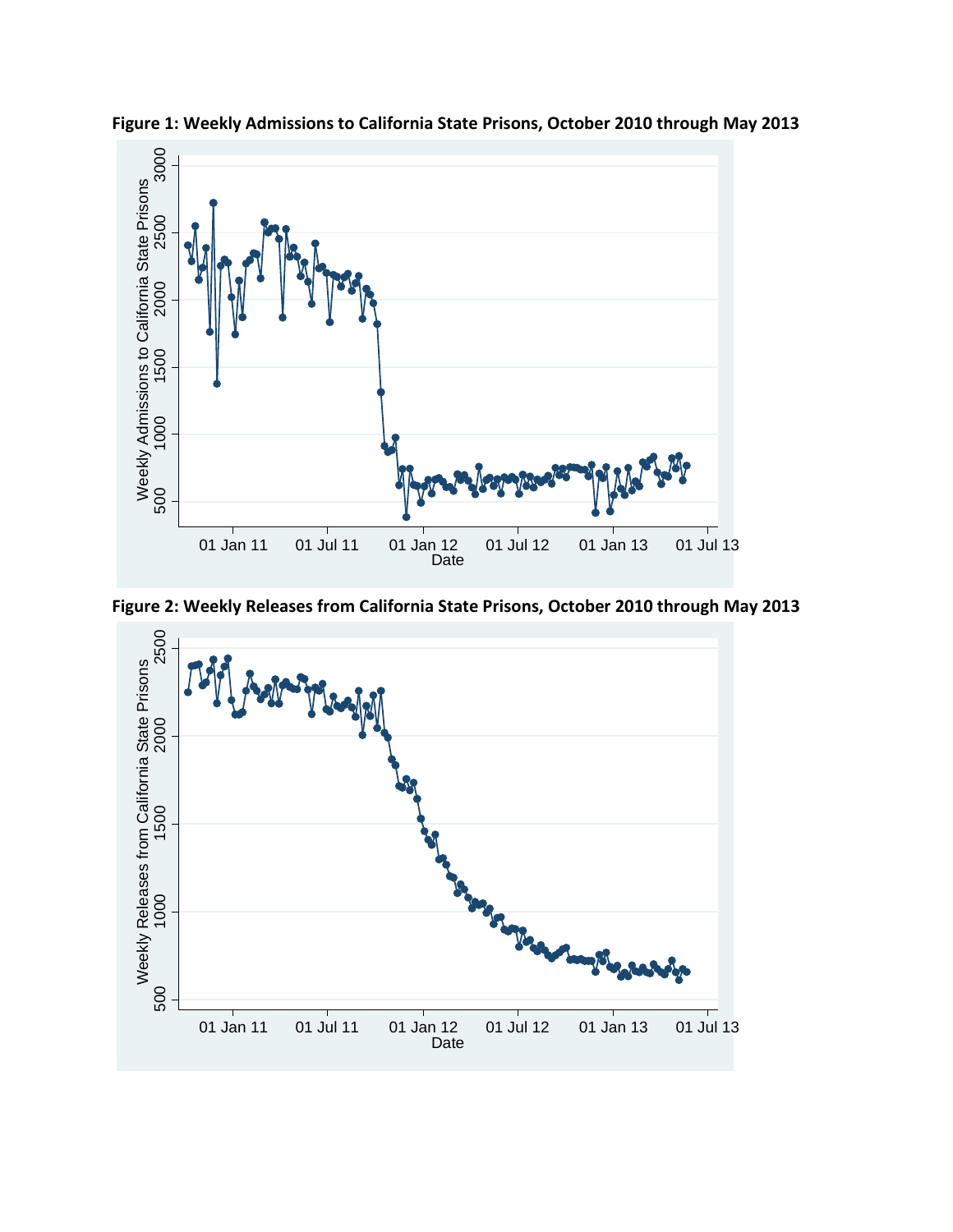

**Figure 1: Weekly Admissions to California State Prisons, October 2010 through May 2013**



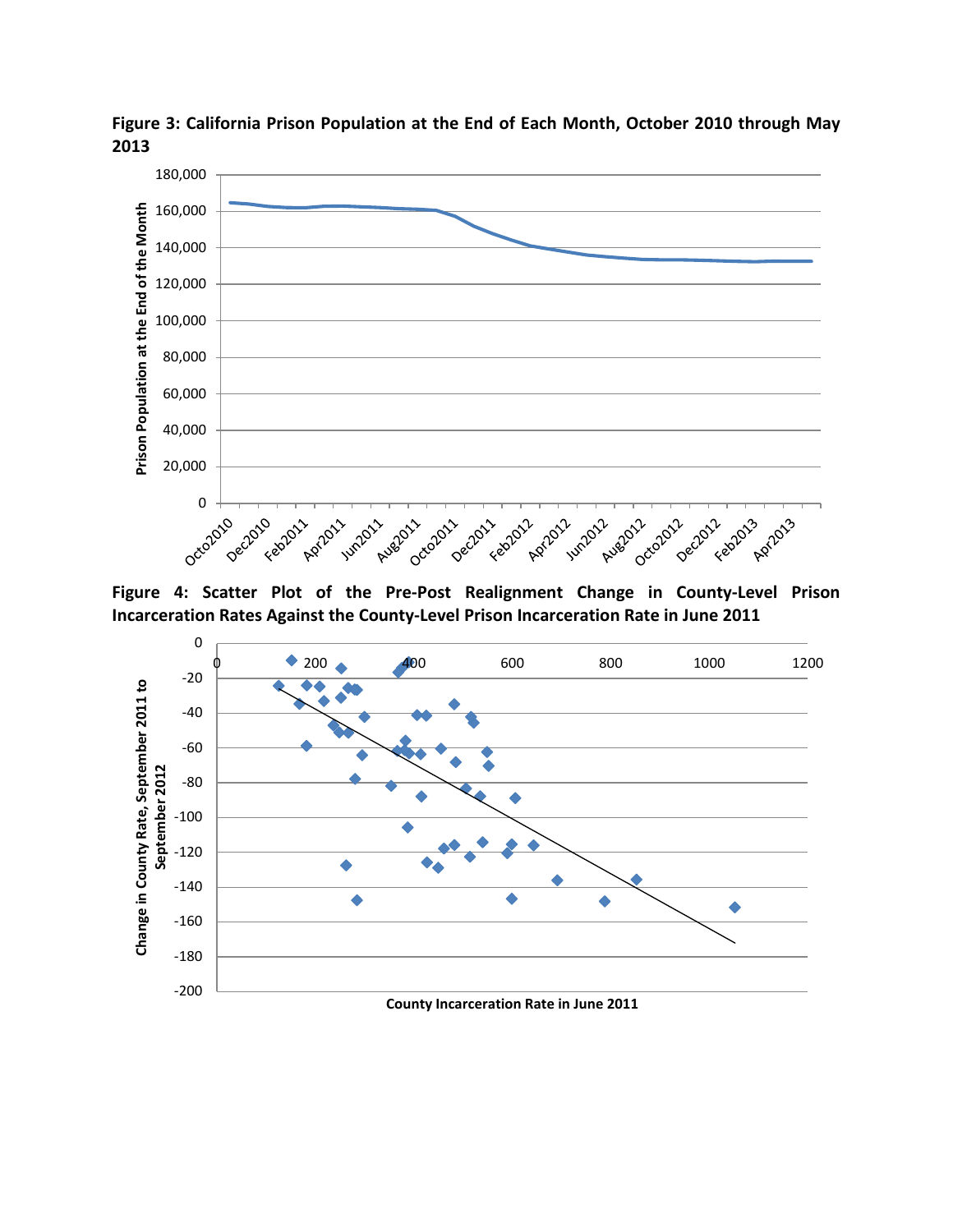

**Figure 3: California Prison Population at the End of Each Month, October 2010 through May 2013**

**Figure 4: Scatter Plot of the Pre-Post Realignment Change in County-Level Prison Incarceration Rates Against the County-Level Prison Incarceration Rate in June 2011**

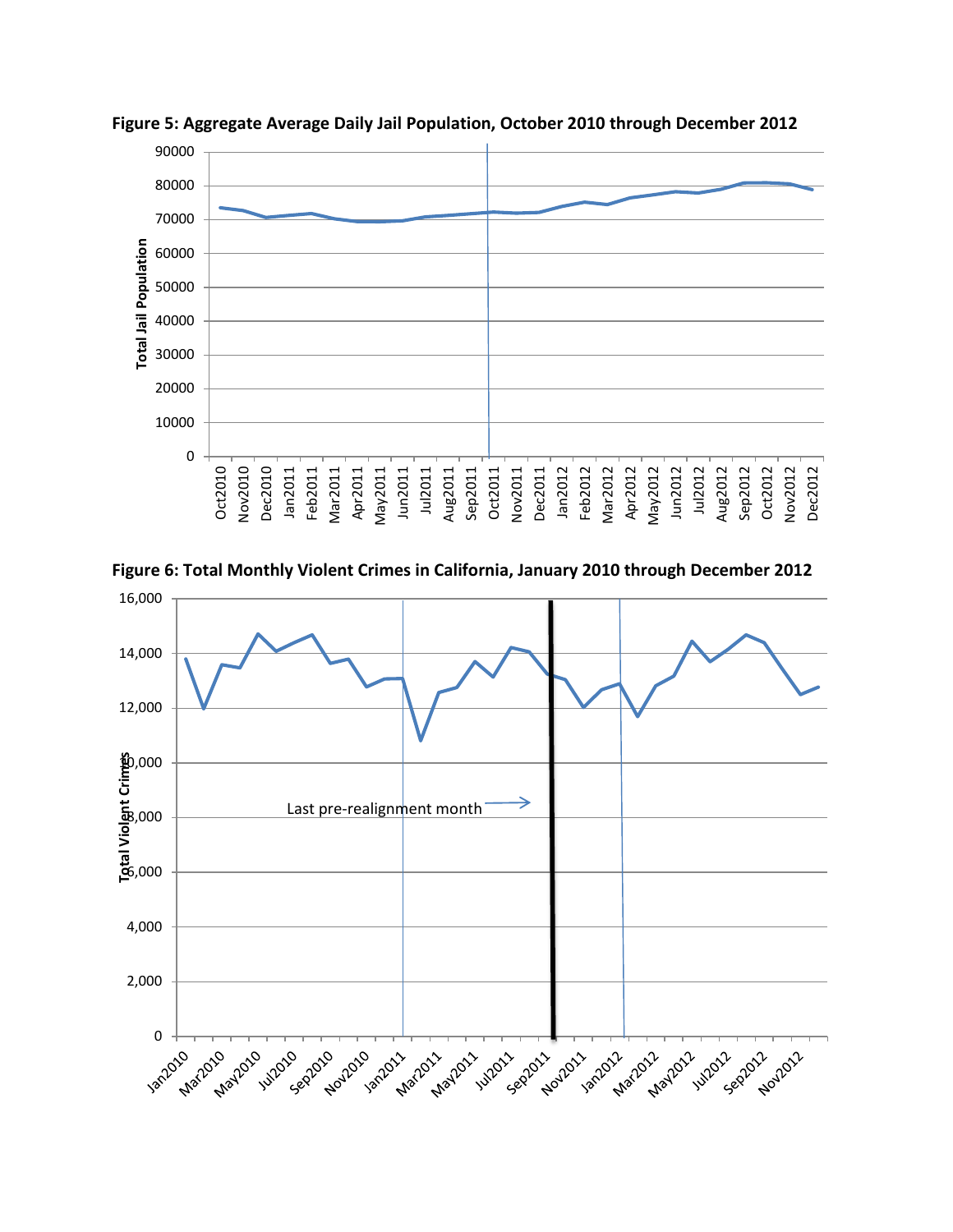

**Figure 5: Aggregate Average Daily Jail Population, October 2010 through December 2012**



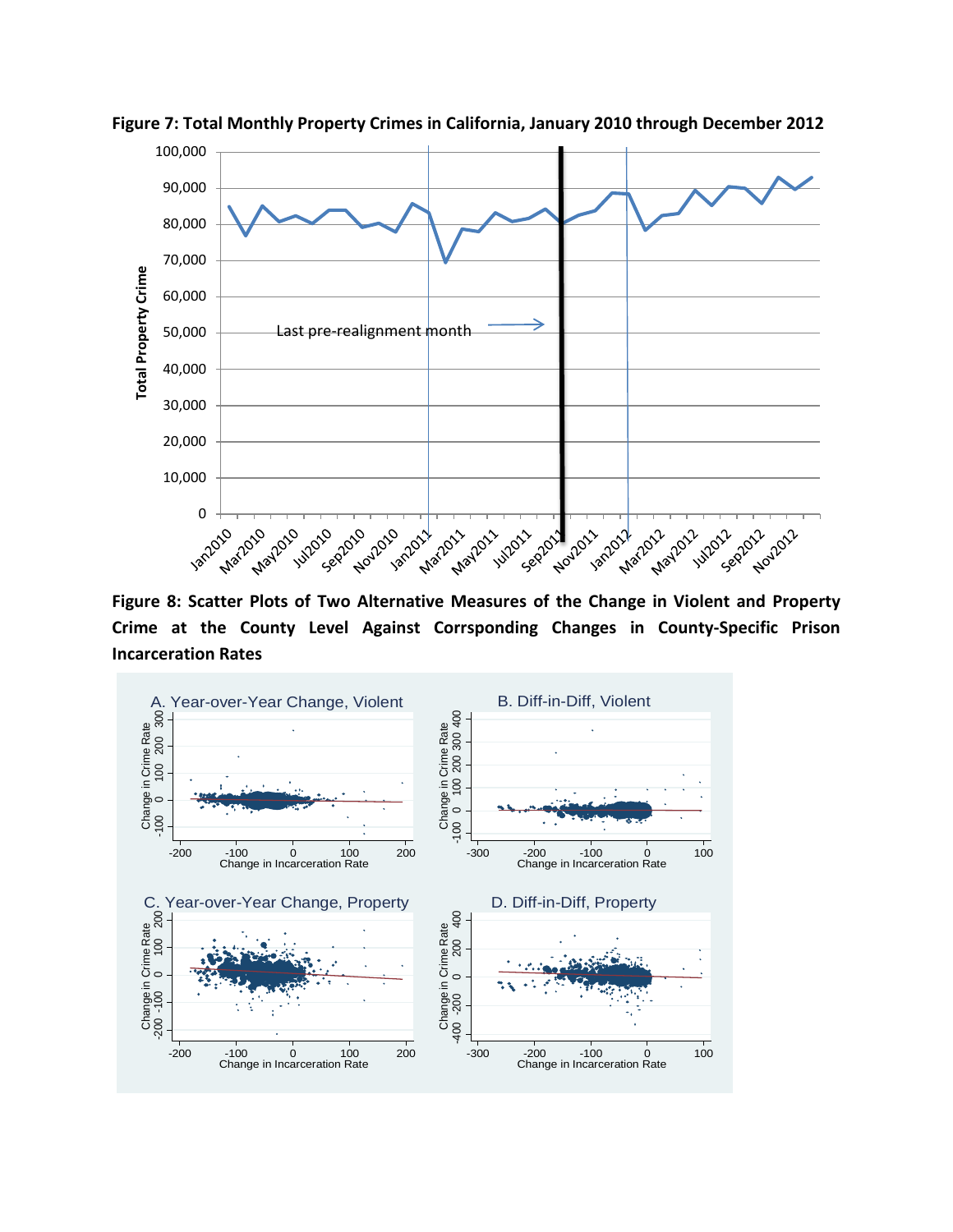

**Figure 7: Total Monthly Property Crimes in California, January 2010 through December 2012**

**Figure 8: Scatter Plots of Two Alternative Measures of the Change in Violent and Property Crime at the County Level Against Corrsponding Changes in County-Specific Prison Incarceration Rates**

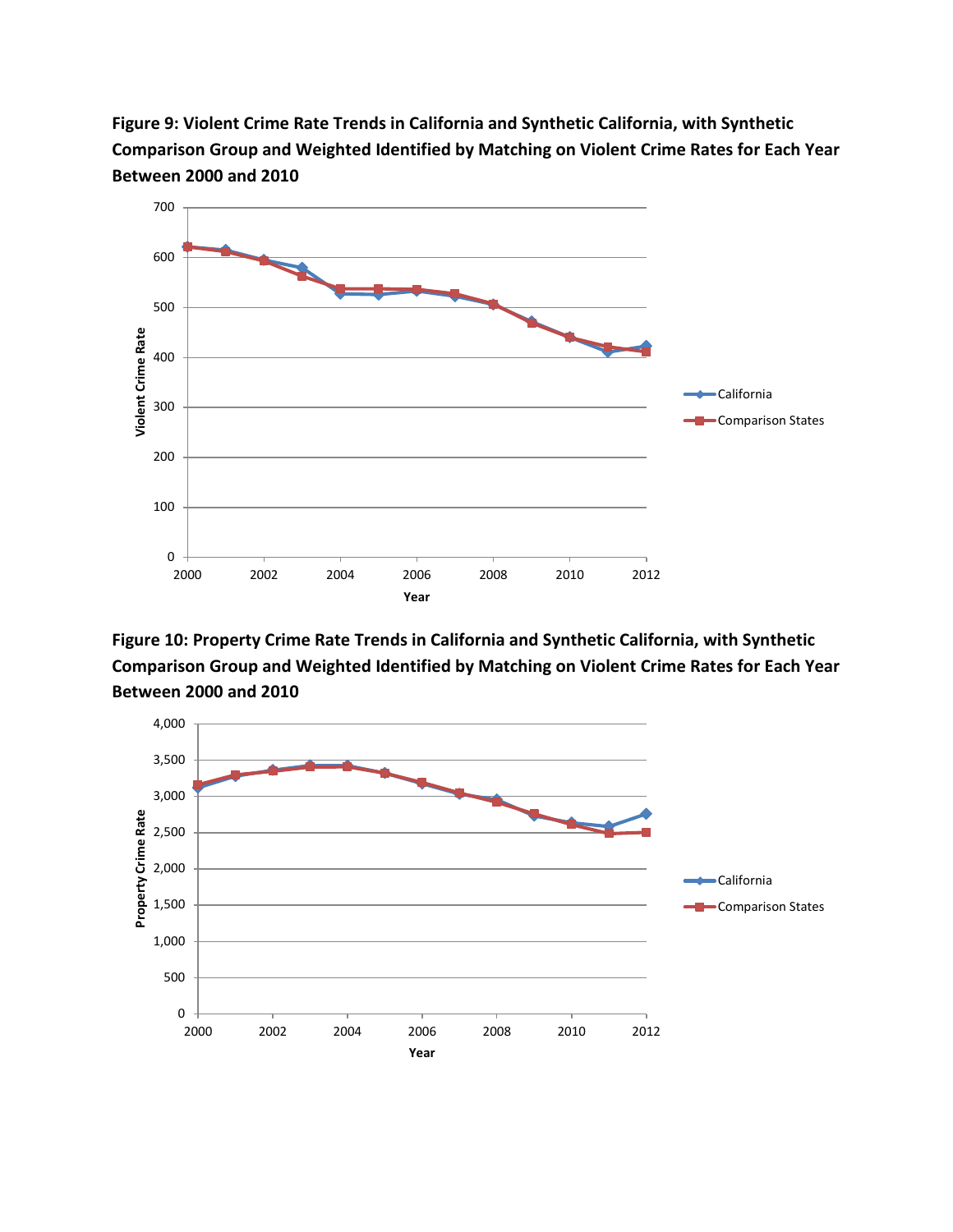



**Figure 10: Property Crime Rate Trends in California and Synthetic California, with Synthetic Comparison Group and Weighted Identified by Matching on Violent Crime Rates for Each Year Between 2000 and 2010**

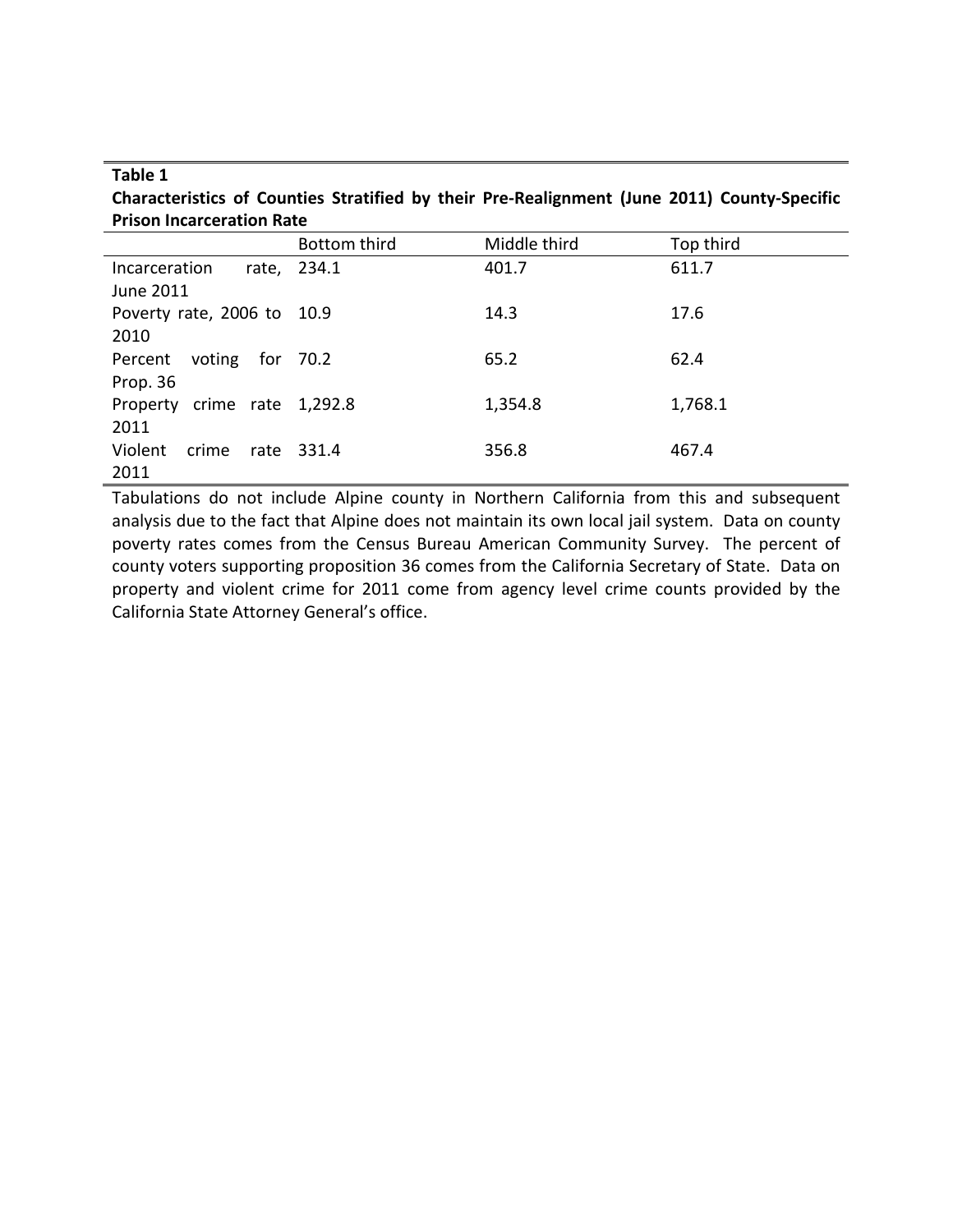## **Table 1**

**Characteristics of Counties Stratified by their Pre-Realignment (June 2011) County-Specific Prison Incarceration Rate**

|                             | Bottom third | Middle third | Top third |
|-----------------------------|--------------|--------------|-----------|
| Incarceration               | rate, 234.1  | 401.7        | 611.7     |
| June 2011                   |              |              |           |
| Poverty rate, 2006 to 10.9  |              | 14.3         | 17.6      |
| 2010                        |              |              |           |
| voting for 70.2<br>Percent  |              | 65.2         | 62.4      |
| Prop. 36                    |              |              |           |
| Property crime rate 1,292.8 |              | 1,354.8      | 1,768.1   |
| 2011                        |              |              |           |
| Violent<br>crime<br>rate    | 331.4        | 356.8        | 467.4     |
| 2011                        |              |              |           |

Tabulations do not include Alpine county in Northern California from this and subsequent analysis due to the fact that Alpine does not maintain its own local jail system. Data on county poverty rates comes from the Census Bureau American Community Survey. The percent of county voters supporting proposition 36 comes from the California Secretary of State. Data on property and violent crime for 2011 come from agency level crime counts provided by the California State Attorney General's office.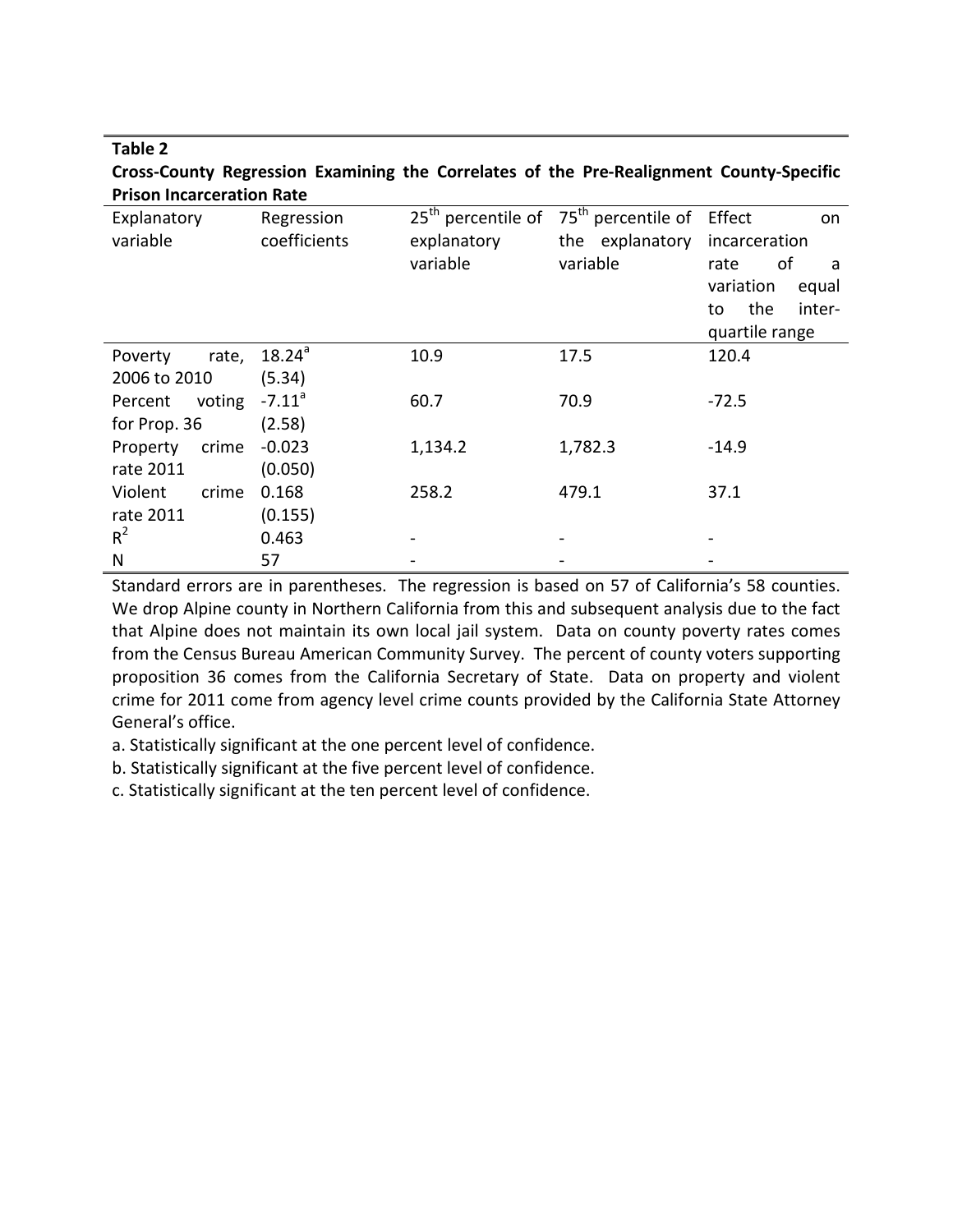## **Table 2 Cross-County Regression Examining the Correlates of the Pre-Realignment County-Specific Prison Incarceration Rate**

| Explanatory       | Regression           | $25th$ percentile of | $75th$ percentile of | Effect<br>on        |
|-------------------|----------------------|----------------------|----------------------|---------------------|
| variable          | coefficients         | explanatory          | the explanatory      | incarceration       |
|                   |                      | variable             | variable             | of<br>rate<br>a     |
|                   |                      |                      |                      | variation<br>equal  |
|                   |                      |                      |                      | the<br>inter-<br>to |
|                   |                      |                      |                      | quartile range      |
| Poverty<br>rate,  | $18.24^{a}$          | 10.9                 | 17.5                 | 120.4               |
| 2006 to 2010      | (5.34)               |                      |                      |                     |
| voting<br>Percent | $-7.11$ <sup>a</sup> | 60.7                 | 70.9                 | $-72.5$             |
| for Prop. 36      | (2.58)               |                      |                      |                     |
| crime<br>Property | $-0.023$             | 1,134.2              | 1,782.3              | $-14.9$             |
| rate 2011         | (0.050)              |                      |                      |                     |
| Violent<br>crime  | 0.168                | 258.2                | 479.1                | 37.1                |
| rate 2011         | (0.155)              |                      |                      |                     |
| $R^2$             | 0.463                |                      |                      |                     |
| N                 | 57                   |                      |                      |                     |

Standard errors are in parentheses. The regression is based on 57 of California's 58 counties. We drop Alpine county in Northern California from this and subsequent analysis due to the fact that Alpine does not maintain its own local jail system. Data on county poverty rates comes from the Census Bureau American Community Survey. The percent of county voters supporting proposition 36 comes from the California Secretary of State. Data on property and violent crime for 2011 come from agency level crime counts provided by the California State Attorney General's office.

a. Statistically significant at the one percent level of confidence.

b. Statistically significant at the five percent level of confidence.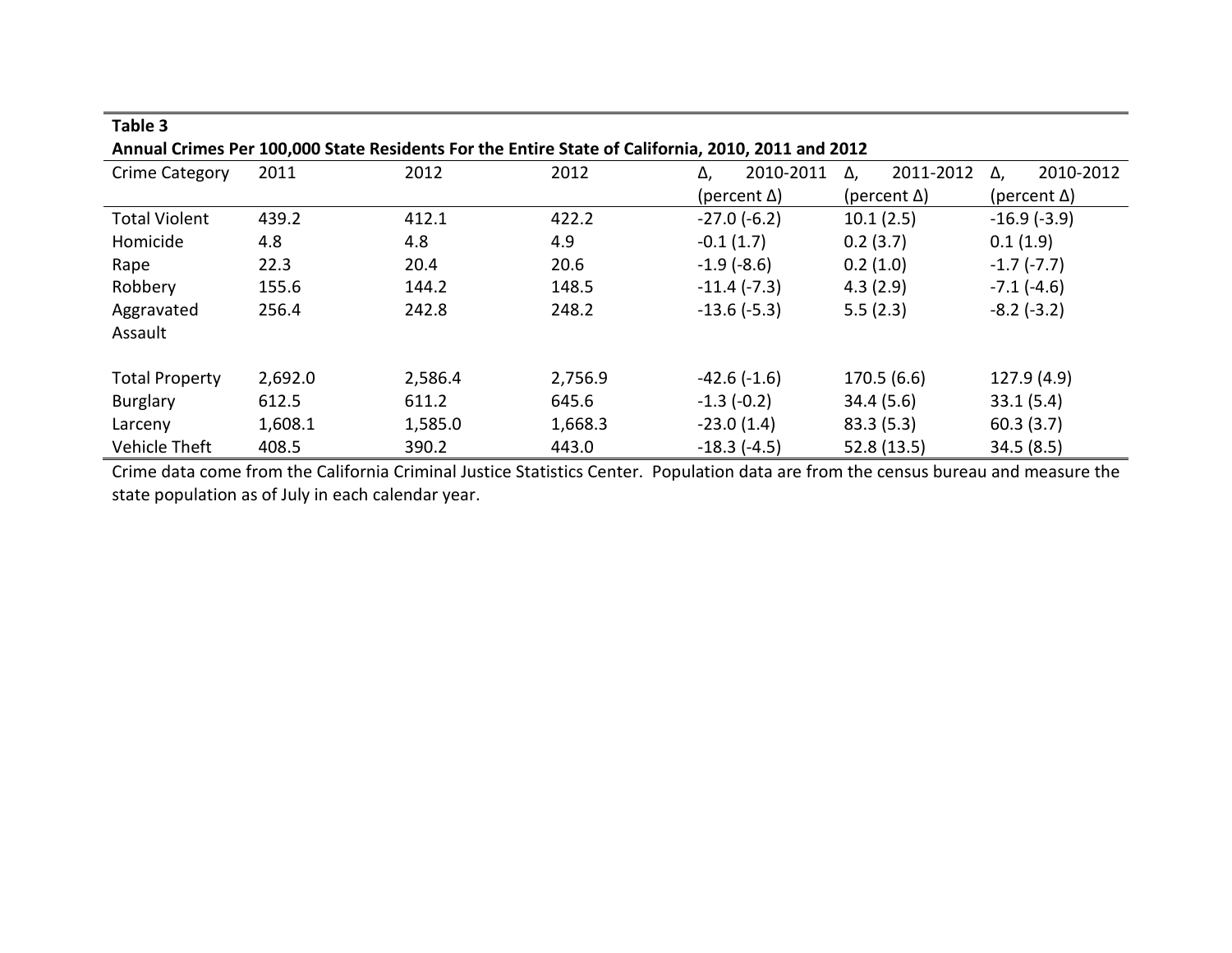| Annual Crimes Per 100,000 State Residents For the Entire State of California, 2010, 2011 and 2012 |         |         |         |                     |           |          |                     |              |                     |  |  |
|---------------------------------------------------------------------------------------------------|---------|---------|---------|---------------------|-----------|----------|---------------------|--------------|---------------------|--|--|
| Crime Category                                                                                    | 2011    | 2012    | 2012    | Δ,                  | 2010-2011 | Δ,       | 2011-2012           | Δ.           | 2010-2012           |  |  |
|                                                                                                   |         |         |         | (percent $\Delta$ ) |           |          | (percent $\Delta$ ) |              | (percent $\Delta$ ) |  |  |
| <b>Total Violent</b>                                                                              | 439.2   | 412.1   | 422.2   | $-27.0(-6.2)$       |           |          | 10.1(2.5)           |              | $-16.9(-3.9)$       |  |  |
| Homicide                                                                                          | 4.8     | 4.8     | 4.9     | $-0.1(1.7)$         |           | 0.2(3.7) |                     | 0.1(1.9)     |                     |  |  |
| Rape                                                                                              | 22.3    | 20.4    | 20.6    | $-1.9(-8.6)$        |           | 0.2(1.0) |                     | $-1.7(-7.7)$ |                     |  |  |
| Robbery                                                                                           | 155.6   | 144.2   | 148.5   | $-11.4$ ( $-7.3$ )  |           | 4.3(2.9) |                     | $-7.1(-4.6)$ |                     |  |  |
| Aggravated                                                                                        | 256.4   | 242.8   | 248.2   | $-13.6(-5.3)$       |           | 5.5(2.3) |                     | $-8.2(-3.2)$ |                     |  |  |
| Assault                                                                                           |         |         |         |                     |           |          |                     |              |                     |  |  |
|                                                                                                   |         |         |         |                     |           |          |                     |              |                     |  |  |
| <b>Total Property</b>                                                                             | 2,692.0 | 2,586.4 | 2,756.9 | $-42.6(-1.6)$       |           |          | 170.5(6.6)          |              | 127.9 (4.9)         |  |  |
| Burglary                                                                                          | 612.5   | 611.2   | 645.6   | $-1.3(-0.2)$        |           |          | 34.4(5.6)           | 33.1(5.4)    |                     |  |  |
| Larceny                                                                                           | 1,608.1 | 1,585.0 | 1,668.3 | $-23.0(1.4)$        |           |          | 83.3(5.3)           | 60.3(3.7)    |                     |  |  |
| <b>Vehicle Theft</b>                                                                              | 408.5   | 390.2   | 443.0   | $-18.3(-4.5)$       |           |          | 52.8 (13.5)         | 34.5(8.5)    |                     |  |  |

**Table 3**

Crime data come from the California Criminal Justice Statistics Center. Population data are from the census bureau and measure the state population as of July in each calendar year.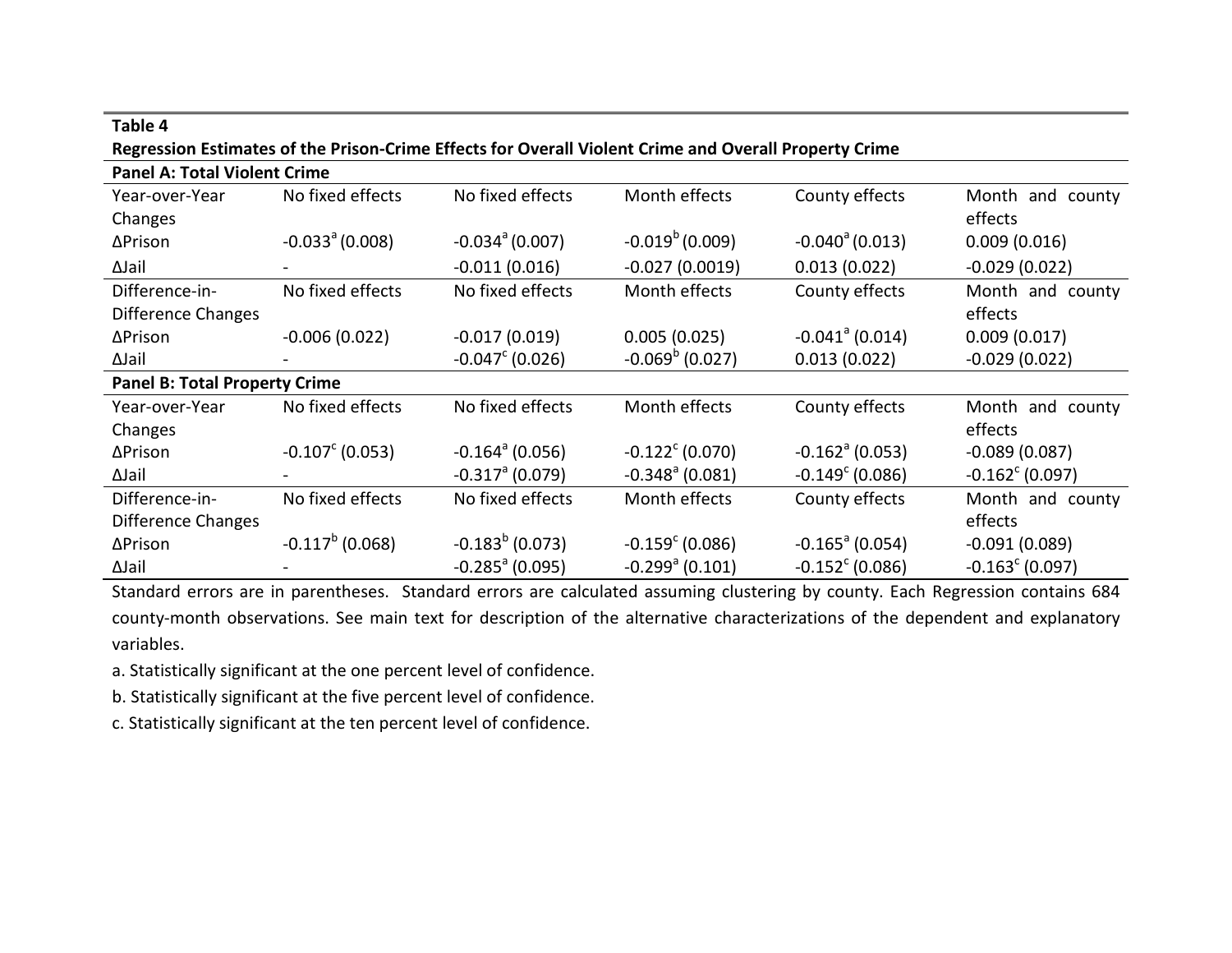| <u>Regression esumates of the Prison-Chine Effects for Overall violent Chine and Overall Property Chine</u> |                               |                               |                               |                               |                          |  |  |  |  |  |
|-------------------------------------------------------------------------------------------------------------|-------------------------------|-------------------------------|-------------------------------|-------------------------------|--------------------------|--|--|--|--|--|
| <b>Panel A: Total Violent Crime</b>                                                                         |                               |                               |                               |                               |                          |  |  |  |  |  |
| Year-over-Year                                                                                              | No fixed effects              | No fixed effects              | Month effects                 | County effects                | Month and county         |  |  |  |  |  |
| Changes                                                                                                     |                               |                               |                               |                               | effects                  |  |  |  |  |  |
| ∆Prison                                                                                                     | $-0.033$ <sup>a</sup> (0.008) | $-0.034$ <sup>a</sup> (0.007) | $-0.019^b(0.009)$             | $-0.040^{\circ}$ (0.013)      | 0.009(0.016)             |  |  |  |  |  |
| ∆Jail                                                                                                       |                               | $-0.011(0.016)$               | $-0.027(0.0019)$              | 0.013(0.022)                  | $-0.029(0.022)$          |  |  |  |  |  |
| Difference-in-                                                                                              | No fixed effects              | No fixed effects              | Month effects                 | County effects                | Month and county         |  |  |  |  |  |
| <b>Difference Changes</b>                                                                                   |                               |                               |                               |                               | effects                  |  |  |  |  |  |
| ∆Prison                                                                                                     | $-0.006(0.022)$               | $-0.017(0.019)$               | 0.005(0.025)                  | $-0.041$ <sup>a</sup> (0.014) | 0.009(0.017)             |  |  |  |  |  |
| ∆Jail                                                                                                       |                               | $-0.047^{\circ}$ (0.026)      | $-0.069^{\rm b}$ (0.027)      | 0.013(0.022)                  | $-0.029(0.022)$          |  |  |  |  |  |
| <b>Panel B: Total Property Crime</b>                                                                        |                               |                               |                               |                               |                          |  |  |  |  |  |
| Year-over-Year                                                                                              | No fixed effects              | No fixed effects              | Month effects                 | County effects                | Month and county         |  |  |  |  |  |
| Changes                                                                                                     |                               |                               |                               |                               | effects                  |  |  |  |  |  |
| ∆Prison                                                                                                     | $-0.107^{\circ}$ (0.053)      | $-0.164^{\circ}$ (0.056)      | $-0.122^{\circ}$ (0.070)      | $-0.162$ <sup>a</sup> (0.053) | $-0.089(0.087)$          |  |  |  |  |  |
| ∆Jail                                                                                                       |                               | $-0.317$ <sup>a</sup> (0.079) | $-0.348$ <sup>a</sup> (0.081) | $-0.149^{\circ}$ (0.086)      | $-0.162^{\circ}$ (0.097) |  |  |  |  |  |
| Difference-in-                                                                                              | No fixed effects              | No fixed effects              | Month effects                 | County effects                | Month and county         |  |  |  |  |  |
| Difference Changes                                                                                          |                               |                               |                               |                               | effects                  |  |  |  |  |  |
| ∆Prison                                                                                                     | $-0.117^b(0.068)$             | $-0.183^b$ (0.073)            | $-0.159^{\circ}$ (0.086)      | $-0.165$ <sup>a</sup> (0.054) | $-0.091(0.089)$          |  |  |  |  |  |
| ∆Jail                                                                                                       |                               | $-0.285$ <sup>a</sup> (0.095) | $-0.299$ <sup>a</sup> (0.101) | $-0.152^{\circ}$ (0.086)      | $-0.163^{\circ}$ (0.097) |  |  |  |  |  |

# **Table 4 Regression Estimates of the Prison-Crime Effects for Overall Violent Crime and Overall Property Crime**

Standard errors are in parentheses. Standard errors are calculated assuming clustering by county. Each Regression contains 684 county-month observations. See main text for description of the alternative characterizations of the dependent and explanatory variables.

a. Statistically significant at the one percent level of confidence.

b. Statistically significant at the five percent level of confidence.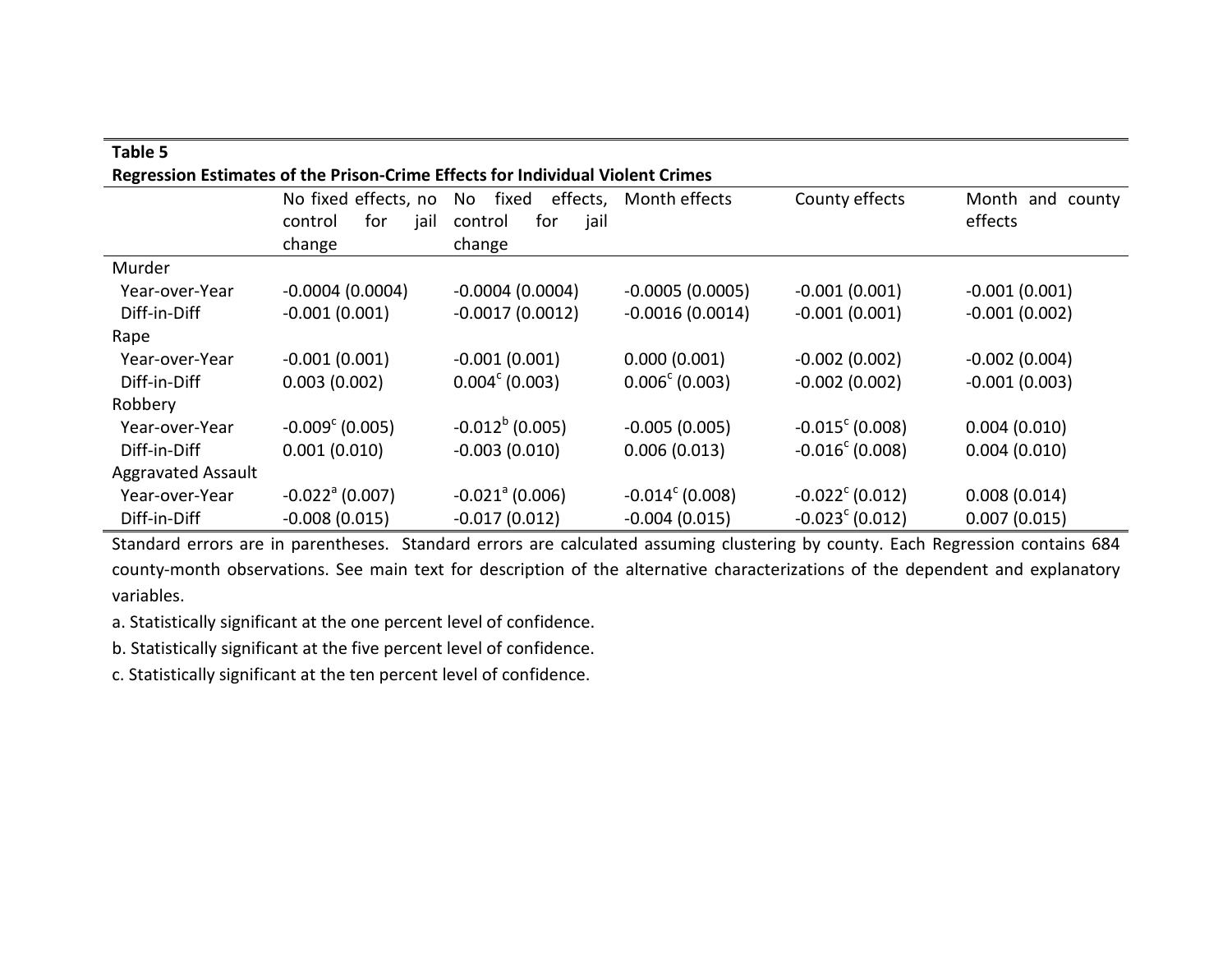| Table 5                   |                               |                                                                                |                          |                          |                  |
|---------------------------|-------------------------------|--------------------------------------------------------------------------------|--------------------------|--------------------------|------------------|
|                           |                               | Regression Estimates of the Prison-Crime Effects for Individual Violent Crimes |                          |                          |                  |
|                           | No fixed effects, no          | fixed<br>effects,<br>No                                                        | Month effects            | County effects           | Month and county |
|                           | for<br>jail<br>control        | for<br>jail<br>control                                                         |                          |                          | effects          |
|                           | change                        | change                                                                         |                          |                          |                  |
| Murder                    |                               |                                                                                |                          |                          |                  |
| Year-over-Year            | $-0.0004(0.0004)$             | $-0.0004(0.0004)$                                                              | $-0.0005(0.0005)$        | $-0.001(0.001)$          | $-0.001(0.001)$  |
| Diff-in-Diff              | $-0.001(0.001)$               | $-0.0017(0.0012)$                                                              | $-0.0016(0.0014)$        | $-0.001(0.001)$          | $-0.001(0.002)$  |
| Rape                      |                               |                                                                                |                          |                          |                  |
| Year-over-Year            | $-0.001(0.001)$               | $-0.001(0.001)$                                                                | 0.000(0.001)             | $-0.002(0.002)$          | $-0.002(0.004)$  |
| Diff-in-Diff              | 0.003(0.002)                  | $0.004^{\circ}$ (0.003)                                                        | $0.006^{\circ}$ (0.003)  | $-0.002(0.002)$          | $-0.001(0.003)$  |
| Robbery                   |                               |                                                                                |                          |                          |                  |
| Year-over-Year            | $-0.009^{\circ}$ (0.005)      | $-0.012^b$ (0.005)                                                             | $-0.005(0.005)$          | $-0.015^{\circ}$ (0.008) | 0.004(0.010)     |
| Diff-in-Diff              | 0.001(0.010)                  | $-0.003(0.010)$                                                                | 0.006(0.013)             | $-0.016^{\circ}$ (0.008) | 0.004(0.010)     |
| <b>Aggravated Assault</b> |                               |                                                                                |                          |                          |                  |
| Year-over-Year            | $-0.022$ <sup>a</sup> (0.007) | $-0.021$ <sup>a</sup> (0.006)                                                  | $-0.014^{\circ}$ (0.008) | $-0.022^{\circ}$ (0.012) | 0.008(0.014)     |
| Diff-in-Diff              | $-0.008(0.015)$               | $-0.017(0.012)$                                                                | $-0.004(0.015)$          | $-0.023^{\circ}$ (0.012) | 0.007(0.015)     |

Standard errors are in parentheses. Standard errors are calculated assuming clustering by county. Each Regression contains 684 county-month observations. See main text for description of the alternative characterizations of the dependent and explanatory variables.

a. Statistically significant at the one percent level of confidence.

b. Statistically significant at the five percent level of confidence.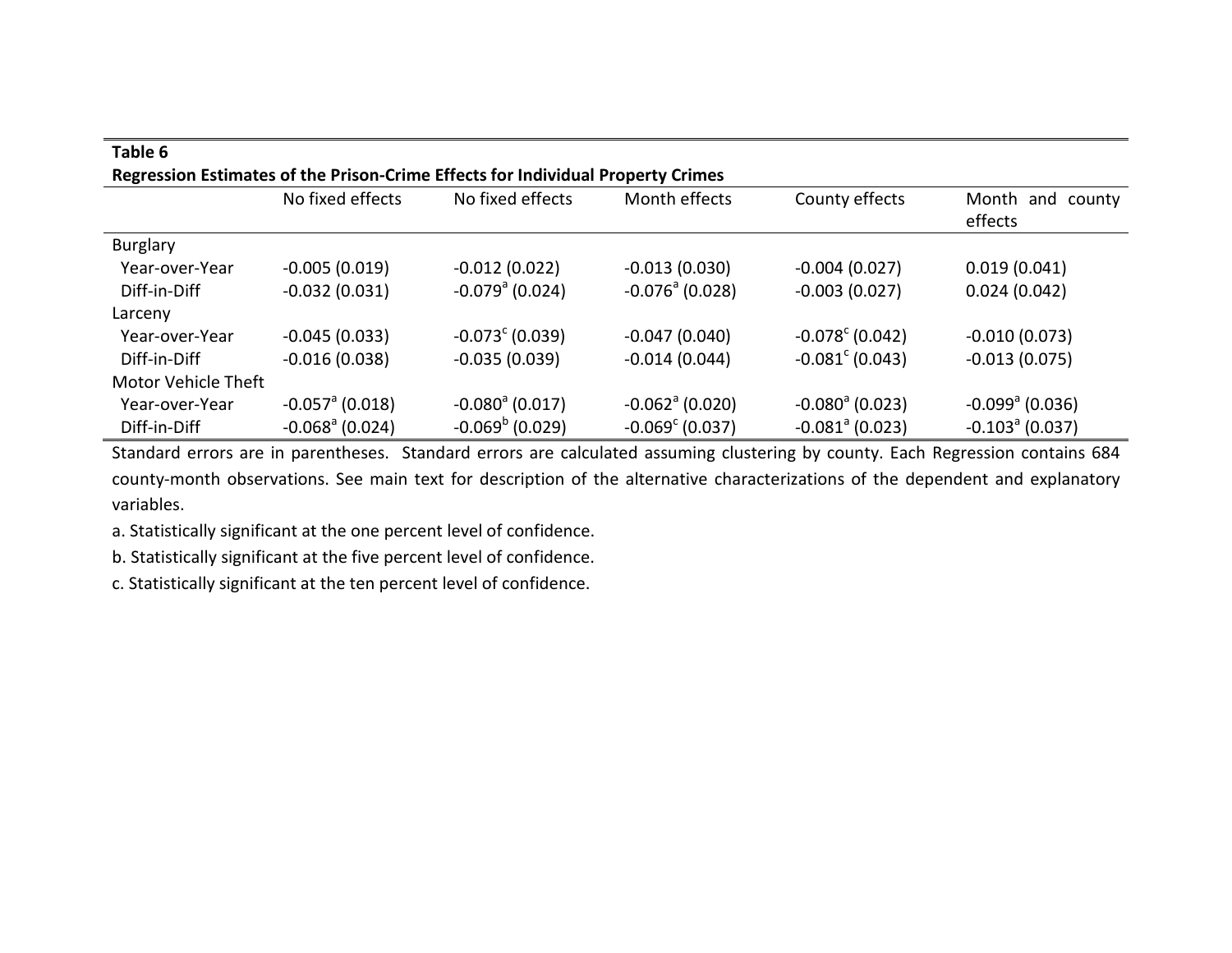| Table 6                    |                               |                                                                                 |                               |                               |                               |
|----------------------------|-------------------------------|---------------------------------------------------------------------------------|-------------------------------|-------------------------------|-------------------------------|
|                            |                               | Regression Estimates of the Prison-Crime Effects for Individual Property Crimes |                               |                               |                               |
|                            | No fixed effects              | No fixed effects                                                                | Month effects                 | County effects                | Month and county<br>effects   |
| Burglary                   |                               |                                                                                 |                               |                               |                               |
| Year-over-Year             | $-0.005(0.019)$               | $-0.012(0.022)$                                                                 | $-0.013(0.030)$               | $-0.004(0.027)$               | 0.019(0.041)                  |
| Diff-in-Diff               | $-0.032(0.031)$               | $-0.079$ <sup>a</sup> (0.024)                                                   | $-0.076$ <sup>a</sup> (0.028) | $-0.003(0.027)$               | 0.024(0.042)                  |
| Larceny                    |                               |                                                                                 |                               |                               |                               |
| Year-over-Year             | $-0.045(0.033)$               | $-0.073^{\circ}$ (0.039)                                                        | $-0.047(0.040)$               | $-0.078^{\circ}$ (0.042)      | $-0.010(0.073)$               |
| Diff-in-Diff               | $-0.016(0.038)$               | $-0.035(0.039)$                                                                 | $-0.014(0.044)$               | $-0.081^{\circ}$ (0.043)      | $-0.013(0.075)$               |
| <b>Motor Vehicle Theft</b> |                               |                                                                                 |                               |                               |                               |
| Year-over-Year             | $-0.057$ <sup>a</sup> (0.018) | $-0.080^{\circ}$ (0.017)                                                        | $-0.062$ <sup>a</sup> (0.020) | $-0.080^{\circ}$ (0.023)      | $-0.099$ <sup>a</sup> (0.036) |
| Diff-in-Diff               | $-0.068a$ (0.024)             | $-0.069^{\rm b}$ (0.029)                                                        | $-0.069^{\circ}$ (0.037)      | $-0.081$ <sup>a</sup> (0.023) | $-0.103a$ (0.037)             |

Standard errors are in parentheses. Standard errors are calculated assuming clustering by county. Each Regression contains 684 county-month observations. See main text for description of the alternative characterizations of the dependent and explanatory variables.

a. Statistically significant at the one percent level of confidence.

b. Statistically significant at the five percent level of confidence.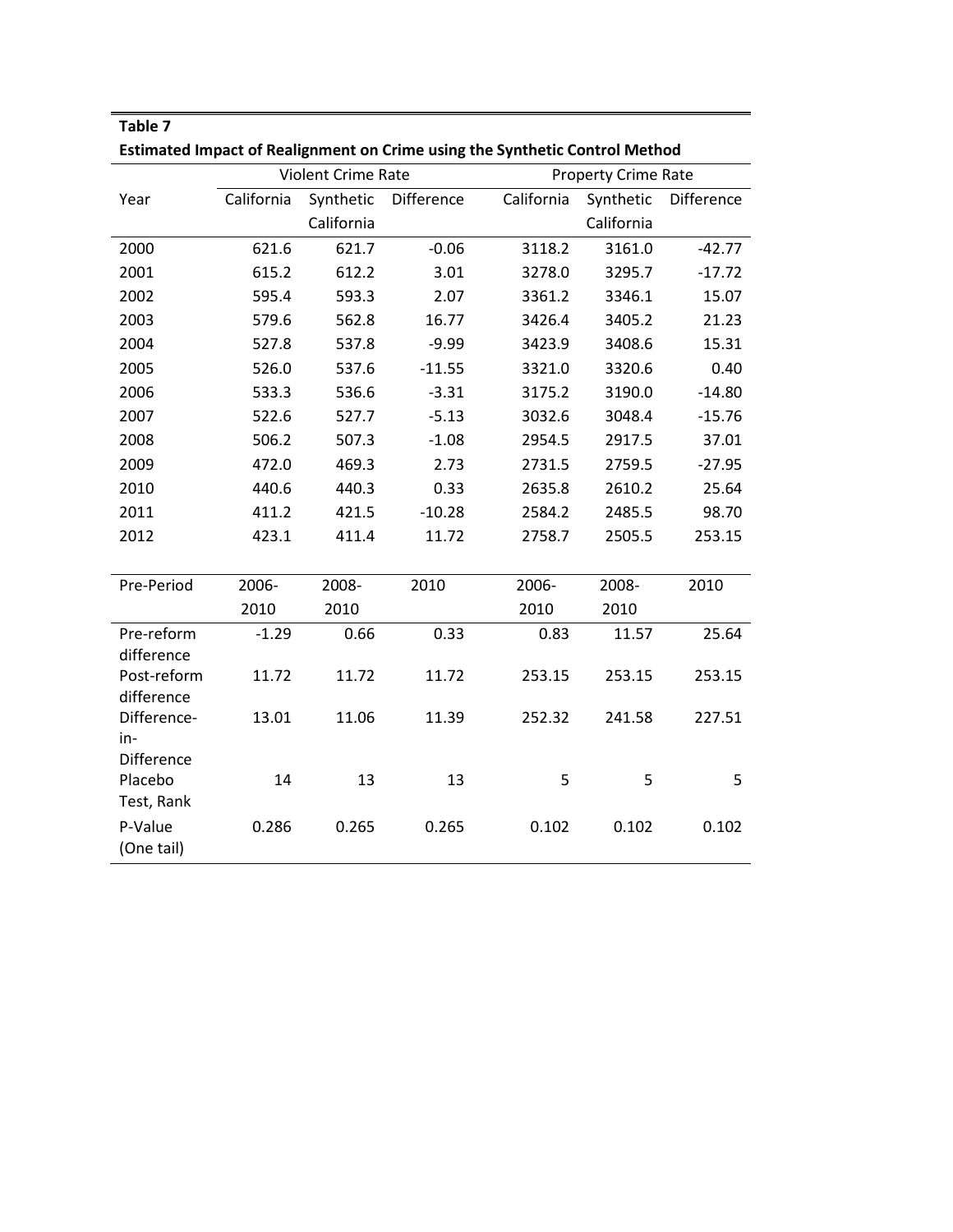| Estimated Impact of Realignment on Crime using the Synthetic Control Method |            |                    |            |            |                            |            |  |  |  |  |  |  |
|-----------------------------------------------------------------------------|------------|--------------------|------------|------------|----------------------------|------------|--|--|--|--|--|--|
|                                                                             |            | Violent Crime Rate |            |            | <b>Property Crime Rate</b> |            |  |  |  |  |  |  |
| Year                                                                        | California | Synthetic          | Difference | California | Synthetic                  | Difference |  |  |  |  |  |  |
|                                                                             |            | California         |            |            | California                 |            |  |  |  |  |  |  |
| 2000                                                                        | 621.6      | 621.7              | $-0.06$    | 3118.2     | 3161.0                     | $-42.77$   |  |  |  |  |  |  |
| 2001                                                                        | 615.2      | 612.2              | 3.01       | 3278.0     | 3295.7                     | $-17.72$   |  |  |  |  |  |  |
| 2002                                                                        | 595.4      | 593.3              | 2.07       | 3361.2     | 3346.1                     | 15.07      |  |  |  |  |  |  |
| 2003                                                                        | 579.6      | 562.8              | 16.77      | 3426.4     | 3405.2                     | 21.23      |  |  |  |  |  |  |
| 2004                                                                        | 527.8      | 537.8              | $-9.99$    | 3423.9     | 3408.6                     | 15.31      |  |  |  |  |  |  |
| 2005                                                                        | 526.0      | 537.6              | $-11.55$   | 3321.0     | 3320.6                     | 0.40       |  |  |  |  |  |  |
| 2006                                                                        | 533.3      | 536.6              | $-3.31$    | 3175.2     | 3190.0                     | $-14.80$   |  |  |  |  |  |  |
| 2007                                                                        | 522.6      | 527.7              | $-5.13$    | 3032.6     | 3048.4                     | $-15.76$   |  |  |  |  |  |  |
| 2008                                                                        | 506.2      | 507.3              | $-1.08$    | 2954.5     | 2917.5                     | 37.01      |  |  |  |  |  |  |
| 2009                                                                        | 472.0      | 469.3              | 2.73       | 2731.5     | 2759.5                     | $-27.95$   |  |  |  |  |  |  |
| 2010                                                                        | 440.6      | 440.3              | 0.33       | 2635.8     | 2610.2                     | 25.64      |  |  |  |  |  |  |
| 2011                                                                        | 411.2      | 421.5              | $-10.28$   | 2584.2     | 2485.5                     | 98.70      |  |  |  |  |  |  |
| 2012                                                                        | 423.1      | 411.4              | 11.72      | 2758.7     | 2505.5                     | 253.15     |  |  |  |  |  |  |
|                                                                             |            |                    |            |            |                            |            |  |  |  |  |  |  |
| Pre-Period                                                                  | 2006-      | 2008-              | 2010       | 2006-      | 2008-                      | 2010       |  |  |  |  |  |  |
|                                                                             | 2010       | 2010               |            | 2010       | 2010                       |            |  |  |  |  |  |  |
| Pre-reform<br>difference                                                    | $-1.29$    | 0.66               | 0.33       | 0.83       | 11.57                      | 25.64      |  |  |  |  |  |  |
| Post-reform                                                                 | 11.72      | 11.72              | 11.72      | 253.15     | 253.15                     | 253.15     |  |  |  |  |  |  |
| difference                                                                  |            |                    |            |            |                            |            |  |  |  |  |  |  |
| Difference-<br>in-                                                          | 13.01      | 11.06              | 11.39      | 252.32     | 241.58                     | 227.51     |  |  |  |  |  |  |
| <b>Difference</b>                                                           |            |                    |            |            |                            |            |  |  |  |  |  |  |
| Placebo                                                                     | 14         | 13                 | 13         | 5          | 5                          | 5          |  |  |  |  |  |  |
| Test, Rank                                                                  |            |                    |            |            |                            |            |  |  |  |  |  |  |
| P-Value                                                                     | 0.286      | 0.265              | 0.265      | 0.102      | 0.102                      | 0.102      |  |  |  |  |  |  |
| (One tail)                                                                  |            |                    |            |            |                            |            |  |  |  |  |  |  |

**Estimated Impact of Realignment on Crime using the Synthetic Control Method**

**Table 7**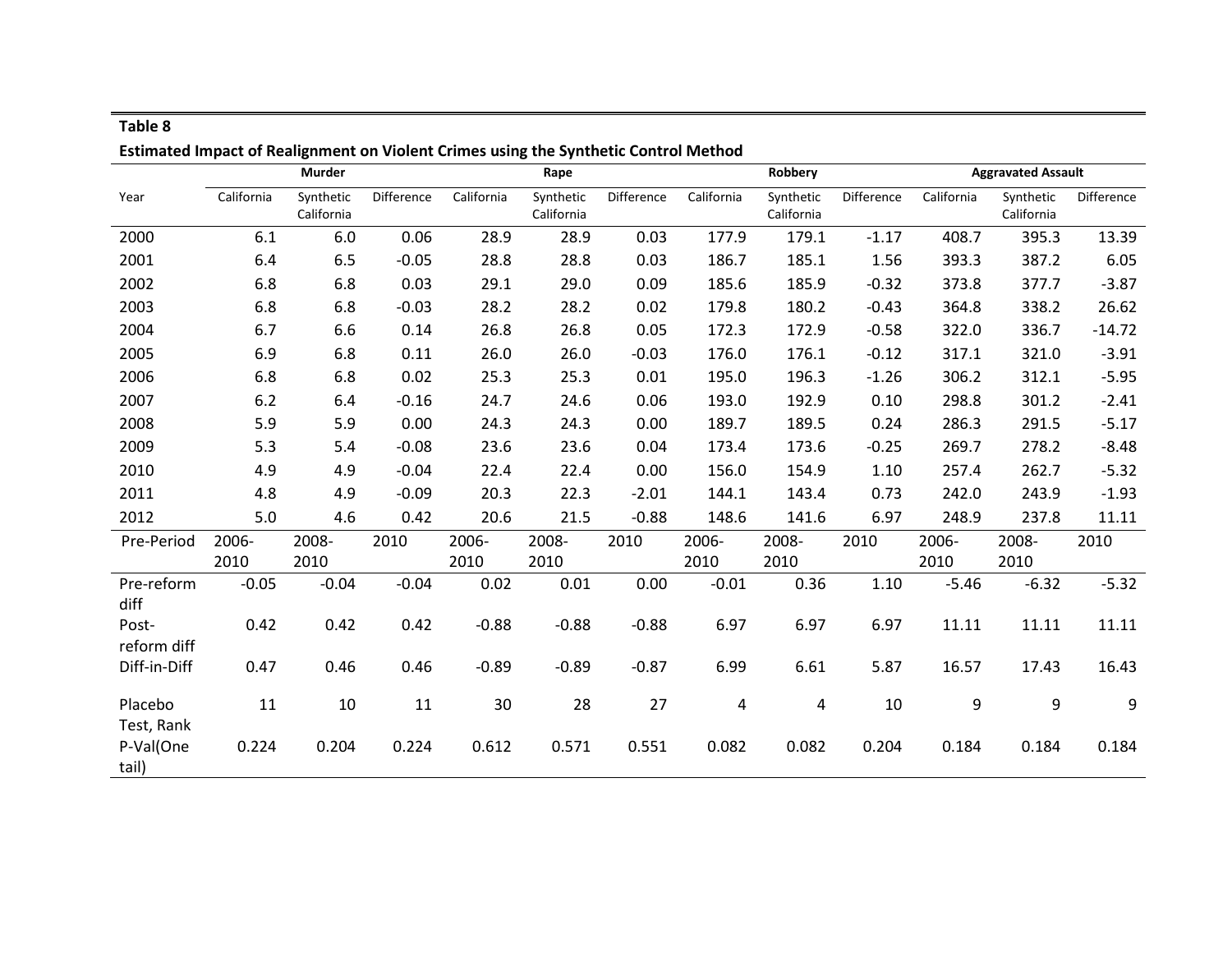|                       | ESUMated impact of Realignment on Violent Chines asing the Synthetic Control Method |                         |            |            |                         |            |            |                         |            |            |                           |            |
|-----------------------|-------------------------------------------------------------------------------------|-------------------------|------------|------------|-------------------------|------------|------------|-------------------------|------------|------------|---------------------------|------------|
|                       |                                                                                     | <b>Murder</b>           |            |            | Rape                    |            |            | Robbery                 |            |            | <b>Aggravated Assault</b> |            |
| Year                  | California                                                                          | Synthetic<br>California | Difference | California | Synthetic<br>California | Difference | California | Synthetic<br>California | Difference | California | Synthetic<br>California   | Difference |
| 2000                  | 6.1                                                                                 | 6.0                     | 0.06       | 28.9       | 28.9                    | 0.03       | 177.9      | 179.1                   | $-1.17$    | 408.7      | 395.3                     | 13.39      |
| 2001                  | 6.4                                                                                 | 6.5                     | $-0.05$    | 28.8       | 28.8                    | 0.03       | 186.7      | 185.1                   | 1.56       | 393.3      | 387.2                     | 6.05       |
| 2002                  | 6.8                                                                                 | 6.8                     | 0.03       | 29.1       | 29.0                    | 0.09       | 185.6      | 185.9                   | $-0.32$    | 373.8      | 377.7                     | $-3.87$    |
| 2003                  | 6.8                                                                                 | 6.8                     | $-0.03$    | 28.2       | 28.2                    | 0.02       | 179.8      | 180.2                   | $-0.43$    | 364.8      | 338.2                     | 26.62      |
| 2004                  | 6.7                                                                                 | 6.6                     | 0.14       | 26.8       | 26.8                    | 0.05       | 172.3      | 172.9                   | $-0.58$    | 322.0      | 336.7                     | $-14.72$   |
| 2005                  | 6.9                                                                                 | 6.8                     | 0.11       | 26.0       | 26.0                    | $-0.03$    | 176.0      | 176.1                   | $-0.12$    | 317.1      | 321.0                     | $-3.91$    |
| 2006                  | 6.8                                                                                 | 6.8                     | 0.02       | 25.3       | 25.3                    | 0.01       | 195.0      | 196.3                   | $-1.26$    | 306.2      | 312.1                     | $-5.95$    |
| 2007                  | 6.2                                                                                 | 6.4                     | $-0.16$    | 24.7       | 24.6                    | 0.06       | 193.0      | 192.9                   | 0.10       | 298.8      | 301.2                     | $-2.41$    |
| 2008                  | 5.9                                                                                 | 5.9                     | 0.00       | 24.3       | 24.3                    | 0.00       | 189.7      | 189.5                   | 0.24       | 286.3      | 291.5                     | $-5.17$    |
| 2009                  | 5.3                                                                                 | 5.4                     | $-0.08$    | 23.6       | 23.6                    | 0.04       | 173.4      | 173.6                   | $-0.25$    | 269.7      | 278.2                     | $-8.48$    |
| 2010                  | 4.9                                                                                 | 4.9                     | $-0.04$    | 22.4       | 22.4                    | 0.00       | 156.0      | 154.9                   | 1.10       | 257.4      | 262.7                     | $-5.32$    |
| 2011                  | 4.8                                                                                 | 4.9                     | $-0.09$    | 20.3       | 22.3                    | $-2.01$    | 144.1      | 143.4                   | 0.73       | 242.0      | 243.9                     | $-1.93$    |
| 2012                  | 5.0                                                                                 | 4.6                     | 0.42       | 20.6       | 21.5                    | $-0.88$    | 148.6      | 141.6                   | 6.97       | 248.9      | 237.8                     | 11.11      |
| Pre-Period            | 2006-                                                                               | 2008-                   | 2010       | 2006-      | 2008-                   | 2010       | 2006-      | 2008-                   | 2010       | 2006-      | 2008-                     | 2010       |
|                       | 2010                                                                                | 2010                    |            | 2010       | 2010                    |            | 2010       | 2010                    |            | 2010       | 2010                      |            |
| Pre-reform<br>diff    | $-0.05$                                                                             | $-0.04$                 | $-0.04$    | 0.02       | 0.01                    | 0.00       | $-0.01$    | 0.36                    | 1.10       | $-5.46$    | $-6.32$                   | $-5.32$    |
| Post-<br>reform diff  | 0.42                                                                                | 0.42                    | 0.42       | $-0.88$    | $-0.88$                 | $-0.88$    | 6.97       | 6.97                    | 6.97       | 11.11      | 11.11                     | 11.11      |
| Diff-in-Diff          | 0.47                                                                                | 0.46                    | 0.46       | $-0.89$    | $-0.89$                 | $-0.87$    | 6.99       | 6.61                    | 5.87       | 16.57      | 17.43                     | 16.43      |
| Placebo<br>Test, Rank | 11                                                                                  | 10                      | 11         | 30         | 28                      | 27         | 4          | 4                       | 10         | 9          | 9                         | 9          |
| P-Val(One<br>tail)    | 0.224                                                                               | 0.204                   | 0.224      | 0.612      | 0.571                   | 0.551      | 0.082      | 0.082                   | 0.204      | 0.184      | 0.184                     | 0.184      |

## **Estimated Impact of Realignment on Violent Crimes using the Synthetic Control Method**

**Table 8**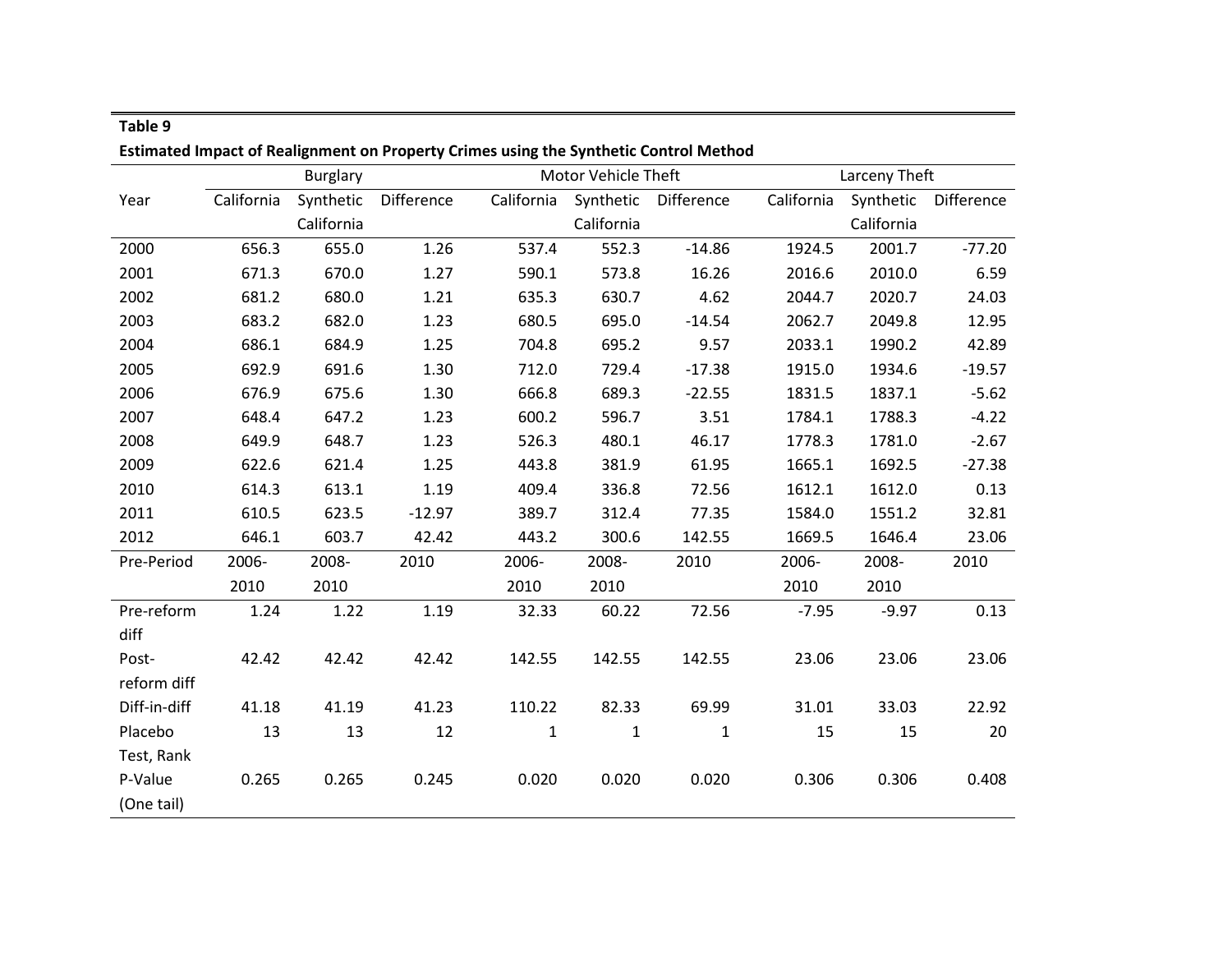| <b>Estimated Impact of Realignment on Property Crimes using the Synthetic Control Method</b> |            |                 |            |              |                     |              |            |               |            |  |  |  |
|----------------------------------------------------------------------------------------------|------------|-----------------|------------|--------------|---------------------|--------------|------------|---------------|------------|--|--|--|
|                                                                                              |            | <b>Burglary</b> |            |              | Motor Vehicle Theft |              |            | Larceny Theft |            |  |  |  |
| Year                                                                                         | California | Synthetic       | Difference | California   | Synthetic           | Difference   | California | Synthetic     | Difference |  |  |  |
|                                                                                              |            | California      |            |              | California          |              |            | California    |            |  |  |  |
| 2000                                                                                         | 656.3      | 655.0           | 1.26       | 537.4        | 552.3               | $-14.86$     | 1924.5     | 2001.7        | $-77.20$   |  |  |  |
| 2001                                                                                         | 671.3      | 670.0           | 1.27       | 590.1        | 573.8               | 16.26        | 2016.6     | 2010.0        | 6.59       |  |  |  |
| 2002                                                                                         | 681.2      | 680.0           | 1.21       | 635.3        | 630.7               | 4.62         | 2044.7     | 2020.7        | 24.03      |  |  |  |
| 2003                                                                                         | 683.2      | 682.0           | 1.23       | 680.5        | 695.0               | $-14.54$     | 2062.7     | 2049.8        | 12.95      |  |  |  |
| 2004                                                                                         | 686.1      | 684.9           | 1.25       | 704.8        | 695.2               | 9.57         | 2033.1     | 1990.2        | 42.89      |  |  |  |
| 2005                                                                                         | 692.9      | 691.6           | 1.30       | 712.0        | 729.4               | $-17.38$     | 1915.0     | 1934.6        | $-19.57$   |  |  |  |
| 2006                                                                                         | 676.9      | 675.6           | 1.30       | 666.8        | 689.3               | $-22.55$     | 1831.5     | 1837.1        | $-5.62$    |  |  |  |
| 2007                                                                                         | 648.4      | 647.2           | 1.23       | 600.2        | 596.7               | 3.51         | 1784.1     | 1788.3        | $-4.22$    |  |  |  |
| 2008                                                                                         | 649.9      | 648.7           | 1.23       | 526.3        | 480.1               | 46.17        | 1778.3     | 1781.0        | $-2.67$    |  |  |  |
| 2009                                                                                         | 622.6      | 621.4           | 1.25       | 443.8        | 381.9               | 61.95        | 1665.1     | 1692.5        | $-27.38$   |  |  |  |
| 2010                                                                                         | 614.3      | 613.1           | 1.19       | 409.4        | 336.8               | 72.56        | 1612.1     | 1612.0        | 0.13       |  |  |  |
| 2011                                                                                         | 610.5      | 623.5           | $-12.97$   | 389.7        | 312.4               | 77.35        | 1584.0     | 1551.2        | 32.81      |  |  |  |
| 2012                                                                                         | 646.1      | 603.7           | 42.42      | 443.2        | 300.6               | 142.55       | 1669.5     | 1646.4        | 23.06      |  |  |  |
| Pre-Period                                                                                   | 2006-      | 2008-           | 2010       | 2006-        | 2008-               | 2010         | 2006-      | 2008-         | 2010       |  |  |  |
|                                                                                              | 2010       | 2010            |            | 2010         | 2010                |              | 2010       | 2010          |            |  |  |  |
| Pre-reform                                                                                   | 1.24       | 1.22            | 1.19       | 32.33        | 60.22               | 72.56        | $-7.95$    | $-9.97$       | 0.13       |  |  |  |
| diff                                                                                         |            |                 |            |              |                     |              |            |               |            |  |  |  |
| Post-                                                                                        | 42.42      | 42.42           | 42.42      | 142.55       | 142.55              | 142.55       | 23.06      | 23.06         | 23.06      |  |  |  |
| reform diff                                                                                  |            |                 |            |              |                     |              |            |               |            |  |  |  |
| Diff-in-diff                                                                                 | 41.18      | 41.19           | 41.23      | 110.22       | 82.33               | 69.99        | 31.01      | 33.03         | 22.92      |  |  |  |
| Placebo                                                                                      | 13         | 13              | 12         | $\mathbf{1}$ | $\mathbf{1}$        | $\mathbf{1}$ | 15         | 15            | 20         |  |  |  |
| Test, Rank                                                                                   |            |                 |            |              |                     |              |            |               |            |  |  |  |
| P-Value                                                                                      | 0.265      | 0.265           | 0.245      | 0.020        | 0.020               | 0.020        | 0.306      | 0.306         | 0.408      |  |  |  |
| (One tail)                                                                                   |            |                 |            |              |                     |              |            |               |            |  |  |  |

## **Estimated Impact of Realignment on Property Crimes using the Synthetic Control Method**

**Table 9**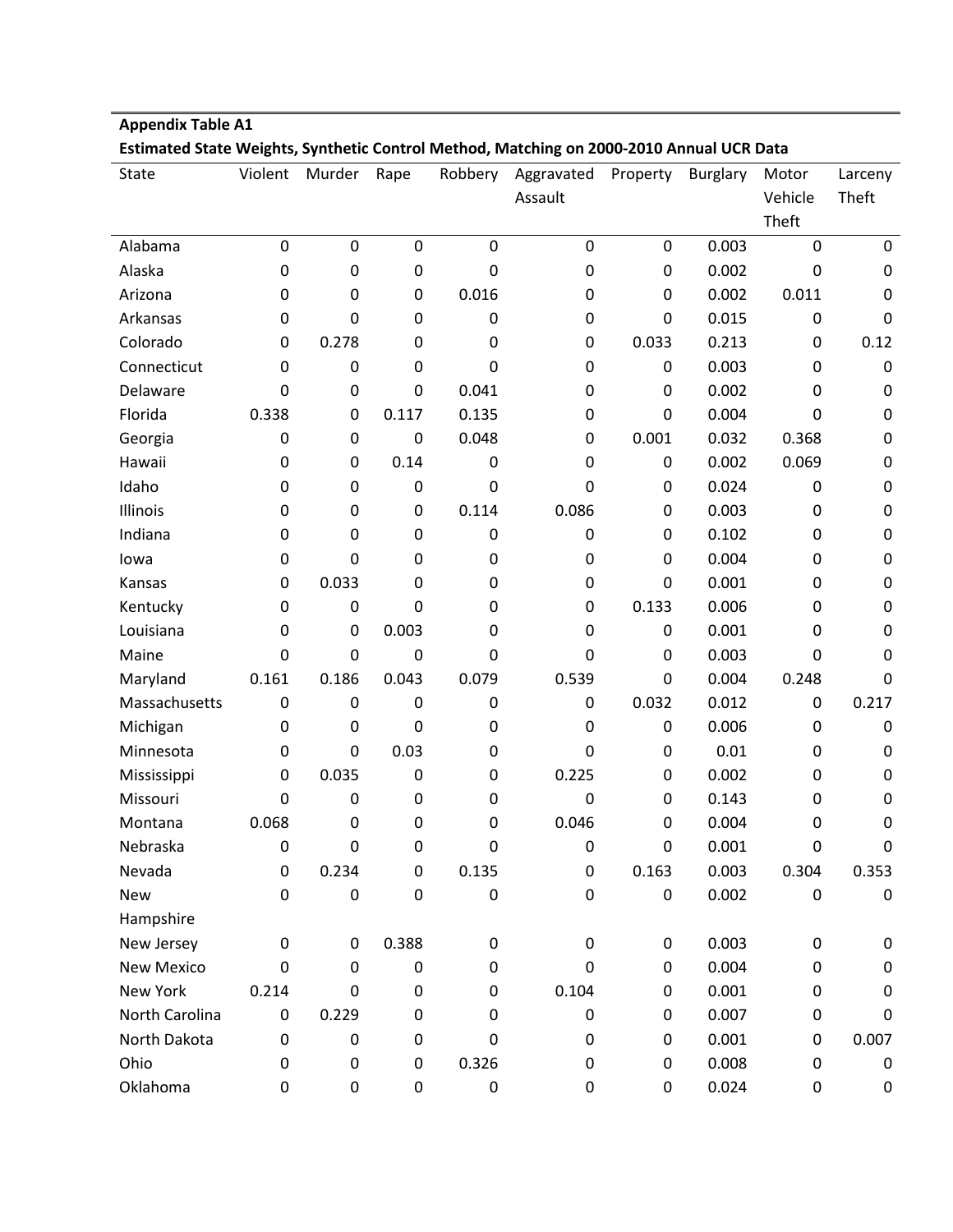| Estimated State Weights, Synthetic Control Method, Matching on 2000-2010 Annual UCR Data |                  |                  |             |             |                  |                  |                 |             |                  |  |  |
|------------------------------------------------------------------------------------------|------------------|------------------|-------------|-------------|------------------|------------------|-----------------|-------------|------------------|--|--|
| <b>State</b>                                                                             | Violent          | Murder           | Rape        | Robbery     | Aggravated       | Property         | <b>Burglary</b> | Motor       | Larceny          |  |  |
|                                                                                          |                  |                  |             |             | Assault          |                  |                 | Vehicle     | Theft            |  |  |
|                                                                                          |                  |                  |             |             |                  |                  |                 | Theft       |                  |  |  |
| Alabama                                                                                  | $\pmb{0}$        | $\mathbf 0$      | $\mathbf 0$ | $\mathbf 0$ | $\mathbf 0$      | $\mathbf 0$      | 0.003           | $\mathbf 0$ | $\mathbf 0$      |  |  |
| Alaska                                                                                   | $\boldsymbol{0}$ | $\mathbf 0$      | 0           | 0           | 0                | 0                | 0.002           | 0           | 0                |  |  |
| Arizona                                                                                  | 0                | 0                | 0           | 0.016       | $\mathbf 0$      | 0                | 0.002           | 0.011       | 0                |  |  |
| Arkansas                                                                                 | $\boldsymbol{0}$ | $\overline{0}$   | 0           | 0           | 0                | $\Omega$         | 0.015           | 0           | 0                |  |  |
| Colorado                                                                                 | $\boldsymbol{0}$ | 0.278            | 0           | 0           | $\mathbf 0$      | 0.033            | 0.213           | 0           | 0.12             |  |  |
| Connecticut                                                                              | 0                | 0                | 0           | $\mathbf 0$ | 0                | 0                | 0.003           | 0           | $\mathbf 0$      |  |  |
| Delaware                                                                                 | 0                | $\mathbf 0$      | 0           | 0.041       | 0                | 0                | 0.002           | $\Omega$    | $\mathbf 0$      |  |  |
| Florida                                                                                  | 0.338            | 0                | 0.117       | 0.135       | 0                | $\mathbf 0$      | 0.004           | 0           | $\mathbf 0$      |  |  |
| Georgia                                                                                  | 0                | $\boldsymbol{0}$ | 0           | 0.048       | 0                | 0.001            | 0.032           | 0.368       | $\mathbf 0$      |  |  |
| Hawaii                                                                                   | $\boldsymbol{0}$ | 0                | 0.14        | $\mathbf 0$ | $\mathbf 0$      | $\mathbf 0$      | 0.002           | 0.069       | 0                |  |  |
| Idaho                                                                                    | 0                | 0                | 0           | 0           | $\mathbf 0$      | 0                | 0.024           | 0           | $\mathbf 0$      |  |  |
| Illinois                                                                                 | $\boldsymbol{0}$ | 0                | 0           | 0.114       | 0.086            | 0                | 0.003           | 0           | $\mathbf 0$      |  |  |
| Indiana                                                                                  | 0                | 0                | 0           | 0           | 0                | 0                | 0.102           | 0           | $\mathbf 0$      |  |  |
| lowa                                                                                     | 0                | $\overline{0}$   | 0           | 0           | 0                | 0                | 0.004           | 0           | $\mathbf 0$      |  |  |
| Kansas                                                                                   | 0                | 0.033            | 0           | 0           | 0                | 0                | 0.001           | 0           | $\boldsymbol{0}$ |  |  |
| Kentucky                                                                                 | $\boldsymbol{0}$ | $\mathbf 0$      | 0           | 0           | 0                | 0.133            | 0.006           | 0           | $\mathbf 0$      |  |  |
| Louisiana                                                                                | $\boldsymbol{0}$ | 0                | 0.003       | $\mathbf 0$ | $\mathbf 0$      | $\mathbf 0$      | 0.001           | 0           | $\mathbf 0$      |  |  |
| Maine                                                                                    | 0                | 0                | 0           | 0           | $\mathbf 0$      | 0                | 0.003           | $\mathbf 0$ | $\mathbf 0$      |  |  |
| Maryland                                                                                 | 0.161            | 0.186            | 0.043       | 0.079       | 0.539            | 0                | 0.004           | 0.248       | 0                |  |  |
| Massachusetts                                                                            | $\boldsymbol{0}$ | $\boldsymbol{0}$ | 0           | 0           | 0                | 0.032            | 0.012           | 0           | 0.217            |  |  |
| Michigan                                                                                 | 0                | $\mathbf 0$      | 0           | 0           | 0                | 0                | 0.006           | 0           | 0                |  |  |
| Minnesota                                                                                | 0                | $\mathbf 0$      | 0.03        | 0           | 0                | $\mathbf 0$      | 0.01            | 0           | $\mathbf 0$      |  |  |
| Mississippi                                                                              | 0                | 0.035            | 0           | 0           | 0.225            | 0                | 0.002           | 0           | $\mathbf 0$      |  |  |
| Missouri                                                                                 | 0                | $\mathbf 0$      | 0           | 0           | $\mathbf 0$      | 0                | 0.143           | 0           | $\mathbf 0$      |  |  |
| Montana                                                                                  | 0.068            | 0                | 0           | 0           | 0.046            | 0                | 0.004           | 0           | $\mathbf 0$      |  |  |
| Nebraska                                                                                 | $\pmb{0}$        | $\mathbf 0$      | 0           | 0           | 0                | $\mathbf 0$      | 0.001           | 0           | 0                |  |  |
| Nevada                                                                                   | $\pmb{0}$        | 0.234            | 0           | 0.135       | $\pmb{0}$        | 0.163            | 0.003           | 0.304       | 0.353            |  |  |
| New                                                                                      | $\boldsymbol{0}$ | $\boldsymbol{0}$ | 0           | $\pmb{0}$   | $\boldsymbol{0}$ | $\boldsymbol{0}$ | 0.002           | 0           | $\pmb{0}$        |  |  |
| Hampshire                                                                                |                  |                  |             |             |                  |                  |                 |             |                  |  |  |
| New Jersey                                                                               | 0                | 0                | 0.388       | 0           | 0                | 0                | 0.003           | 0           | $\mathbf 0$      |  |  |
| <b>New Mexico</b>                                                                        | $\pmb{0}$        | 0                | 0           | 0           | $\mathbf 0$      | 0                | 0.004           | 0           | $\pmb{0}$        |  |  |
| New York                                                                                 | 0.214            | 0                | 0           | 0           | 0.104            | 0                | 0.001           | 0           | $\pmb{0}$        |  |  |
| North Carolina                                                                           | 0                | 0.229            | 0           | 0           | 0                | 0                | 0.007           | 0           | 0                |  |  |
| North Dakota                                                                             | $\boldsymbol{0}$ | $\boldsymbol{0}$ | 0           | $\mathbf 0$ | $\mathbf 0$      | $\mathbf 0$      | 0.001           | 0           | 0.007            |  |  |
| Ohio                                                                                     | 0                | $\boldsymbol{0}$ | 0           | 0.326       | 0                | 0                | 0.008           | 0           | $\pmb{0}$        |  |  |
| Oklahoma                                                                                 | $\pmb{0}$        | $\pmb{0}$        | 0           | $\pmb{0}$   | $\pmb{0}$        | 0                | 0.024           | 0           | 0                |  |  |

**Appendix Table A1**